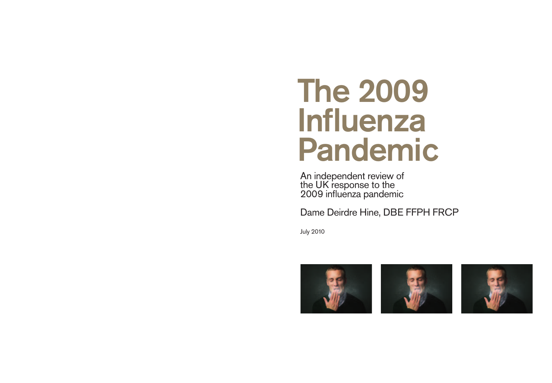# The 2009<br>Influenza � Influenza Pandemic

An independent review of the UK response to the 2009 influenza pandemic

Dame Deirdre Hine, DBE FFPH FRCP

July 2010





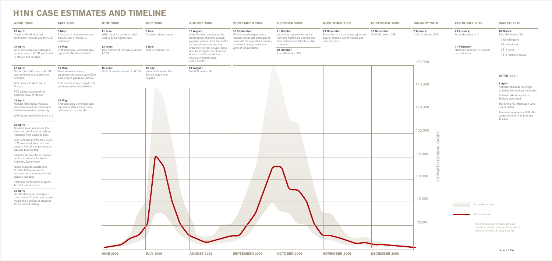# **H1N1 CASE ESTIMATES AND TIMELINE**

| <b>APRIL 2009</b>                                                                                                                              | <b>MAY 2009</b>                                                                                       | <b>JUNE 2009</b>                                                                                                                                         | <b>JULY 2009</b>                                                     | <b>AUGUST 2009</b>                                                                                                                                                                                                                                                                                        | <b>SEPTEMBER 2009</b>                                                                                                                                                          | <b>OCTOBER 2009</b>                                                                                                                     | <b>NOVEMBER 2009</b>                                                                                      | <b>DECEMBER 2009</b>                 |
|------------------------------------------------------------------------------------------------------------------------------------------------|-------------------------------------------------------------------------------------------------------|----------------------------------------------------------------------------------------------------------------------------------------------------------|----------------------------------------------------------------------|-----------------------------------------------------------------------------------------------------------------------------------------------------------------------------------------------------------------------------------------------------------------------------------------------------------|--------------------------------------------------------------------------------------------------------------------------------------------------------------------------------|-----------------------------------------------------------------------------------------------------------------------------------------|-----------------------------------------------------------------------------------------------------------|--------------------------------------|
| 23 April:<br>Cases of H1N1 virus are<br>confirmed in Mexico and the USA                                                                        | 1 May:<br>First case of human-to-human<br>transmission in the UK is<br>confirmed                      | 11 June:<br>WHO raises its pandemic alert<br>level to 6, the highest level<br>13 June:<br>Total number of UK cases reaches  Total UK deaths: 10<br>1,000 | 2 July:<br>Treatment phase begins<br>6 July:                         | 13 August:<br>Andy Burnham announces the<br>identification of priority groups:<br>pregnant women, front-line health<br>and social care workers, and<br>everyone in at-risk groups (those<br>who are at higher risk of serious<br>illness or death should they<br>develop influenza) aged<br>over 6 months | 10 September:<br>The four health departments<br>release critical care strategies to<br>cope with the expected increases<br>in demand during the second<br>wave of the pandemic | 21 October:<br>Vaccination programme begins:<br>front-line healthcare workers and<br>their patients who fall into at-risk<br>categories | 19 November:<br>Phase two of vaccination programme<br>begins: children over 6 months and<br>under 5 years | 10 December:<br>Total UK deaths: 283 |
| 24 April:<br>WHO announces an outbreak of<br>human cases of H1N1 confirmed<br>in Mexico and the USA                                            | 14 May:<br>First laboratory-confirmed case<br>reported in Northern Ireland                            |                                                                                                                                                          |                                                                      |                                                                                                                                                                                                                                                                                                           |                                                                                                                                                                                | 29 October:<br>Total UK deaths: 137                                                                                                     |                                                                                                           |                                      |
| 27 April:<br>The first two UK cases of H1N1<br>are confirmed in a couple from<br>Scotland                                                      | 15 May:<br>Press release confirms<br>agreements to secure up to 90m<br>doses of pre-pandemic vaccine  | 15 June:<br>First UK death attributed to H1N1                                                                                                            | 23 July:<br>National Pandemic Flu<br>Service goes live in<br>England | 21 August:<br>Total UK deaths: 60                                                                                                                                                                                                                                                                         |                                                                                                                                                                                |                                                                                                                                         |                                                                                                           |                                      |
| WHO raises its alert level to<br>Phase 4                                                                                                       | FCO ceases to advise against all<br>but essential travel to Mexico                                    |                                                                                                                                                          |                                                                      |                                                                                                                                                                                                                                                                                                           |                                                                                                                                                                                |                                                                                                                                         |                                                                                                           |                                      |
| FCO advises against all but<br>essential travel to Mexico                                                                                      |                                                                                                       |                                                                                                                                                          |                                                                      |                                                                                                                                                                                                                                                                                                           |                                                                                                                                                                                |                                                                                                                                         |                                                                                                           |                                      |
| 28 April:<br>Michael McGimpsey makes a<br>statement about the outbreak to<br>the Northern Ireland Assembly                                     | 29 May:<br>First laboratory-confirmed case<br>reported in Wales. Cases now<br>confirmed across the UK |                                                                                                                                                          |                                                                      |                                                                                                                                                                                                                                                                                                           |                                                                                                                                                                                |                                                                                                                                         |                                                                                                           |                                      |
| WHO raises alert level from 4 to 5                                                                                                             |                                                                                                       |                                                                                                                                                          |                                                                      |                                                                                                                                                                                                                                                                                                           |                                                                                                                                                                                |                                                                                                                                         |                                                                                                           |                                      |
| 29 April:<br>Gordon Brown announces that<br>the stockpile of antivirals will be<br>increased from 33.5m to 50m                                 |                                                                                                       |                                                                                                                                                          |                                                                      |                                                                                                                                                                                                                                                                                                           |                                                                                                                                                                                |                                                                                                                                         |                                                                                                           |                                      |
| Alan Johnson informs the House<br>of Commons of five confirmed<br>cases in the UK and promises an<br>advisory booklet drop                     |                                                                                                       |                                                                                                                                                          |                                                                      |                                                                                                                                                                                                                                                                                                           |                                                                                                                                                                                |                                                                                                                                         |                                                                                                           |                                      |
| Edwina Hart provides an update<br>on the situation to the Welsh<br>Assembly Government                                                         |                                                                                                       |                                                                                                                                                          | N                                                                    |                                                                                                                                                                                                                                                                                                           |                                                                                                                                                                                |                                                                                                                                         |                                                                                                           |                                      |
| Nicola Sturgeon updates the<br>Scottish Parliament on the<br>outbreak and the two confirmed<br>cases in Scotland                               |                                                                                                       |                                                                                                                                                          |                                                                      |                                                                                                                                                                                                                                                                                                           |                                                                                                                                                                                |                                                                                                                                         |                                                                                                           |                                      |
| First case confirmed in England;<br>first UK school closure                                                                                    |                                                                                                       |                                                                                                                                                          |                                                                      |                                                                                                                                                                                                                                                                                                           |                                                                                                                                                                                |                                                                                                                                         |                                                                                                           |                                      |
| 30 April:<br>H1N1 information campaign is<br>rolled out on TV, radio and in print<br>media and a booklet is prepared<br>for household delivery |                                                                                                       |                                                                                                                                                          |                                                                      |                                                                                                                                                                                                                                                                                                           |                                                                                                                                                                                |                                                                                                                                         |                                                                                                           |                                      |
|                                                                                                                                                |                                                                                                       |                                                                                                                                                          |                                                                      |                                                                                                                                                                                                                                                                                                           |                                                                                                                                                                                |                                                                                                                                         |                                                                                                           |                                      |
|                                                                                                                                                |                                                                                                       |                                                                                                                                                          |                                                                      |                                                                                                                                                                                                                                                                                                           |                                                                                                                                                                                |                                                                                                                                         |                                                                                                           |                                      |
|                                                                                                                                                |                                                                                                       | <b>JUNE 2009</b>                                                                                                                                         | <b>JULY 2009</b>                                                     | <b>AUGUST 2009</b>                                                                                                                                                                                                                                                                                        | <b>SEPTEMBER 2009</b>                                                                                                                                                          | <b>OCTOBER 2009</b>                                                                                                                     | <b>NOVEMBER 2009</b>                                                                                      | <b>DECEMBER 2009</b>                 |

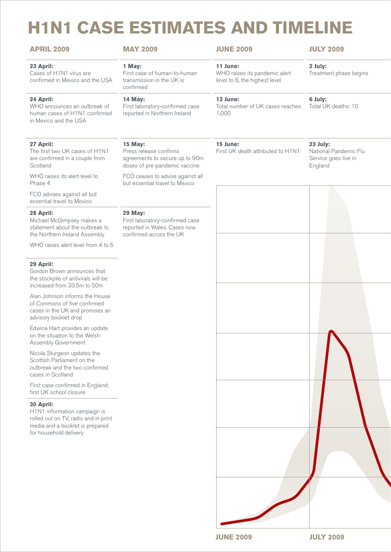# **H1N1 CASE ESTIMATES AND TIMELINE**

| <b>APRIL 2009</b>                                                                                                                                                              | <b>MAY 2009</b>                                                                                       | <b>JUNE 2009</b>                                                           | <b>JULY 2009</b>                                                     |
|--------------------------------------------------------------------------------------------------------------------------------------------------------------------------------|-------------------------------------------------------------------------------------------------------|----------------------------------------------------------------------------|----------------------------------------------------------------------|
| 23 April:<br>Cases of H1N1 virus are<br>confirmed in Mexico and the USA                                                                                                        | 1 May:<br>First case of human-to-human<br>transmission in the UK is<br>confirmed                      | 11 June:<br>WHO raises its pandemic alert<br>level to 6, the highest level | 2 July:<br>Treatment phase begins                                    |
| 24 April:<br>WHO announces an outbreak of<br>human cases of H1N1 confirmed<br>in Mexico and the USA                                                                            | 14 May:<br>First laboratory-confirmed case<br>reported in Northern Ireland                            | 13 June:<br>Total number of UK cases reaches  Total UK deaths: 10<br>1,000 | 6 July:                                                              |
| 27 April:<br>The first two UK cases of H1N1<br>are confirmed in a couple from<br>Scotland                                                                                      | 15 May:<br>Press release confirms<br>agreements to secure up to 90m<br>doses of pre-pandemic vaccine  | 15 June:<br>First UK death attributed to H1N1                              | 23 July:<br>National Pandemic Flu<br>Service goes live in<br>England |
| WHO raises its alert level to<br>Phase 4<br>FCO advises against all but                                                                                                        | FCO ceases to advise against all<br>but essential travel to Mexico                                    |                                                                            |                                                                      |
| essential travel to Mexico<br>28 April:<br>Michael McGimpsey makes a<br>statement about the outbreak to<br>the Northern Ireland Assembly<br>WHO raises alert level from 4 to 5 | 29 May:<br>First laboratory-confirmed case<br>reported in Wales. Cases now<br>confirmed across the UK |                                                                            |                                                                      |
| 29 April:<br>Gordon Brown announces that<br>the stockpile of antivirals will be<br>increased from 33.5m to 50m                                                                 |                                                                                                       |                                                                            |                                                                      |
| Alan Johnson informs the House<br>of Commons of five confirmed<br>cases in the UK and promises an<br>advisory booklet drop                                                     |                                                                                                       |                                                                            |                                                                      |
| Edwina Hart provides an update<br>on the situation to the Welsh<br>Assembly Government                                                                                         |                                                                                                       |                                                                            |                                                                      |
| Nicola Sturgeon updates the<br>Scottish Parliament on the<br>outbreak and the two confirmed<br>cases in Scotland                                                               |                                                                                                       |                                                                            |                                                                      |
| First case confirmed in England;<br>first UK school closure                                                                                                                    |                                                                                                       |                                                                            |                                                                      |
| 30 April:<br>H1N1 information campaign is<br>rolled out on TV, radio and in print<br>media and a booklet is prepared<br>for household delivery                                 |                                                                                                       |                                                                            |                                                                      |

**JUNE 2009 JULY 2009**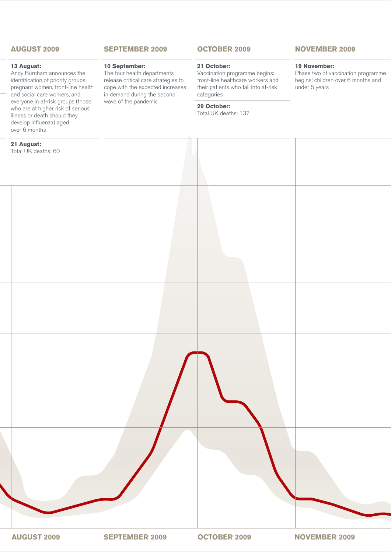#### **APRIL 2009 MAY 2009 JUNE 2009 JULY 2009 AUGUST 2009**

#### **13 August:**

Andy Burnham announces the identification of priority groups: pregnant women, front-line health and social care workers, and everyone in at-risk groups (those who are at higher risk of serious illness or death should they develop influenza) aged over 6 months

#### **21 August:**

#### **SEPTEMBER 2009**

#### **10 September:**

The four health departments release critical care strategies to cope with the expected increases in demand during the second wave of the pandemic

#### **OCTOBER 2009**

#### **21 October:**

Vaccination programme begins: front-line healthcare workers and their patients who fall into at-risk categories

#### **29 October:**

Total UK deaths: 137

#### **NOVEMBER 2009 DECEMBER 2009 JANUARY 2010 FEBRUARY 2010 MARCH 2010**

#### **19 November:**

Phase two of vaccination programme begins: children over 6 months and under 5 years

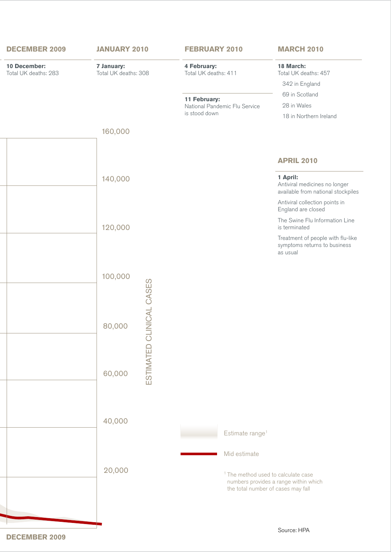

**DECEMBER 2009**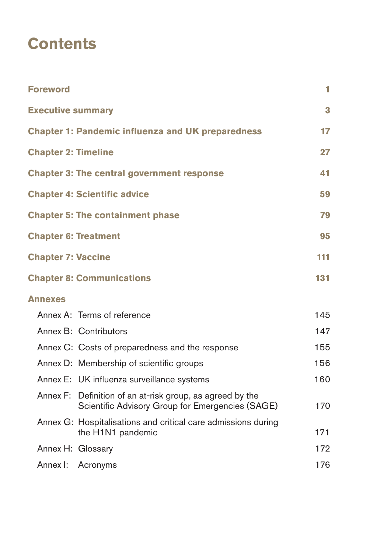# **Contents**

| <b>Foreword</b>                                                                                                  | 1   |  |  |  |  |  |  |
|------------------------------------------------------------------------------------------------------------------|-----|--|--|--|--|--|--|
| <b>Executive summary</b>                                                                                         | 3   |  |  |  |  |  |  |
| <b>Chapter 1: Pandemic influenza and UK preparedness</b>                                                         |     |  |  |  |  |  |  |
| <b>Chapter 2: Timeline</b>                                                                                       | 27  |  |  |  |  |  |  |
| <b>Chapter 3: The central government response</b>                                                                | 41  |  |  |  |  |  |  |
| <b>Chapter 4: Scientific advice</b>                                                                              | 59  |  |  |  |  |  |  |
| <b>Chapter 5: The containment phase</b>                                                                          | 79  |  |  |  |  |  |  |
| <b>Chapter 6: Treatment</b>                                                                                      | 95  |  |  |  |  |  |  |
| <b>Chapter 7: Vaccine</b>                                                                                        | 111 |  |  |  |  |  |  |
| <b>Chapter 8: Communications</b>                                                                                 | 131 |  |  |  |  |  |  |
| <b>Annexes</b>                                                                                                   |     |  |  |  |  |  |  |
| Annex A: Terms of reference                                                                                      | 145 |  |  |  |  |  |  |
| Annex B: Contributors                                                                                            | 147 |  |  |  |  |  |  |
| Annex C: Costs of preparedness and the response                                                                  | 155 |  |  |  |  |  |  |
| Annex D: Membership of scientific groups                                                                         | 156 |  |  |  |  |  |  |
| Annex E: UK influenza surveillance systems                                                                       | 160 |  |  |  |  |  |  |
| Definition of an at-risk group, as agreed by the<br>Annex F:<br>Scientific Advisory Group for Emergencies (SAGE) | 170 |  |  |  |  |  |  |
| Annex G: Hospitalisations and critical care admissions during<br>the H1N1 pandemic                               | 171 |  |  |  |  |  |  |
| Annex H: Glossary                                                                                                | 172 |  |  |  |  |  |  |
| Annex I:<br>Acronyms                                                                                             | 176 |  |  |  |  |  |  |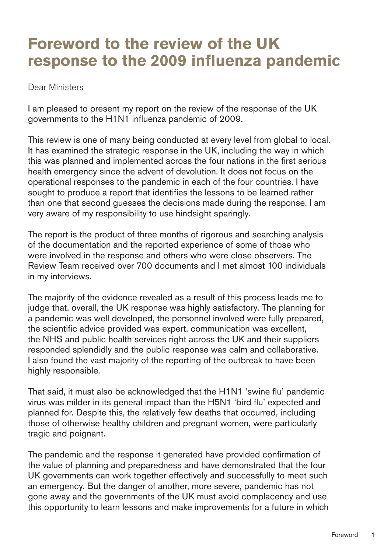# <span id="page-6-0"></span>**Foreword to the review of the UK response to the 2009 influenza pandemic**

Dear Ministers

I am pleased to present my report on the review of the response of the UK governments to the H1N1 influenza pandemic of 2009.

This review is one of many being conducted at every level from global to local. It has examined the strategic response in the UK, including the way in which this was planned and implemented across the four nations in the first serious health emergency since the advent of devolution. It does not focus on the operational responses to the pandemic in each of the four countries. I have sought to produce a report that identifies the lessons to be learned rather than one that second guesses the decisions made during the response. I am very aware of my responsibility to use hindsight sparingly.

The report is the product of three months of rigorous and searching analysis of the documentation and the reported experience of some of those who were involved in the response and others who were close observers. The Review Team received over 700 documents and I met almost 100 individuals in my interviews.

The majority of the evidence revealed as a result of this process leads me to judge that, overall, the UK response was highly satisfactory. The planning for a pandemic was well developed, the personnel involved were fully prepared, the scientific advice provided was expert, communication was excellent, the NHS and public health services right across the UK and their suppliers responded splendidly and the public response was calm and collaborative. I also found the vast majority of the reporting of the outbreak to have been highly responsible.

That said, it must also be acknowledged that the H1N1 'swine flu' pandemic virus was milder in its general impact than the H5N1 'bird flu' expected and planned for. Despite this, the relatively few deaths that occurred, including those of otherwise healthy children and pregnant women, were particularly tragic and poignant.

The pandemic and the response it generated have provided confirmation of the value of planning and preparedness and have demonstrated that the four UK governments can work together effectively and successfully to meet such an emergency. But the danger of another, more severe, pandemic has not gone away and the governments of the UK must avoid complacency and use this opportunity to learn lessons and make improvements for a future in which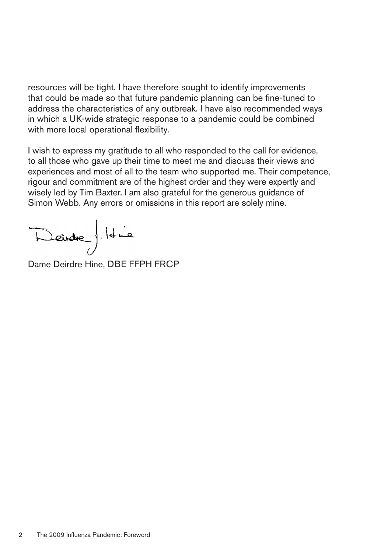resources will be tight. I have therefore sought to identify improvements that could be made so that future pandemic planning can be fine-tuned to address the characteristics of any outbreak. I have also recommended ways in which a UK-wide strategic response to a pandemic could be combined with more local operational flexibility.

I wish to express my gratitude to all who responded to the call for evidence, to all those who gave up their time to meet me and discuss their views and experiences and most of all to the team who supported me. Their competence, rigour and commitment are of the highest order and they were expertly and wisely led by Tim Baxter. I am also grateful for the generous guidance of Simon Webb. Any errors or omissions in this report are solely mine.

Deidre). Id is

Dame Deirdre Hine, DBE FFPH FRCP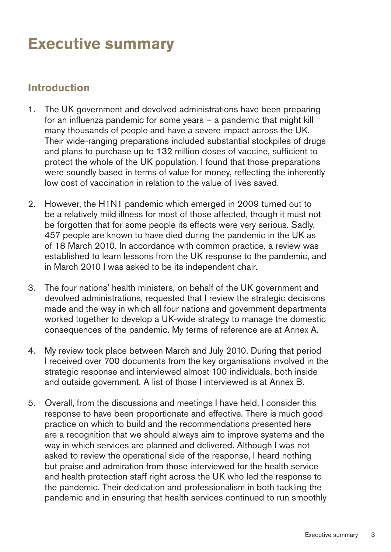# <span id="page-8-0"></span>**Executive summary**

## **Introduction**

- 1. The UK government and devolved administrations have been preparing for an influenza pandemic for some years – a pandemic that might kill many thousands of people and have a severe impact across the UK. Their wide-ranging preparations included substantial stockpiles of drugs and plans to purchase up to 132 million doses of vaccine, sufficient to protect the whole of the UK population. I found that those preparations were soundly based in terms of value for money, reflecting the inherently low cost of vaccination in relation to the value of lives saved.
- 2. However, the H1N1 pandemic which emerged in 2009 turned out to be a relatively mild illness for most of those affected, though it must not be forgotten that for some people its effects were very serious. Sadly, 457 people are known to have died during the pandemic in the UK as of 18 March 2010. In accordance with common practice, a review was established to learn lessons from the UK response to the pandemic, and in March 2010 I was asked to be its independent chair.
- 3. The four nations' health ministers, on behalf of the UK government and devolved administrations, requested that I review the strategic decisions made and the way in which all four nations and government departments worked together to develop a UK-wide strategy to manage the domestic consequences of the pandemic. My terms of reference are at Annex A.
- 4. My review took place between March and July 2010. During that period I received over 700 documents from the key organisations involved in the strategic response and interviewed almost 100 individuals, both inside and outside government. A list of those I interviewed is at Annex B.
- 5. Overall, from the discussions and meetings I have held, I consider this response to have been proportionate and effective. There is much good practice on which to build and the recommendations presented here are a recognition that we should always aim to improve systems and the way in which services are planned and delivered. Although I was not asked to review the operational side of the response, I heard nothing but praise and admiration from those interviewed for the health service and health protection staff right across the UK who led the response to the pandemic. Their dedication and professionalism in both tackling the pandemic and in ensuring that health services continued to run smoothly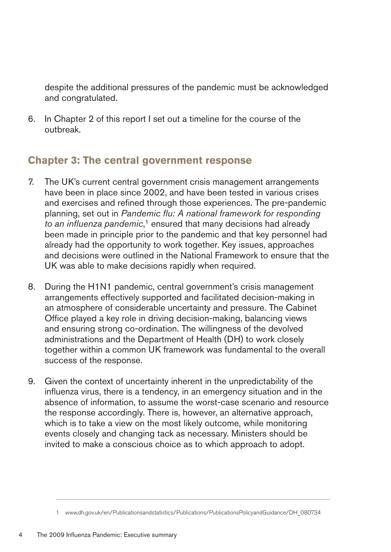despite the additional pressures of the pandemic must be acknowledged and congratulated.

6. � In Chapter 2 of this report I set out a timeline for the course of the outbreak.

## **Chapter 3: The central government response**

- 7. The UK's current central government crisis management arrangements have been in place since 2002, and have been tested in various crises and exercises and refined through those experiences. The pre-pandemic planning, set out in *Pandemic flu: A national framework for responding*  to an influenza pandemic,<sup>1</sup> ensured that many decisions had already been made in principle prior to the pandemic and that key personnel had already had the opportunity to work together. Key issues, approaches and decisions were outlined in the National Framework to ensure that the UK was able to make decisions rapidly when required.
- 8. During the H1N1 pandemic, central government's crisis management arrangements effectively supported and facilitated decision-making in an atmosphere of considerable uncertainty and pressure. The Cabinet Office played a key role in driving decision-making, balancing views and ensuring strong co-ordination. The willingness of the devolved administrations and the Department of Health (DH) to work closely together within a common UK framework was fundamental to the overall success of the response.
- 9. Given the context of uncertainty inherent in the unpredictability of the influenza virus, there is a tendency, in an emergency situation and in the absence of information, to assume the worst-case scenario and resource the response accordingly. There is, however, an alternative approach, which is to take a view on the most likely outcome, while monitoring events closely and changing tack as necessary. Ministers should be invited to make a conscious choice as to which approach to adopt.

<sup>1</sup> [www.dh.gov.uk/en/Publicationsandstatistics/Publications/PublicationsPolicyandGuidance/DH\\_080734](http://www.dh.gov.uk/en/Publicationsandstatistics/Publications/PublicationsPolicyandGuidance/DH_080734)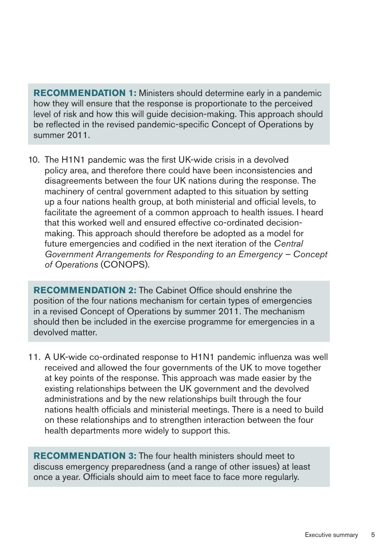**RECOMMENDATION 1:** Ministers should determine early in a pandemic how they will ensure that the response is proportionate to the perceived level of risk and how this will guide decision-making. This approach should be reflected in the revised pandemic-specific Concept of Operations by summer 2011.

10. The H1N1 pandemic was the first UK-wide crisis in a devolved policy area, and therefore there could have been inconsistencies and disagreements between the four UK nations during the response. The machinery of central government adapted to this situation by setting up a four nations health group, at both ministerial and official levels, to facilitate the agreement of a common approach to health issues. I heard that this worked well and ensured effective co-ordinated decisionmaking. This approach should therefore be adopted as a model for future emergencies and codified in the next iteration of the *Central Government Arrangements for Responding to an Emergency – Concept of Operations* (CONOPS).

**RECOMMENDATION 2:** The Cabinet Office should enshrine the position of the four nations mechanism for certain types of emergencies in a revised Concept of Operations by summer 2011. The mechanism should then be included in the exercise programme for emergencies in a devolved matter.

11. A UK-wide co-ordinated response to H1N1 pandemic influenza was well received and allowed the four governments of the UK to move together at key points of the response. This approach was made easier by the existing relationships between the UK government and the devolved administrations and by the new relationships built through the four nations health officials and ministerial meetings. There is a need to build on these relationships and to strengthen interaction between the four health departments more widely to support this.

**RECOMMENDATION3:** The four health ministers should meet to discuss emergency preparedness (and a range of other issues) at least once a year. Officials should aim to meet face to face more regularly.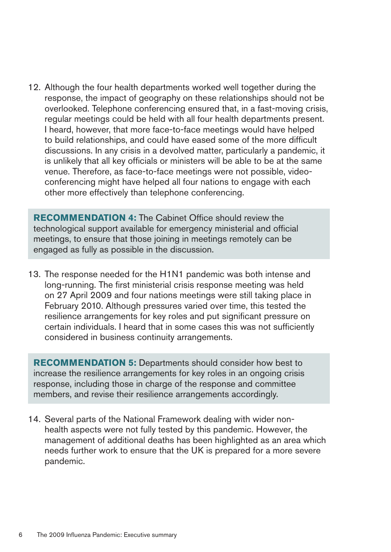12. Although the four health departments worked well together during the response, the impact of geography on these relationships should not be overlooked. Telephone conferencing ensured that, in a fast-moving crisis, regular meetings could be held with all four health departments present. I heard, however, that more face-to-face meetings would have helped to build relationships, and could have eased some of the more difficult discussions. In any crisis in a devolved matter, particularly a pandemic, it is unlikely that all key officials or ministers will be able to be at the same venue. Therefore, as face-to-face meetings were not possible, videoconferencing might have helped all four nations to engage with each other more effectively than telephone conferencing.

**RECOMMENDATION 4:** The Cabinet Office should review the technological support available for emergency ministerial and official meetings, to ensure that those joining in meetings remotely can be engaged as fully as possible in the discussion.

13. The response needed for the H1N1 pandemic was both intense and long-running. The first ministerial crisis response meeting was held on 27 April 2009 and four nations meetings were still taking place in February 2010. Although pressures varied over time, this tested the resilience arrangements for key roles and put significant pressure on certain individuals. I heard that in some cases this was not sufficiently considered in business continuity arrangements.

**RECOMMENDATION 5:** Departments should consider how best to increase the resilience arrangements for key roles in an ongoing crisis response, including those in charge of the response and committee members, and revise their resilience arrangements accordingly.

14. Several parts of the National Framework dealing with wider nonhealth aspects were not fully tested by this pandemic. However, the management of additional deaths has been highlighted as an area which needs further work to ensure that the UK is prepared for a more severe pandemic.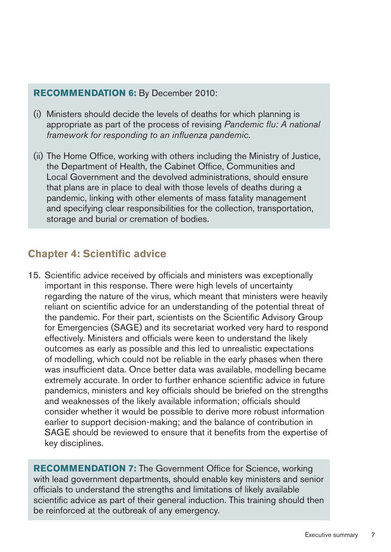#### **RECOMMENDATION 6: By December 2010:**

- (i) Ministers should decide the levels of deaths for which planning is appropriate as part of the process of revising *Pandemic flu: A national framework for responding to an influenza pandemic*.
- (ii) The Home Office, working with others including the Ministry of Justice, the Department of Health, the Cabinet Office, Communities and Local Government and the devolved administrations, should ensure that plans are in place to deal with those levels of deaths during a pandemic, linking with other elements of mass fatality management and specifying clear responsibilities for the collection, transportation, storage and burial or cremation of bodies.

## **Chapter 4: Scientific advice**

15. Scientific advice received by officials and ministers was exceptionally important in this response. There were high levels of uncertainty regarding the nature of the virus, which meant that ministers were heavily reliant on scientific advice for an understanding of the potential threat of the pandemic. For their part, scientists on the Scientific Advisory Group for Emergencies (SAGE) and its secretariat worked very hard to respond effectively. Ministers and officials were keen to understand the likely outcomes as early as possible and this led to unrealistic expectations of modelling, which could not be reliable in the early phases when there was insufficient data. Once better data was available, modelling became extremely accurate. In order to further enhance scientific advice in future pandemics, ministers and key officials should be briefed on the strengths and weaknesses of the likely available information; officials should consider whether it would be possible to derive more robust information earlier to support decision-making; and the balance of contribution in SAGE should be reviewed to ensure that it benefits from the expertise of key disciplines.

**RECOMMENDATION 7:** The Government Office for Science, working with lead government departments, should enable key ministers and senior officials to understand the strengths and limitations of likely available scientific advice as part of their general induction. This training should then be reinforced at the outbreak of any emergency.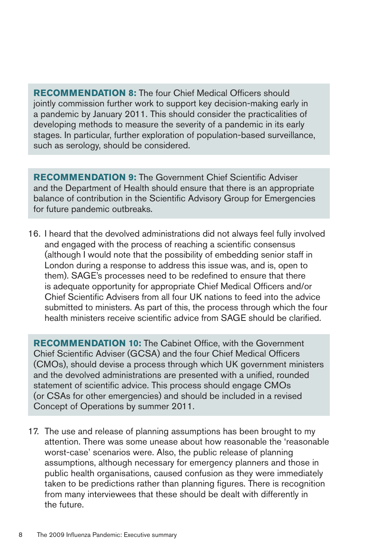**RECOMMENDATION 8: The four Chief Medical Officers should** jointly commission further work to support key decision-making early in a pandemic by January 2011. This should consider the practicalities of developing methods to measure the severity of a pandemic in its early stages. In particular, further exploration of population-based surveillance, such as serology, should be considered.

**RECOMMENDATION 9: The Government Chief Scientific Adviser** and the Department of Health should ensure that there is an appropriate balance of contribution in the Scientific Advisory Group for Emergencies for future pandemic outbreaks.

16. I heard that the devolved administrations did not always feel fully involved and engaged with the process of reaching a scientific consensus (although I would note that the possibility of embedding senior staff in London during a response to address this issue was, and is, open to them). SAGE's processes need to be redefined to ensure that there is adequate opportunity for appropriate Chief Medical Officers and/or Chief Scientific Advisers from all four UK nations to feed into the advice submitted to ministers. As part of this, the process through which the four health ministers receive scientific advice from SAGE should be clarified.

**RECOMMENDATION 10:** The Cabinet Office, with the Government Chief Scientific Adviser (GCSA) and the four Chief Medical Officers (CMOs), should devise a process through which UK government ministers and the devolved administrations are presented with a unified, rounded statement of scientific advice. This process should engage CMOs (or CSAs for other emergencies) and should be included in a revised Concept of Operations by summer 2011.

17. The use and release of planning assumptions has been brought to my attention. There was some unease about how reasonable the 'reasonable worst-case' scenarios were. Also, the public release of planning assumptions, although necessary for emergency planners and those in public health organisations, caused confusion as they were immediately taken to be predictions rather than planning figures. There is recognition from many interviewees that these should be dealt with differently in the future.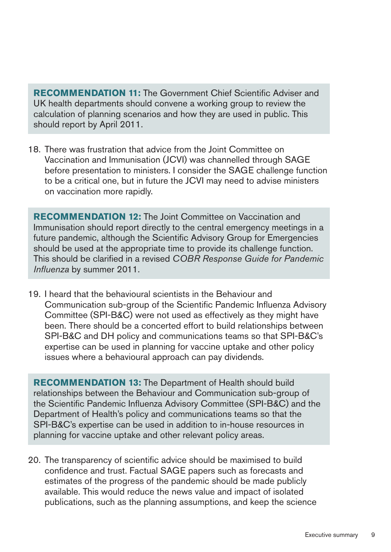**RECOMMENDATION 11:** The Government Chief Scientific Adviser and UK health departments should convene a working group to review the calculation of planning scenarios and how they are used in public. This should report by April 2011.

18. There was frustration that advice from the Joint Committee on Vaccination and Immunisation (JCVI) was channelled through SAGE before presentation to ministers. I consider the SAGE challenge function to be a critical one, but in future the JCVI may need to advise ministers on vaccination more rapidly.

**RECOMMENDATION 12:** The Joint Committee on Vaccination and Immunisation should report directly to the central emergency meetings in a future pandemic, although the Scientific Advisory Group for Emergencies should be used at the appropriate time to provide its challenge function. This should be clarified in a revised *COBR Response Guide for Pandemic Influenza* by summer 2011.

19. I heard that the behavioural scientists in the Behaviour and Communication sub-group of the Scientific Pandemic Influenza Advisory Committee (SPI-B&C) were not used as effectively as they might have been. There should be a concerted effort to build relationships between SPI-B&C and DH policy and communications teams so that SPI-B&C's expertise can be used in planning for vaccine uptake and other policy issues where a behavioural approach can pay dividends.

**RECOMMENDATION 13:** The Department of Health should build relationships between the Behaviour and Communication sub-group of the Scientific Pandemic Influenza Advisory Committee (SPI-B&C) and the Department of Health's policy and communications teams so that the SPI-B&C's expertise can be used in addition to in-house resources in planning for vaccine uptake and other relevant policy areas.

20. The transparency of scientific advice should be maximised to build confidence and trust. Factual SAGE papers such as forecasts and estimates of the progress of the pandemic should be made publicly available. This would reduce the news value and impact of isolated publications, such as the planning assumptions, and keep the science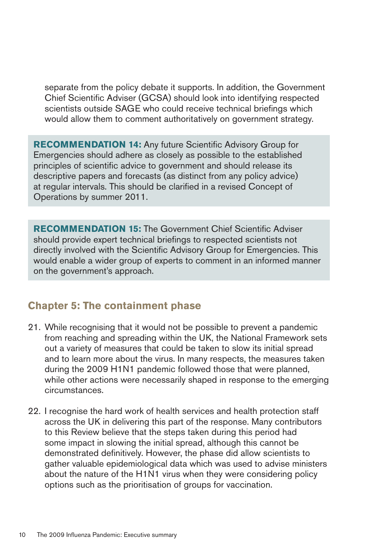separate from the policy debate it supports. In addition, the Government Chief Scientific Adviser (GCSA) should look into identifying respected scientists outside SAGE who could receive technical briefings which would allow them to comment authoritatively on government strategy.

**RECOMMENDATION 14:** Any future Scientific Advisory Group for Emergencies should adhere as closely as possible to the established principles of scientific advice to government and should release its descriptive papers and forecasts (as distinct from any policy advice) at regular intervals. This should be clarified in a revised Concept of Operations by summer 2011.

**RECOMMENDATION 15:** The Government Chief Scientific Adviser should provide expert technical briefings to respected scientists not directly involved with the Scientific Advisory Group for Emergencies. This would enable a wider group of experts to comment in an informed manner on the government's approach.

## **Chapter 5: The containment phase**

- 21. While recognising that it would not be possible to prevent a pandemic from reaching and spreading within the UK, the National Framework sets out a variety of measures that could be taken to slow its initial spread and to learn more about the virus. In many respects, the measures taken during the 2009 H1N1 pandemic followed those that were planned, while other actions were necessarily shaped in response to the emerging circumstances.
- 22. I recognise the hard work of health services and health protection staff across the UK in delivering this part of the response. Many contributors to this Review believe that the steps taken during this period had some impact in slowing the initial spread, although this cannot be demonstrated definitively. However, the phase did allow scientists to gather valuable epidemiological data which was used to advise ministers about the nature of the H1N1 virus when they were considering policy options such as the prioritisation of groups for vaccination.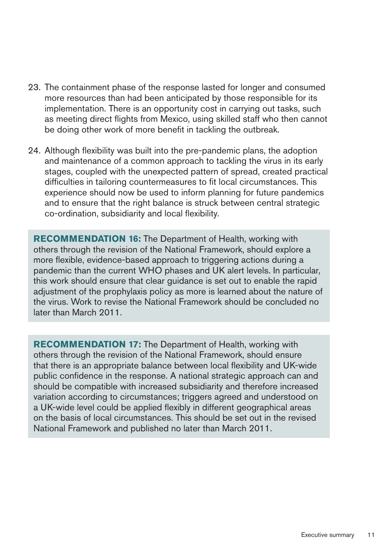- 23. The containment phase of the response lasted for longer and consumed more resources than had been anticipated by those responsible for its implementation. There is an opportunity cost in carrying out tasks, such as meeting direct flights from Mexico, using skilled staff who then cannot be doing other work of more benefit in tackling the outbreak.
- 24. Although flexibility was built into the pre-pandemic plans, the adoption and maintenance of a common approach to tackling the virus in its early stages, coupled with the unexpected pattern of spread, created practical difficulties in tailoring countermeasures to fit local circumstances. This experience should now be used to inform planning for future pandemics and to ensure that the right balance is struck between central strategic co-ordination, subsidiarity and local flexibility.

**RECOMMENDATION 16:** The Department of Health, working with others through the revision of the National Framework, should explore a more flexible, evidence-based approach to triggering actions during a pandemic than the current WHO phases and UK alert levels. In particular, this work should ensure that clear guidance is set out to enable the rapid adjustment of the prophylaxis policy as more is learned about the nature of the virus. Work to revise the National Framework should be concluded no later than March 2011.

**RECOMMENDATION 17:** The Department of Health, working with others through the revision of the National Framework, should ensure that there is an appropriate balance between local flexibility and UK-wide public confidence in the response. A national strategic approach can and should be compatible with increased subsidiarity and therefore increased variation according to circumstances; triggers agreed and understood on a UK-wide level could be applied flexibly in different geographical areas on the basis of local circumstances. This should be set out in the revised National Framework and published no later than March 2011.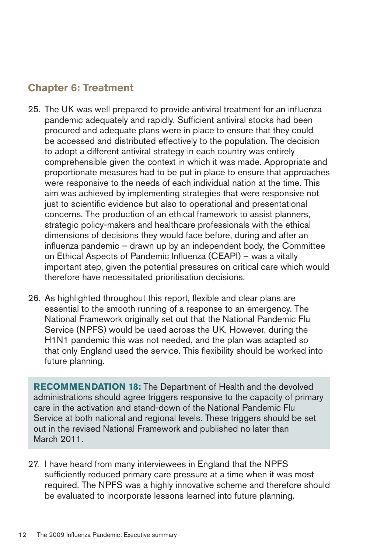## **Chapter 6: Treatment**

- 25. The UK was well prepared to provide antiviral treatment for an influenza pandemic adequately and rapidly. Sufficient antiviral stocks had been procured and adequate plans were in place to ensure that they could be accessed and distributed effectively to the population. The decision to adopt a different antiviral strategy in each country was entirely comprehensible given the context in which it was made. Appropriate and proportionate measures had to be put in place to ensure that approaches were responsive to the needs of each individual nation at the time. This aim was achieved by implementing strategies that were responsive not just to scientific evidence but also to operational and presentational concerns. The production of an ethical framework to assist planners, strategic policy-makers and healthcare professionals with the ethical dimensions of decisions they would face before, during and after an influenza pandemic – drawn up by an independent body, the Committee on Ethical Aspects of Pandemic Influenza (CEAPI) – was a vitally important step, given the potential pressures on critical care which would therefore have necessitated prioritisation decisions.
- 26. As highlighted throughout this report, flexible and clear plans are essential to the smooth running of a response to an emergency. The National Framework originally set out that the National Pandemic Flu Service (NPFS) would be used across the UK. However, during the H1N1 pandemic this was not needed, and the plan was adapted so that only England used the service. This flexibility should be worked into future planning.

RECOMMENDATION 18: The Department of Health and the devolved administrations should agree triggers responsive to the capacity of primary care in the activation and stand-down of the National Pandemic Flu Service at both national and regional levels. These triggers should be set out in the revised National Framework and published no later than March 2011.

27. I have heard from many interviewees in England that the NPFS sufficiently reduced primary care pressure at a time when it was most required. The NPFS was a highly innovative scheme and therefore should be evaluated to incorporate lessons learned into future planning.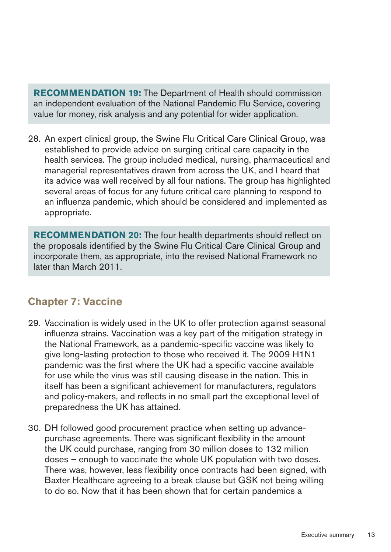**RECOMMENDATION 19:** The Department of Health should commission an independent evaluation of the National Pandemic Flu Service, covering value for money, risk analysis and any potential for wider application.

28. An expert clinical group, the Swine Flu Critical Care Clinical Group, was established to provide advice on surging critical care capacity in the health services. The group included medical, nursing, pharmaceutical and managerial representatives drawn from across the UK, and I heard that its advice was well received by all four nations. The group has highlighted several areas of focus for any future critical care planning to respond to an influenza pandemic, which should be considered and implemented as appropriate.

**RECOMMENDATION 20:** The four health departments should reflect on the proposals identified by the Swine Flu Critical Care Clinical Group and incorporate them, as appropriate, into the revised National Framework no later than March 2011.

## **Chapter 7: Vaccine**

- 29. Vaccination is widely used in the UK to offer protection against seasonal influenza strains. Vaccination was a key part of the mitigation strategy in the National Framework, as a pandemic-specific vaccine was likely to give long-lasting protection to those who received it. The 2009 H1N1 pandemic was the first where the UK had a specific vaccine available for use while the virus was still causing disease in the nation. This in itself has been a significant achievement for manufacturers, regulators and policy-makers, and reflects in no small part the exceptional level of preparedness the UK has attained.
- 30. DH followed good procurement practice when setting up advancepurchase agreements. There was significant flexibility in the amount the UK could purchase, ranging from 30 million doses to 132 million doses – enough to vaccinate the whole UK population with two doses. There was, however, less flexibility once contracts had been signed, with Baxter Healthcare agreeing to a break clause but GSK not being willing to do so. Now that it has been shown that for certain pandemics a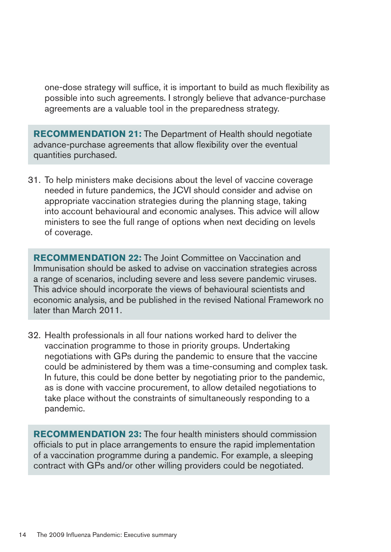one-dose strategy will suffice, it is important to build as much flexibility as possible into such agreements. I strongly believe that advance-purchase agreements are a valuable tool in the preparedness strategy.

**RECOMMENDATION 21:** The Department of Health should negotiate advance-purchase agreements that allow flexibility over the eventual quantities purchased.

31. To help ministers make decisions about the level of vaccine coverage needed in future pandemics, the JCVI should consider and advise on appropriate vaccination strategies during the planning stage, taking into account behavioural and economic analyses. This advice will allow ministers to see the full range of options when next deciding on levels of coverage.

**RECOMMENDATION 22:** The Joint Committee on Vaccination and Immunisation should be asked to advise on vaccination strategies across a range of scenarios, including severe and less severe pandemic viruses. This advice should incorporate the views of behavioural scientists and economic analysis, and be published in the revised National Framework no later than March 2011.

32. Health professionals in all four nations worked hard to deliver the vaccination programme to those in priority groups. Undertaking negotiations with GPs during the pandemic to ensure that the vaccine could be administered by them was a time-consuming and complex task. In future, this could be done better by negotiating prior to the pandemic, as is done with vaccine procurement, to allow detailed negotiations to take place without the constraints of simultaneously responding to a pandemic.

**RECOMMENDATION 23:** The four health ministers should commission officials to put in place arrangements to ensure the rapid implementation of a vaccination programme during a pandemic. For example, a sleeping contract with GPs and/or other willing providers could be negotiated.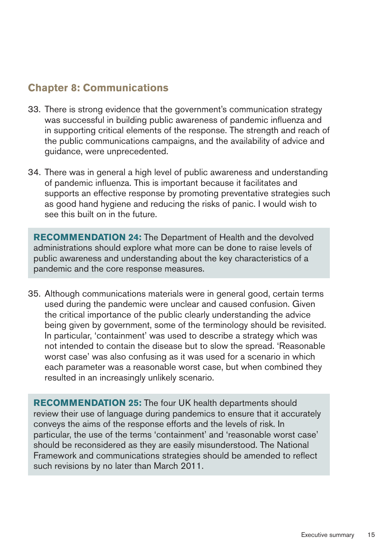## **Chapter 8: Communications**

- 33. There is strong evidence that the government's communication strategy was successful in building public awareness of pandemic influenza and in supporting critical elements of the response. The strength and reach of the public communications campaigns, and the availability of advice and guidance, were unprecedented.
- 34. There was in general a high level of public awareness and understanding of pandemic influenza. This is important because it facilitates and supports an effective response by promoting preventative strategies such as good hand hygiene and reducing the risks of panic. I would wish to see this built on in the future.

**RECOMMENDATION24:** The Department of Health and the devolved administrations should explore what more can be done to raise levels of public awareness and understanding about the key characteristics of a pandemic and the core response measures.

35. Although communications materials were in general good, certain terms used during the pandemic were unclear and caused confusion. Given the critical importance of the public clearly understanding the advice being given by government, some of the terminology should be revisited. In particular, 'containment' was used to describe a strategy which was not intended to contain the disease but to slow the spread. 'Reasonable worst case' was also confusing as it was used for a scenario in which each parameter was a reasonable worst case, but when combined they resulted in an increasingly unlikely scenario.

**RECOMMENDATION 25:** The four UK health departments should review their use of language during pandemics to ensure that it accurately conveys the aims of the response efforts and the levels of risk. In particular, the use of the terms 'containment' and 'reasonable worst case' should be reconsidered as they are easily misunderstood. The National Framework and communications strategies should be amended to reflect such revisions by no later than March 2011.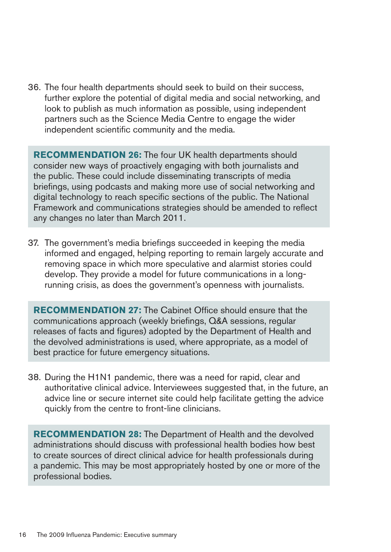36. The four health departments should seek to build on their success, further explore the potential of digital media and social networking, and look to publish as much information as possible, using independent partners such as the Science Media Centre to engage the wider independent scientific community and the media.

**RECOMMENDATION 26:** The four UK health departments should consider new ways of proactively engaging with both journalists and the public. These could include disseminating transcripts of media briefings, using podcasts and making more use of social networking and digital technology to reach specific sections of the public. The National Framework and communications strategies should be amended to reflect any changes no later than March 2011.

37. The government's media briefings succeeded in keeping the media informed and engaged, helping reporting to remain largely accurate and removing space in which more speculative and alarmist stories could develop. They provide a model for future communications in a longrunning crisis, as does the government's openness with journalists.

**RECOMMENDATION27:** The Cabinet Office should ensure that the communications approach (weekly briefings, Q&A sessions, regular releases of facts and figures) adopted by the Department of Health and the devolved administrations is used, where appropriate, as a model of best practice for future emergency situations.

38. During the H1N1 pandemic, there was a need for rapid, clear and authoritative clinical advice. Interviewees suggested that, in the future, an advice line or secure internet site could help facilitate getting the advice quickly from the centre to front-line clinicians.

**RECOMMENDATION 28:** The Department of Health and the devolved administrations should discuss with professional health bodies how best to create sources of direct clinical advice for health professionals during a pandemic. This may be most appropriately hosted by one or more of the professional bodies.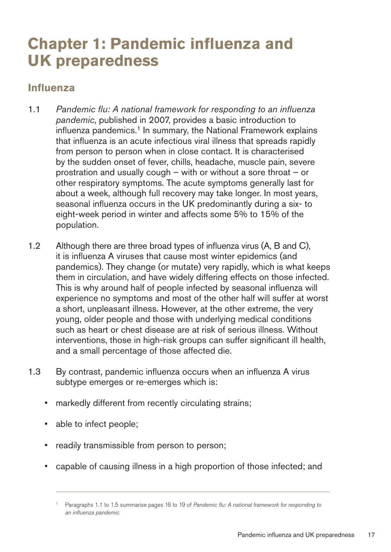# <span id="page-22-0"></span>**Chapter 1: Pandemic influenza and UK** preparedness

#### **Influenza**

- 1.1 � *Pandemic flu: A national framework for responding to an influenza pandemic*, published in 2007, provides a basic introduction to influenza pandemics.<sup>1</sup> In summary, the National Framework explains that influenza is an acute infectious viral illness that spreads rapidly from person to person when in close contact. It is characterised by the sudden onset of fever, chills, headache, muscle pain, severe prostration and usually cough – with or without a sore throat – or other respiratory symptoms. The acute symptoms generally last for about a week, although full recovery may take longer. In most years, seasonal influenza occurs in the UK predominantly during a six- to eight-week period in winter and affects some 5% to 15% of the population.
- 1.2 Although there are three broad types of influenza virus (A, B and C), it is influenza A viruses that cause most winter epidemics (and pandemics). They change (or mutate) very rapidly, which is what keeps them in circulation, and have widely differing effects on those infected. This is why around half of people infected by seasonal influenza will experience no symptoms and most of the other half will suffer at worst a short, unpleasant illness. However, at the other extreme, the very young, older people and those with underlying medical conditions such as heart or chest disease are at risk of serious illness. Without interventions, those in high-risk groups can suffer significant ill health, and a small percentage of those affected die.
- 1.3 By contrast, pandemic influenza occurs when an influenza A virus subtype emerges or re-emerges which is:
	- markedly different from recently circulating strains;
	- able to infect people;
	- readily transmissible from person to person;
	- capable of causing illness in a high proportion of those infected; and

<sup>1</sup> Paragraphs 1.1 to 1.5 summarise pages 16 to 19 of *Pandemic flu: A national framework for responding to an influenza pandemic*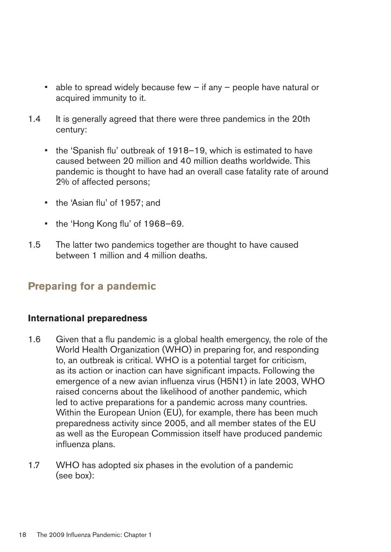- $\bullet$  able to spread widely because few if any people have natural or acquired immunity to it.
- 1.4 It is generally agreed that there were three pandemics in the 20th century:
	- the 'Spanish flu' outbreak of 1918–19, which is estimated to have caused between 20 million and 40 million deaths worldwide. This pandemic is thought to have had an overall case fatality rate of around 2% of affected persons;
	- the 'Asian flu' of 1957; and
	- the 'Hong Kong flu' of 1968–69.
- 1.5 The latter two pandemics together are thought to have caused between 1 million and 4 million deaths.

## **Preparing for a pandemic**

#### **International preparedness**

- 1.6 Given that a flu pandemic is a global health emergency, the role of the World Health Organization (WHO) in preparing for, and responding to, an outbreak is critical. WHO is a potential target for criticism, as its action or inaction can have significant impacts. Following the emergence of a new avian influenza virus (H5N1) in late 2003, WHO raised concerns about the likelihood of another pandemic, which led to active preparations for a pandemic across many countries. Within the European Union (EU), for example, there has been much preparedness activity since 2005, and all member states of the EU as well as the European Commission itself have produced pandemic influenza plans.
- 1.7 WHO has adopted six phases in the evolution of a pandemic (see box):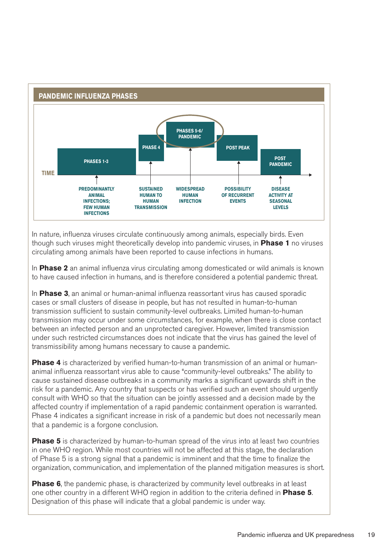

In nature, influenza viruses circulate continuously among animals, especially birds. Even though such viruses might theoretically develop into pandemic viruses, in **Phase1** no viruses circulating among animals have been reported to cause infections in humans.

In **Phase2** an animal influenza virus circulating among domesticated or wild animals is known to have caused infection in humans, and is therefore considered a potential pandemic threat.

In **Phase3**, an animal or human-animal influenza reassortant virus has caused sporadic cases or small clusters of disease in people, but has not resulted in human-to-human transmission sufficient to sustain community-level outbreaks. Limited human-to-human transmission may occur under some circumstances, for example, when there is close contact between an infected person and an unprotected caregiver. However, limited transmission under such restricted circumstances does not indicate that the virus has gained the level of transmissibility among humans necessary to cause a pandemic.

**Phase 4** is characterized by verified human-to-human transmission of an animal or humananimal influenza reassortant virus able to cause "community-level outbreaks." The ability to cause sustained disease outbreaks in a community marks a significant upwards shift in the risk for a pandemic. Any country that suspects or has verified such an event should urgently consult with WHO so that the situation can be jointly assessed and a decision made by the affected country if implementation of a rapid pandemic containment operation is warranted. Phase 4 indicates a significant increase in risk of a pandemic but does not necessarily mean that a pandemic is a forgone conclusion.

**Phase 5** is characterized by human-to-human spread of the virus into at least two countries in one WHO region. While most countries will not be affected at this stage, the declaration of Phase 5 is a strong signal that a pandemic is imminent and that the time to finalize the organization, communication, and implementation of the planned mitigation measures is short.

**Phase 6**, the pandemic phase, is characterized by community level outbreaks in at least one other country in a different WHO region in addition to the criteria defined in **Phase5**. Designation of this phase will indicate that a global pandemic is under way.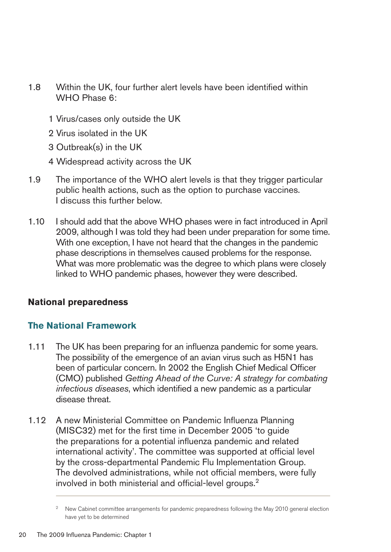- 1.8 Within the UK, four further alert levels have been identified within WHO Phase 6:
	- 1 Virus/cases only outside the UK
	- 2 Virus isolated in the UK
	- 3 Outbreak(s) in the UK
	- 4 Widespread activity across the UK
- 1.9 The importance of the WHO alert levels is that they trigger particular public health actions, such as the option to purchase vaccines. I discuss this further below.
- 1.10 � I should add that the above WHO phases were in fact introduced in April 2009, although I was told they had been under preparation for some time. With one exception, I have not heard that the changes in the pandemic phase descriptions in themselves caused problems for the response. What was more problematic was the degree to which plans were closely linked to WHO pandemic phases, however they were described.

#### **National preparedness**

#### **The National Framework**

- 1.11 The UK has been preparing for an influenza pandemic for some years. The possibility of the emergence of an avian virus such as H5N1 has been of particular concern. In 2002 the English Chief Medical Officer (CMO) published *Getting Ahead of the Curve: A strategy for combating infectious diseases*, which identified a new pandemic as a particular disease threat.
- 1.12 A new Ministerial Committee on Pandemic Influenza Planning (MISC32) met for the first time in December 2005 'to guide the preparations for a potential influenza pandemic and related international activity'. The committee was supported at official level by the cross-departmental Pandemic Flu Implementation Group. The devolved administrations, while not official members, were fully involved in both ministerial and official-level groups.2

<sup>&</sup>lt;sup>2</sup> New Cabinet committee arrangements for pandemic preparedness following the May 2010 general election have yet to be determined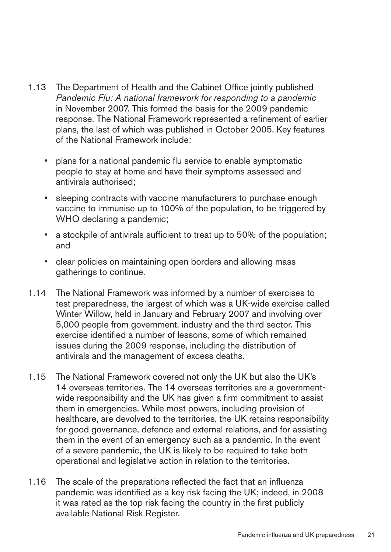- 1.13 The Department of Health and the Cabinet Office jointly published *Pandemic Flu: A national framework for responding to a pandemic*  in November 2007. This formed the basis for the 2009 pandemic response. The National Framework represented a refinement of earlier plans, the last of which was published in October 2005. Key features of the National Framework include:
	- plans for a national pandemic flu service to enable symptomatic people to stay at home and have their symptoms assessed and antivirals authorised;
	- sleeping contracts with vaccine manufacturers to purchase enough vaccine to immunise up to 100% of the population, to be triggered by WHO declaring a pandemic;
	- a stockpile of antivirals sufficient to treat up to 50% of the population; and
	- clear policies on maintaining open borders and allowing mass gatherings to continue.
- 1.14 The National Framework was informed by a number of exercises to test preparedness, the largest of which was a UK-wide exercise called Winter Willow, held in January and February 2007 and involving over 5,000 people from government, industry and the third sector. This exercise identified a number of lessons, some of which remained issues during the 2009 response, including the distribution of antivirals and the management of excess deaths.
- 1.15 The National Framework covered not only the UK but also the UK's 14 overseas territories. The 14 overseas territories are a governmentwide responsibility and the UK has given a firm commitment to assist them in emergencies. While most powers, including provision of healthcare, are devolved to the territories, the UK retains responsibility for good governance, defence and external relations, and for assisting them in the event of an emergency such as a pandemic. In the event of a severe pandemic, the UK is likely to be required to take both operational and legislative action in relation to the territories.
- 1.16 The scale of the preparations reflected the fact that an influenza pandemic was identified as a key risk facing the UK; indeed, in 2008 it was rated as the top risk facing the country in the first publicly available National Risk Register.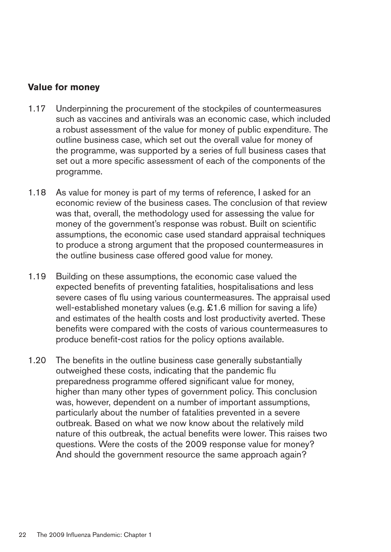#### **Value for money**

- 1.17 Underpinning the procurement of the stockpiles of countermeasures such as vaccines and antivirals was an economic case, which included a robust assessment of the value for money of public expenditure. The outline business case, which set out the overall value for money of the programme, was supported by a series of full business cases that set out a more specific assessment of each of the components of the programme.
- 1.18 As value for money is part of my terms of reference, I asked for an economic review of the business cases. The conclusion of that review was that, overall, the methodology used for assessing the value for money of the government's response was robust. Built on scientific assumptions, the economic case used standard appraisal techniques to produce a strong argument that the proposed countermeasures in the outline business case offered good value for money.
- 1.19 Building on these assumptions, the economic case valued the expected benefits of preventing fatalities, hospitalisations and less severe cases of flu using various countermeasures. The appraisal used well-established monetary values (e.g. £1.6 million for saving a life) and estimates of the health costs and lost productivity averted. These benefits were compared with the costs of various countermeasures to produce benefit-cost ratios for the policy options available.
- 1.20 The benefits in the outline business case generally substantially outweighed these costs, indicating that the pandemic flu preparedness programme offered significant value for money, higher than many other types of government policy. This conclusion was, however, dependent on a number of important assumptions, particularly about the number of fatalities prevented in a severe outbreak. Based on what we now know about the relatively mild nature of this outbreak, the actual benefits were lower. This raises two questions. Were the costs of the 2009 response value for money? And should the government resource the same approach again?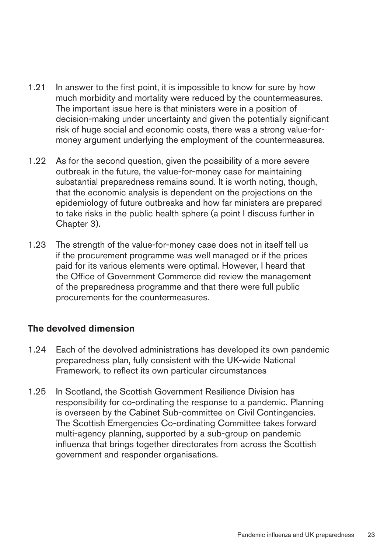- 1.21 In answer to the first point, it is impossible to know for sure by how much morbidity and mortality were reduced by the countermeasures. The important issue here is that ministers were in a position of decision-making under uncertainty and given the potentially significant risk of huge social and economic costs, there was a strong value-formoney argument underlying the employment of the countermeasures.
- 1.22 As for the second question, given the possibility of a more severe outbreak in the future, the value-for-money case for maintaining substantial preparedness remains sound. It is worth noting, though, that the economic analysis is dependent on the projections on the epidemiology of future outbreaks and how far ministers are prepared to take risks in the public health sphere (a point I discuss further in Chapter 3).
- 1.23 The strength of the value-for-money case does not in itself tell us if the procurement programme was well managed or if the prices paid for its various elements were optimal. However, I heard that the Office of Government Commerce did review the management of the preparedness programme and that there were full public procurements for the countermeasures.

#### **The devolved dimension**

- 1.24 Each of the devolved administrations has developed its own pandemic preparedness plan, fully consistent with the UK-wide National Framework, to reflect its own particular circumstances
- 1.25 In Scotland, the Scottish Government Resilience Division has responsibility for co-ordinating the response to a pandemic. Planning is overseen by the Cabinet Sub-committee on Civil Contingencies. The Scottish Emergencies Co-ordinating Committee takes forward multi-agency planning, supported by a sub-group on pandemic influenza that brings together directorates from across the Scottish government and responder organisations.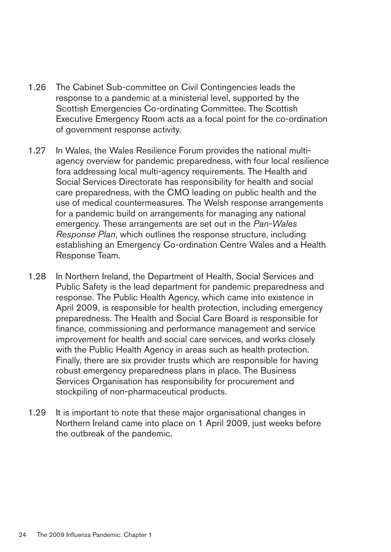- 1.26 The Cabinet Sub-committee on Civil Contingencies leads the response to a pandemic at a ministerial level, supported by the Scottish Emergencies Co-ordinating Committee. The Scottish Executive Emergency Room acts as a focal point for the co-ordination of government response activity.
- 1.27 In Wales, the Wales Resilience Forum provides the national multiagency overview for pandemic preparedness, with four local resilience fora addressing local multi-agency requirements. The Health and Social Services Directorate has responsibility for health and social care preparedness, with the CMO leading on public health and the use of medical countermeasures. The Welsh response arrangements for a pandemic build on arrangements for managing any national emergency. These arrangements are set out in the *Pan-Wales Response Plan*, which outlines the response structure, including establishing an Emergency Co-ordination Centre Wales and a Health Response Team.
- 1.28 In Northern Ireland, the Department of Health, Social Services and Public Safety is the lead department for pandemic preparedness and response. The Public Health Agency, which came into existence in April 2009, is responsible for health protection, including emergency preparedness. The Health and Social Care Board is responsible for finance, commissioning and performance management and service improvement for health and social care services, and works closely with the Public Health Agency in areas such as health protection. Finally, there are six provider trusts which are responsible for having robust emergency preparedness plans in place. The Business Services Organisation has responsibility for procurement and stockpiling of non-pharmaceutical products.
- 1.29 It is important to note that these major organisational changes in Northern Ireland came into place on 1 April 2009, just weeks before the outbreak of the pandemic.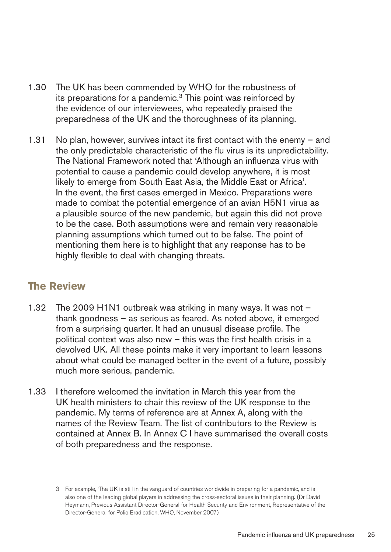- 1.30 The UK has been commended by WHO for the robustness of its preparations for a pandemic.<sup>3</sup> This point was reinforced by the evidence of our interviewees, who repeatedly praised the preparedness of the UK and the thoroughness of its planning.
- 1.31 No plan, however, survives intact its first contact with the enemy  $-$  and the only predictable characteristic of the flu virus is its unpredictability. The National Framework noted that 'Although an influenza virus with potential to cause a pandemic could develop anywhere, it is most likely to emerge from South East Asia, the Middle East or Africa'. In the event, the first cases emerged in Mexico. Preparations were made to combat the potential emergence of an avian H5N1 virus as a plausible source of the new pandemic, but again this did not prove to be the case. Both assumptions were and remain very reasonable planning assumptions which turned out to be false. The point of mentioning them here is to highlight that any response has to be highly flexible to deal with changing threats.

## **The Review**

- 1.32 The 2009 H1N1 outbreak was striking in many ways. It was not  $$ thank goodness – as serious as feared. As noted above, it emerged from a surprising quarter. It had an unusual disease profile. The political context was also new – this was the first health crisis in a devolved UK. All these points make it very important to learn lessons about what could be managed better in the event of a future, possibly much more serious, pandemic.
- 1.33 I therefore welcomed the invitation in March this year from the UK health ministers to chair this review of the UK response to the pandemic. My terms of reference are at Annex A, along with the names of the Review Team. The list of contributors to the Review is contained at Annex B. In Annex C I have summarised the overall costs of both preparedness and the response.

<sup>3</sup> For example, 'The UK is still in the vanguard of countries worldwide in preparing for a pandemic, and is also one of the leading global players in addressing the cross-sectoral issues in their planning.' (Dr David Heymann, Previous Assistant Director-General for Health Security and Environment, Representative of the Director-General for Polio Eradication, WHO, November 2007)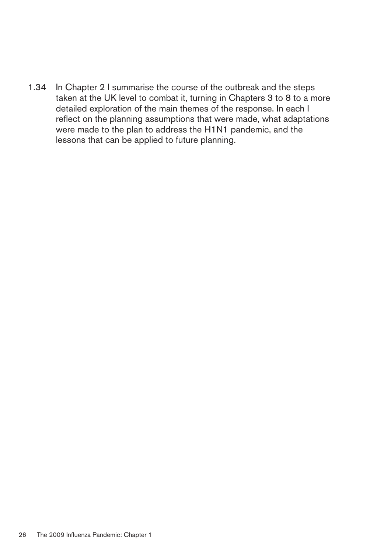1.34 In Chapter 2 I summarise the course of the outbreak and the steps taken at the UK level to combat it, turning in Chapters 3 to 8 to a more detailed exploration of the main themes of the response. In each I reflect on the planning assumptions that were made, what adaptations were made to the plan to address the H1N1 pandemic, and the lessons that can be applied to future planning.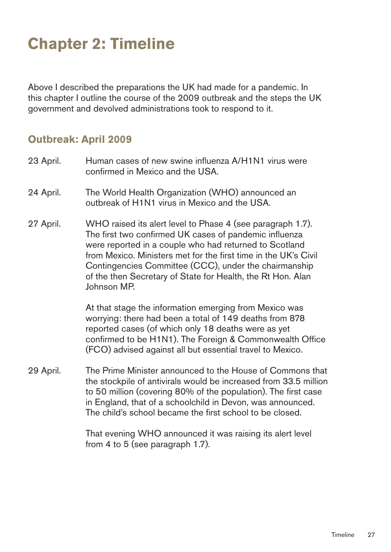# <span id="page-32-0"></span>**Chapter 2: Timeline**

Above I described the preparations the UK had made for a pandemic. In this chapter I outline the course of the 2009 outbreak and the steps the UK government and devolved administrations took to respond to it.

#### **Outbreak:April2009**

- 23 April. Human cases of new swine influenza A/H1N1 virus were confirmed in Mexico and the USA.
- 24 April. The World Health Organization (WHO) announced an outbreak of H1N1 virus in Mexico and the USA.
- 27 April. WHO raised its alert level to Phase 4 (see paragraph 1.7). The first two confirmed UK cases of pandemic influenza were reported in a couple who had returned to Scotland from Mexico. Ministers met for the first time in the UK's Civil Contingencies Committee (CCC), under the chairmanship of the then Secretary of State for Health, the Rt Hon. Alan Johnson MP.

At that stage the information emerging from Mexico was worrying: there had been a total of 149 deaths from 878 reported cases (of which only 18 deaths were as yet confirmed to be H1N1). The Foreign & Commonwealth Office (FCO) advised against all but essential travel to Mexico.

29 April. The Prime Minister announced to the House of Commons that the stockpile of antivirals would be increased from 33.5 million to 50 million (covering 80% of the population). The first case in England, that of a schoolchild in Devon, was announced. The child's school became the first school to be closed.

> That evening WHO announced it was raising its alert level from 4 to 5 (see paragraph 1.7).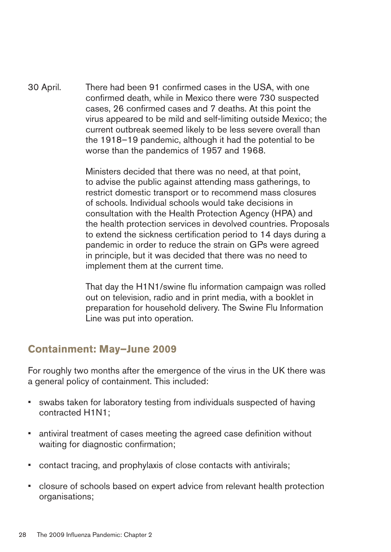30 April. There had been 91 confirmed cases in the USA, with one confirmed death, while in Mexico there were 730 suspected cases, 26 confirmed cases and 7 deaths. At this point the virus appeared to be mild and self-limiting outside Mexico; the current outbreak seemed likely to be less severe overall than the 1918–19 pandemic, although it had the potential to be worse than the pandemics of 1957 and 1968.

> Ministers decided that there was no need, at that point, to advise the public against attending mass gatherings, to restrict domestic transport or to recommend mass closures of schools. Individual schools would take decisions in consultation with the Health Protection Agency (HPA) and the health protection services in devolved countries. Proposals to extend the sickness certification period to 14 days during a pandemic in order to reduce the strain on GPs were agreed in principle, but it was decided that there was no need to implement them at the current time.

That day the H1N1/swine flu information campaign was rolled out on television, radio and in print media, with a booklet in preparation for household delivery. The Swine Flu Information Line was put into operation.

## **Containment: May–June 2009**

For roughly two months after the emergence of the virus in the UK there was a general policy of containment. This included:

- swabs taken for laboratory testing from individuals suspected of having contracted H1N1;
- antiviral treatment of cases meeting the agreed case definition without waiting for diagnostic confirmation;
- contact tracing, and prophylaxis of close contacts with antivirals;
- closure of schools based on expert advice from relevant health protection organisations;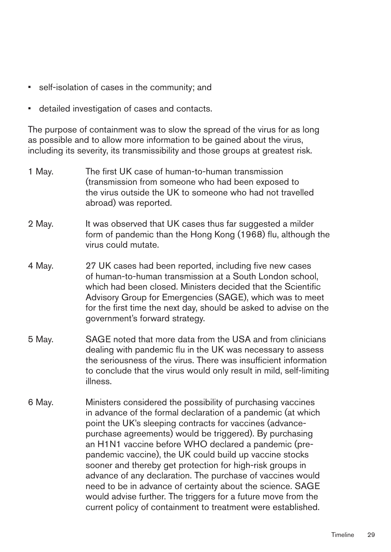- self-isolation of cases in the community; and
- detailed investigation of cases and contacts.

The purpose of containment was to slow the spread of the virus for as long as possible and to allow more information to be gained about the virus, including its severity, its transmissibility and those groups at greatest risk.

- 1 May. The first UK case of human-to-human transmission (transmission from someone who had been exposed to the virus outside the UK to someone who had not travelled abroad) was reported.
- 2 May. It was observed that UK cases thus far suggested a milder form of pandemic than the Hong Kong (1968) flu, although the virus could mutate.
- 4 May. 27 UK cases had been reported, including five new cases of human-to-human transmission at a South London school, which had been closed. Ministers decided that the Scientific Advisory Group for Emergencies (SAGE), which was to meet for the first time the next day, should be asked to advise on the government's forward strategy.
- 5 May. SAGE noted that more data from the USA and from clinicians dealing with pandemic flu in the UK was necessary to assess the seriousness of the virus. There was insufficient information to conclude that the virus would only result in mild, self-limiting illness.
- 6 May. Ministers considered the possibility of purchasing vaccines in advance of the formal declaration of a pandemic (at which point the UK's sleeping contracts for vaccines (advancepurchase agreements) would be triggered). By purchasing an H1N1 vaccine before WHO declared a pandemic (prepandemic vaccine), the UK could build up vaccine stocks sooner and thereby get protection for high-risk groups in advance of any declaration. The purchase of vaccines would need to be in advance of certainty about the science. SAGE would advise further. The triggers for a future move from the current policy of containment to treatment were established.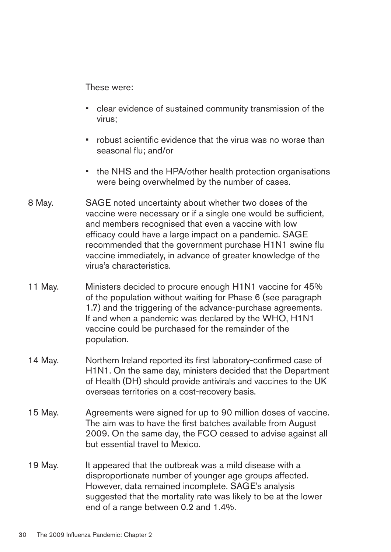These were:

- clear evidence of sustained community transmission of the virus;
- robust scientific evidence that the virus was no worse than seasonal flu; and/or
- the NHS and the HPA/other health protection organisations were being overwhelmed by the number of cases.
- 8 May. SAGE noted uncertainty about whether two doses of the vaccine were necessary or if a single one would be sufficient, and members recognised that even a vaccine with low efficacy could have a large impact on a pandemic. SAGE recommended that the government purchase H1N1 swine flu vaccine immediately, in advance of greater knowledge of the virus's characteristics.
- 11 May. Ministers decided to procure enough H1N1 vaccine for 45% of the population without waiting for Phase 6 (see paragraph 1.7) and the triggering of the advance-purchase agreements. If and when a pandemic was declared by the WHO, H1N1 vaccine could be purchased for the remainder of the population.
- 14 May. Northern Ireland reported its first laboratory-confirmed case of H1N1. On the same day, ministers decided that the Department of Health (DH) should provide antivirals and vaccines to the UK overseas territories on a cost-recovery basis.
- 15 May. Agreements were signed for up to 90 million doses of vaccine. The aim was to have the first batches available from August 2009. On the same day, the FCO ceased to advise against all but essential travel to Mexico.
- 19 May. It appeared that the outbreak was a mild disease with a disproportionate number of younger age groups affected. However, data remained incomplete. SAGE's analysis suggested that the mortality rate was likely to be at the lower end of a range between 0.2 and 1.4%.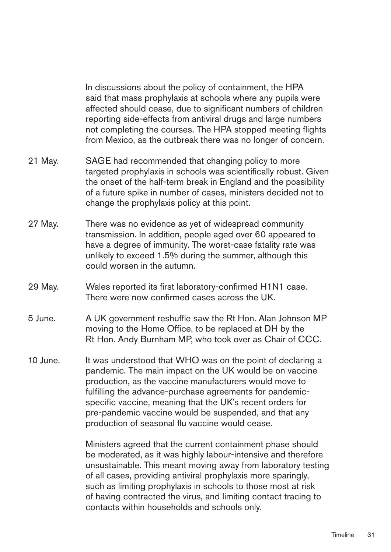In discussions about the policy of containment, the HPA said that mass prophylaxis at schools where any pupils were affected should cease, due to significant numbers of children reporting side-effects from antiviral drugs and large numbers not completing the courses. The HPA stopped meeting flights from Mexico, as the outbreak there was no longer of concern.

- 21 May. SAGE had recommended that changing policy to more targeted prophylaxis in schools was scientifically robust. Given the onset of the half-term break in England and the possibility of a future spike in number of cases, ministers decided not to change the prophylaxis policy at this point.
- 27 May. There was no evidence as yet of widespread community transmission. In addition, people aged over 60 appeared to have a degree of immunity. The worst-case fatality rate was unlikely to exceed 1.5% during the summer, although this could worsen in the autumn.
- 29 May. Wales reported its first laboratory-confirmed H1N1 case. There were now confirmed cases across the UK.
- 5 June. A UK government reshuffle saw the Rt Hon. Alan Johnson MP moving to the Home Office, to be replaced at DH by the Rt Hon. Andy Burnham MP, who took over as Chair of CCC.
- 10 June. It was understood that WHO was on the point of declaring a pandemic. The main impact on the UK would be on vaccine production, as the vaccine manufacturers would move to fulfilling the advance-purchase agreements for pandemicspecific vaccine, meaning that the UK's recent orders for pre-pandemic vaccine would be suspended, and that any production of seasonal flu vaccine would cease.

Ministers agreed that the current containment phase should be moderated, as it was highly labour-intensive and therefore unsustainable. This meant moving away from laboratory testing of all cases, providing antiviral prophylaxis more sparingly, such as limiting prophylaxis in schools to those most at risk of having contracted the virus, and limiting contact tracing to contacts within households and schools only.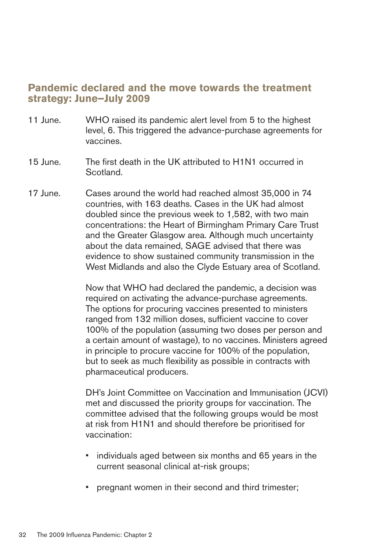# **Pandemic declared and the move towards the treatment strategy:June–July2009**

- 11 June. WHO raised its pandemic alert level from 5 to the highest level, 6. This triggered the advance-purchase agreements for vaccines.
- 15 June. The first death in the UK attributed to H1N1 occurred in Scotland.
- 17 June. Cases around the world had reached almost 35,000 in 74 countries, with 163 deaths. Cases in the UK had almost doubled since the previous week to 1,582, with two main concentrations: the Heart of Birmingham Primary Care Trust and the Greater Glasgow area. Although much uncertainty about the data remained, SAGE advised that there was evidence to show sustained community transmission in the West Midlands and also the Clyde Estuary area of Scotland.

Now that WHO had declared the pandemic, a decision was required on activating the advance-purchase agreements. The options for procuring vaccines presented to ministers ranged from 132 million doses, sufficient vaccine to cover 100% of the population (assuming two doses per person and a certain amount of wastage), to no vaccines. Ministers agreed in principle to procure vaccine for 100% of the population, but to seek as much flexibility as possible in contracts with pharmaceutical producers.

DH's Joint Committee on Vaccination and Immunisation (JCVI) met and discussed the priority groups for vaccination. The committee advised that the following groups would be most at risk from H1N1 and should therefore be prioritised for vaccination:

- individuals aged between six months and 65 years in the current seasonal clinical at-risk groups;
- pregnant women in their second and third trimester;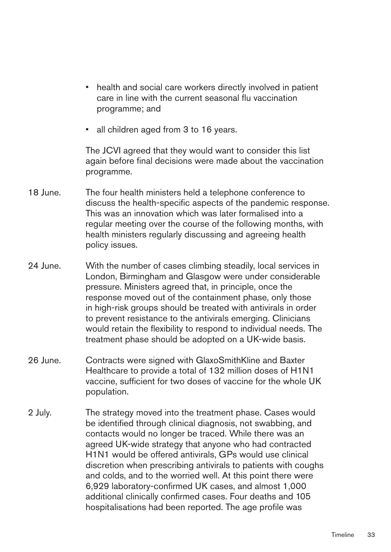- health and social care workers directly involved in patient care in line with the current seasonal flu vaccination programme; and
- all children aged from 3 to 16 years.

The JCVI agreed that they would want to consider this list again before final decisions were made about the vaccination programme.

- 18 June. The four health ministers held a telephone conference to discuss the health-specific aspects of the pandemic response. This was an innovation which was later formalised into a regular meeting over the course of the following months, with health ministers regularly discussing and agreeing health policy issues.
- 24 June. With the number of cases climbing steadily, local services in London, Birmingham and Glasgow were under considerable pressure. Ministers agreed that, in principle, once the response moved out of the containment phase, only those in high-risk groups should be treated with antivirals in order to prevent resistance to the antivirals emerging. Clinicians would retain the flexibility to respond to individual needs. The treatment phase should be adopted on a UK-wide basis.
- 26 June. Contracts were signed with GlaxoSmithKline and Baxter Healthcare to provide a total of 132 million doses of H1N1 vaccine, sufficient for two doses of vaccine for the whole UK population.
- 2 July. The strategy moved into the treatment phase. Cases would be identified through clinical diagnosis, not swabbing, and contacts would no longer be traced. While there was an agreed UK-wide strategy that anyone who had contracted H1N1 would be offered antivirals, GPs would use clinical discretion when prescribing antivirals to patients with coughs and colds, and to the worried well. At this point there were 6,929 laboratory-confirmed UK cases, and almost 1,000 additional clinically confirmed cases. Four deaths and 105 hospitalisations had been reported. The age profile was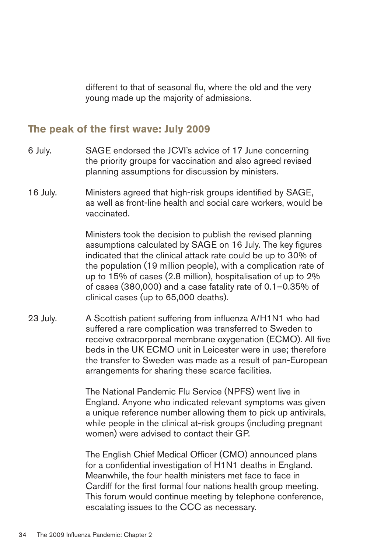different to that of seasonal flu, where the old and the very young made up the majority of admissions.

## The peak of the first wave: July 2009

- 6 July. SAGE endorsed the JCVI's advice of 17 June concerning the priority groups for vaccination and also agreed revised planning assumptions for discussion by ministers.
- 16 July. Ministers agreed that high-risk groups identified by SAGE, as well as front-line health and social care workers, would be vaccinated.

Ministers took the decision to publish the revised planning assumptions calculated by SAGE on 16 July. The key figures indicated that the clinical attack rate could be up to 30% of the population (19 million people), with a complication rate of up to 15% of cases (2.8 million), hospitalisation of up to 2% of cases (380,000) and a case fatality rate of 0.1–0.35% of clinical cases (up to 65,000 deaths).

23 July. A Scottish patient suffering from influenza A/H1N1 who had suffered a rare complication was transferred to Sweden to receive extracorporeal membrane oxygenation (ECMO). All five beds in the UK ECMO unit in Leicester were in use; therefore the transfer to Sweden was made as a result of pan-European arrangements for sharing these scarce facilities.

> The National Pandemic Flu Service (NPFS) went live in England. Anyone who indicated relevant symptoms was given a unique reference number allowing them to pick up antivirals, while people in the clinical at-risk groups (including pregnant women) were advised to contact their GP.

> The English Chief Medical Officer (CMO) announced plans for a confidential investigation of H1N1 deaths in England. Meanwhile, the four health ministers met face to face in Cardiff for the first formal four nations health group meeting. This forum would continue meeting by telephone conference, escalating issues to the CCC as necessary.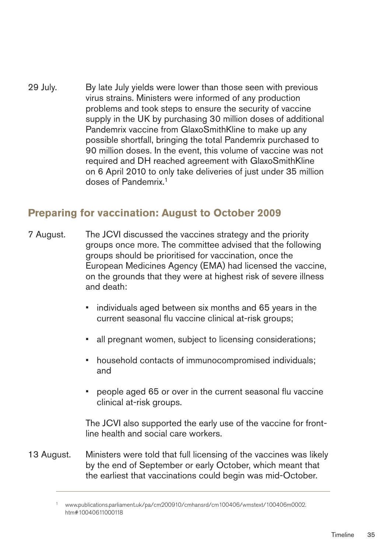29 July. By late July yields were lower than those seen with previous virus strains. Ministers were informed of any production problems and took steps to ensure the security of vaccine supply in the UK by purchasing 30 million doses of additional Pandemrix vaccine from GlaxoSmithKline to make up any possible shortfall, bringing the total Pandemrix purchased to 90 million doses. In the event, this volume of vaccine was not required and DH reached agreement with GlaxoSmithKline on 6 April 2010 to only take deliveries of just under 35 million doses of Pandemrix.1

# **Preparing for vaccination: August to October 2009**

- 7 August. The JCVI discussed the vaccines strategy and the priority groups once more. The committee advised that the following groups should be prioritised for vaccination, once the European Medicines Agency (EMA) had licensed the vaccine, on the grounds that they were at highest risk of severe illness and death:
	- individuals aged between six months and 65 years in the current seasonal flu vaccine clinical at-risk groups;
	- all pregnant women, subject to licensing considerations;
	- household contacts of immunocompromised individuals; and
	- people aged 65 or over in the current seasonal flu vaccine clinical at-risk groups.

The JCVI also supported the early use of the vaccine for frontline health and social care workers.

13 August. Ministers were told that full licensing of the vaccines was likely by the end of September or early October, which meant that the earliest that vaccinations could begin was mid-October.

<sup>1</sup> [www.publications.parliament.uk/pa/cm200910/cmhansrd/cm100406/wmstext/100406m0002.](http://www.publications.parliament.uk/pa/cm200910/cmhansrd/cm100406/wmstext/100406m0002.htm#10040611000118) htm#10040611000118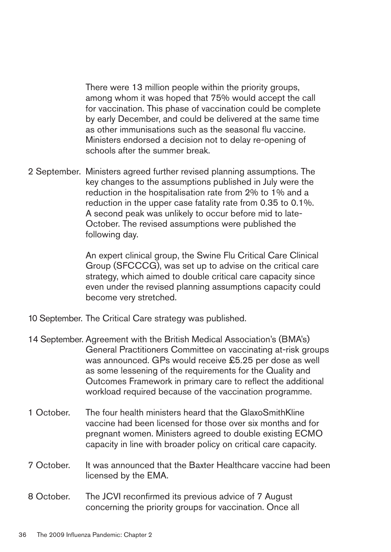There were 13 million people within the priority groups, among whom it was hoped that 75% would accept the call for vaccination. This phase of vaccination could be complete by early December, and could be delivered at the same time as other immunisations such as the seasonal flu vaccine. Ministers endorsed a decision not to delay re-opening of schools after the summer break.

2 September. Ministers agreed further revised planning assumptions. The key changes to the assumptions published in July were the reduction in the hospitalisation rate from 2% to 1% and a reduction in the upper case fatality rate from 0.35 to 0.1%. A second peak was unlikely to occur before mid to late-October. The revised assumptions were published the following day.

> An expert clinical group, the Swine Flu Critical Care Clinical Group (SFCCCG), was set up to advise on the critical care strategy, which aimed to double critical care capacity since even under the revised planning assumptions capacity could become very stretched.

- 10 September. The Critical Care strategy was published.
- 14 September. Agreement with the British Medical Association's (BMA's) General Practitioners Committee on vaccinating at-risk groups was announced. GPs would receive £5.25 per dose as well as some lessening of the requirements for the Quality and Outcomes Framework in primary care to reflect the additional workload required because of the vaccination programme.
- 1 October. The four health ministers heard that the GlaxoSmithKline vaccine had been licensed for those over six months and for pregnant women. Ministers agreed to double existing ECMO capacity in line with broader policy on critical care capacity.
- 7 October. It was announced that the Baxter Healthcare vaccine had been licensed by the EMA.
- 8 October. The JCVI reconfirmed its previous advice of 7 August concerning the priority groups for vaccination. Once all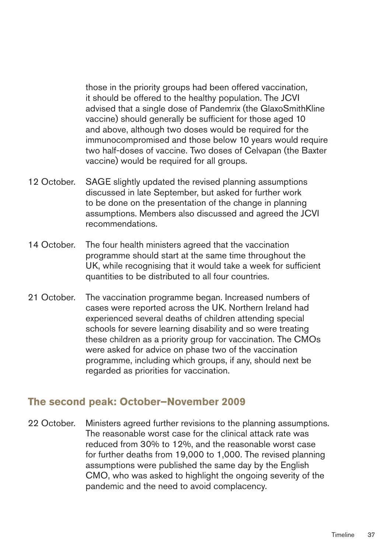those in the priority groups had been offered vaccination, it should be offered to the healthy population. The JCVI advised that a single dose of Pandemrix (the GlaxoSmithKline vaccine) should generally be sufficient for those aged 10 and above, although two doses would be required for the immunocompromised and those below 10 years would require two half-doses of vaccine. Two doses of Celvapan (the Baxter vaccine) would be required for all groups.

- 12 October. SAGE slightly updated the revised planning assumptions discussed in late September, but asked for further work to be done on the presentation of the change in planning assumptions. Members also discussed and agreed the JCVI recommendations.
- 14 October. The four health ministers agreed that the vaccination programme should start at the same time throughout the UK, while recognising that it would take a week for sufficient quantities to be distributed to all four countries.
- 21 October. The vaccination programme began. Increased numbers of cases were reported across the UK. Northern Ireland had experienced several deaths of children attending special schools for severe learning disability and so were treating these children as a priority group for vaccination. The CMOs were asked for advice on phase two of the vaccination programme, including which groups, if any, should next be regarded as priorities for vaccination.

### **The second peak: October–November 2009**

22 October. Ministers agreed further revisions to the planning assumptions. The reasonable worst case for the clinical attack rate was reduced from 30% to 12%, and the reasonable worst case for further deaths from 19,000 to 1,000. The revised planning assumptions were published the same day by the English CMO, who was asked to highlight the ongoing severity of the pandemic and the need to avoid complacency.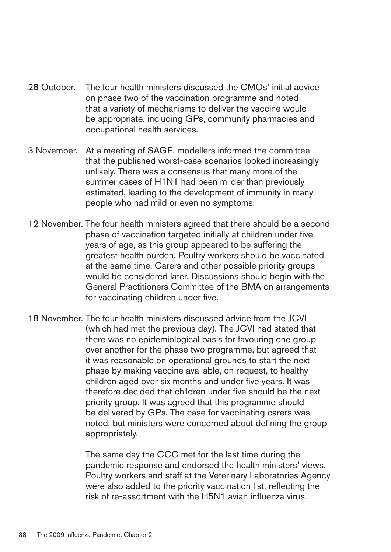- 28 October. The four health ministers discussed the CMOs' initial advice on phase two of the vaccination programme and noted that a variety of mechanisms to deliver the vaccine would be appropriate, including GPs, community pharmacies and occupational health services.
- 3 November. At a meeting of SAGE, modellers informed the committee that the published worst-case scenarios looked increasingly unlikely. There was a consensus that many more of the summer cases of H1N1 had been milder than previously estimated, leading to the development of immunity in many people who had mild or even no symptoms.
- 12 November. The four health ministers agreed that there should be a second phase of vaccination targeted initially at children under five years of age, as this group appeared to be suffering the greatest health burden. Poultry workers should be vaccinated at the same time. Carers and other possible priority groups would be considered later. Discussions should begin with the General Practitioners Committee of the BMA on arrangements for vaccinating children under five.
- 18 November. The four health ministers discussed advice from the JCVI (which had met the previous day). The JCVI had stated that there was no epidemiological basis for favouring one group over another for the phase two programme, but agreed that it was reasonable on operational grounds to start the next phase by making vaccine available, on request, to healthy children aged over six months and under five years. It was therefore decided that children under five should be the next priority group. It was agreed that this programme should be delivered by GPs. The case for vaccinating carers was noted, but ministers were concerned about defining the group appropriately.

The same day the CCC met for the last time during the pandemic response and endorsed the health ministers' views. Poultry workers and staff at the Veterinary Laboratories Agency were also added to the priority vaccination list, reflecting the risk of re-assortment with the H5N1 avian influenza virus.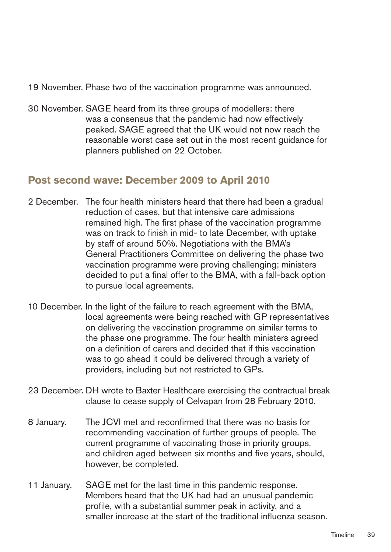19 November. Phase two of the vaccination programme was announced.

30 November. SAGE heard from its three groups of modellers: there was a consensus that the pandemic had now effectively peaked. SAGE agreed that the UK would not now reach the reasonable worst case set out in the most recent guidance for planners published on 22 October.

# **Post second wave: December 2009 to April 2010**

- 2 December. The four health ministers heard that there had been a gradual reduction of cases, but that intensive care admissions remained high. The first phase of the vaccination programme was on track to finish in mid- to late December, with uptake by staff of around 50%. Negotiations with the BMA's General Practitioners Committee on delivering the phase two vaccination programme were proving challenging; ministers decided to put a final offer to the BMA, with a fall-back option to pursue local agreements.
- 10 December. In the light of the failure to reach agreement with the BMA, local agreements were being reached with GP representatives on delivering the vaccination programme on similar terms to the phase one programme. The four health ministers agreed on a definition of carers and decided that if this vaccination was to go ahead it could be delivered through a variety of providers, including but not restricted to GPs.
- 23 December. DH wrote to Baxter Healthcare exercising the contractual break clause to cease supply of Celvapan from 28 February 2010.
- 8 January. The JCVI met and reconfirmed that there was no basis for recommending vaccination of further groups of people. The current programme of vaccinating those in priority groups, and children aged between six months and five years, should, however, be completed.
- 11 January. SAGE met for the last time in this pandemic response. Members heard that the UK had had an unusual pandemic profile, with a substantial summer peak in activity, and a smaller increase at the start of the traditional influenza season.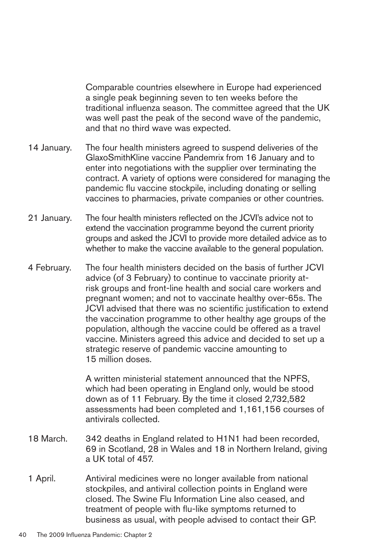Comparable countries elsewhere in Europe had experienced a single peak beginning seven to ten weeks before the traditional influenza season. The committee agreed that the UK was well past the peak of the second wave of the pandemic, and that no third wave was expected.

- 14 January. The four health ministers agreed to suspend deliveries of the GlaxoSmithKline vaccine Pandemrix from 16 January and to enter into negotiations with the supplier over terminating the contract. A variety of options were considered for managing the pandemic flu vaccine stockpile, including donating or selling vaccines to pharmacies, private companies or other countries.
- 21 January. The four health ministers reflected on the JCVI's advice not to extend the vaccination programme beyond the current priority groups and asked the JCVI to provide more detailed advice as to whether to make the vaccine available to the general population.
- 4 February. The four health ministers decided on the basis of further JCVI advice (of 3 February) to continue to vaccinate priority atrisk groups and front-line health and social care workers and pregnant women; and not to vaccinate healthy over-65s. The JCVI advised that there was no scientific justification to extend the vaccination programme to other healthy age groups of the population, although the vaccine could be offered as a travel vaccine. Ministers agreed this advice and decided to set up a strategic reserve of pandemic vaccine amounting to 15 million doses.

A written ministerial statement announced that the NPFS, which had been operating in England only, would be stood down as of 11 February. By the time it closed 2,732,582 assessments had been completed and 1,161,156 courses of antivirals collected.

- 18 March. 342 deaths in England related to H1N1 had been recorded, 69 in Scotland, 28 in Wales and 18 in Northern Ireland, giving a UK total of 457.
- 1 April. Antiviral medicines were no longer available from national stockpiles, and antiviral collection points in England were closed. The Swine Flu Information Line also ceased, and treatment of people with flu-like symptoms returned to business as usual, with people advised to contact their GP.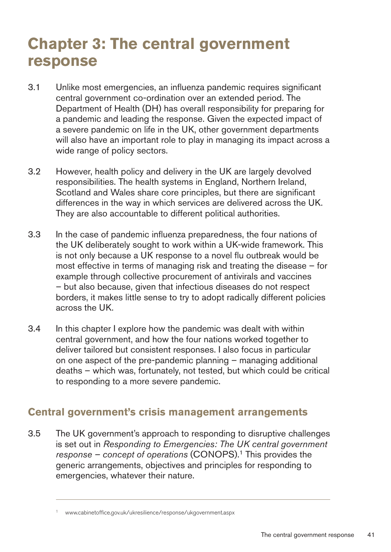# **Chapter 3: The central government response**

- 3.1 Unlike most emergencies, an influenza pandemic requires significant central government co-ordination over an extended period. The Department of Health (DH) has overall responsibility for preparing for a pandemic and leading the response. Given the expected impact of a severe pandemic on life in the UK, other government departments will also have an important role to play in managing its impact across a wide range of policy sectors.
- 3.2 However, health policy and delivery in the UK are largely devolved responsibilities. The health systems in England, Northern Ireland, Scotland and Wales share core principles, but there are significant differences in the way in which services are delivered across the UK. They are also accountable to different political authorities.
- 3.3 � In the case of pandemic influenza preparedness, the four nations of the UK deliberately sought to work within a UK-wide framework. This is not only because a UK response to a novel flu outbreak would be most effective in terms of managing risk and treating the disease – for example through collective procurement of antivirals and vaccines – but also because, given that infectious diseases do not respect borders, it makes little sense to try to adopt radically different policies across the UK.
- 3.4 � In this chapter I explore how the pandemic was dealt with within central government, and how the four nations worked together to deliver tailored but consistent responses. I also focus in particular on one aspect of the pre-pandemic planning – managing additional deaths – which was, fortunately, not tested, but which could be critical to responding to a more severe pandemic.

# **Central government's crisis management arrangements**

3.5 � The UK government's approach to responding to disruptive challenges is set out in *Responding to Emergencies: The UK central government response – concept of operations* (CONOPS).1 This provides the generic arrangements, objectives and principles for responding to emergencies, whatever their nature.

www.cabinetoffice.gov.uk/ukresilience/response/ukgovernment.aspx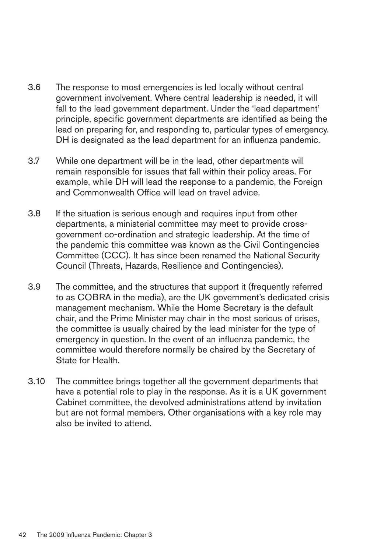- 3.6 � The response to most emergencies is led locally without central government involvement. Where central leadership is needed, it will fall to the lead government department. Under the 'lead department' principle, specific government departments are identified as being the lead on preparing for, and responding to, particular types of emergency. DH is designated as the lead department for an influenza pandemic.
- 3.7 While one department will be in the lead, other departments will remain responsible for issues that fall within their policy areas. For example, while DH will lead the response to a pandemic, the Foreign and Commonwealth Office will lead on travel advice.
- 3.8 � If the situation is serious enough and requires input from other departments, a ministerial committee may meet to provide crossgovernment co-ordination and strategic leadership. At the time of the pandemic this committee was known as the Civil Contingencies Committee (CCC). It has since been renamed the National Security Council (Threats, Hazards, Resilience and Contingencies).
- 3.9 � The committee, and the structures that support it (frequently referred to as COBRA in the media), are the UK government's dedicated crisis management mechanism. While the Home Secretary is the default chair, and the Prime Minister may chair in the most serious of crises, the committee is usually chaired by the lead minister for the type of emergency in question. In the event of an influenza pandemic, the committee would therefore normally be chaired by the Secretary of State for Health.
- 3.10 The committee brings together all the government departments that have a potential role to play in the response. As it is a UK government Cabinet committee, the devolved administrations attend by invitation but are not formal members. Other organisations with a key role may also be invited to attend.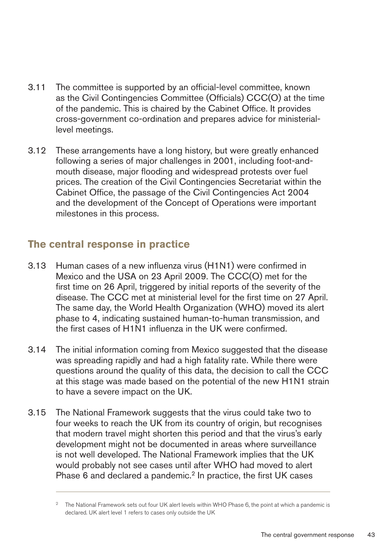- 3.11 The committee is supported by an official-level committee, known as the Civil Contingencies Committee (Officials) CCC(O) at the time of the pandemic. This is chaired by the Cabinet Office. It provides cross-government co-ordination and prepares advice for ministeriallevel meetings.
- 3.12 These arrangements have a long history, but were greatly enhanced following a series of major challenges in 2001, including foot-andmouth disease, major flooding and widespread protests over fuel prices. The creation of the Civil Contingencies Secretariat within the Cabinet Office, the passage of the Civil Contingencies Act 2004 and the development of the Concept of Operations were important milestones in this process.

# **The central response in practice**

- 3.13 � Human cases of a new influenza virus (H1N1) were confirmed in Mexico and the USA on 23 April 2009. The CCC(O) met for the first time on 26 April, triggered by initial reports of the severity of the disease. The CCC met at ministerial level for the first time on 27 April. The same day, the World Health Organization (WHO) moved its alert phase to 4, indicating sustained human-to-human transmission, and the first cases of H1N1 influenza in the UK were confirmed.
- 3.14 � The initial information coming from Mexico suggested that the disease was spreading rapidly and had a high fatality rate. While there were questions around the quality of this data, the decision to call the CCC at this stage was made based on the potential of the new H1N1 strain to have a severe impact on the UK.
- 3.15 The National Framework suggests that the virus could take two to four weeks to reach the UK from its country of origin, but recognises that modern travel might shorten this period and that the virus's early development might not be documented in areas where surveillance is not well developed. The National Framework implies that the UK would probably not see cases until after WHO had moved to alert Phase 6 and declared a pandemic.<sup>2</sup> In practice, the first UK cases

<sup>2</sup> The National Framework sets out four UK alert levels within WHO Phase 6, the point at which a pandemic is declared. UK alert level 1 refers to cases only outside the UK �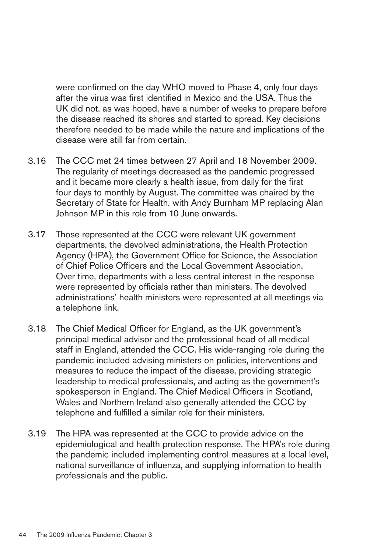were confirmed on the day WHO moved to Phase 4, only four days after the virus was first identified in Mexico and the USA. Thus the UK did not, as was hoped, have a number of weeks to prepare before the disease reached its shores and started to spread. Key decisions therefore needed to be made while the nature and implications of the disease were still far from certain.

- 3.16 � The CCC met 24 times between 27 April and 18 November 2009. The regularity of meetings decreased as the pandemic progressed and it became more clearly a health issue, from daily for the first four days to monthly by August. The committee was chaired by the Secretary of State for Health, with Andy Burnham MP replacing Alan Johnson MP in this role from 10 June onwards.
- 3.17 Those represented at the CCC were relevant UK government departments, the devolved administrations, the Health Protection Agency (HPA), the Government Office for Science, the Association of Chief Police Officers and the Local Government Association. Over time, departments with a less central interest in the response were represented by officials rather than ministers. The devolved administrations' health ministers were represented at all meetings via a telephone link.
- 3.18 � The Chief Medical Officer for England, as the UK government's principal medical advisor and the professional head of all medical staff in England, attended the CCC. His wide-ranging role during the pandemic included advising ministers on policies, interventions and measures to reduce the impact of the disease, providing strategic leadership to medical professionals, and acting as the government's spokesperson in England. The Chief Medical Officers in Scotland, Wales and Northern Ireland also generally attended the CCC by telephone and fulfilled a similar role for their ministers.
- 3.19 The HPA was represented at the CCC to provide advice on the epidemiological and health protection response. The HPA's role during the pandemic included implementing control measures at a local level, national surveillance of influenza, and supplying information to health professionals and the public.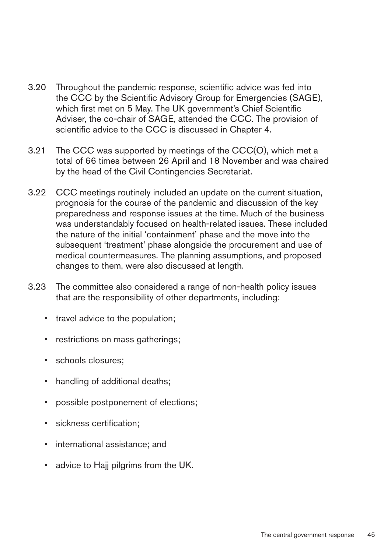- 3.20 � Throughout the pandemic response, scientific advice was fed into the CCC by the Scientific Advisory Group for Emergencies (SAGE), which first met on 5 May. The UK government's Chief Scientific Adviser, the co-chair of SAGE, attended the CCC. The provision of scientific advice to the CCC is discussed in Chapter 4.
- 3.21 The CCC was supported by meetings of the CCC(O), which met a total of 66 times between 26 April and 18 November and was chaired by the head of the Civil Contingencies Secretariat.
- 3.22 CCC meetings routinely included an update on the current situation, prognosis for the course of the pandemic and discussion of the key preparedness and response issues at the time. Much of the business was understandably focused on health-related issues. These included the nature of the initial 'containment' phase and the move into the subsequent 'treatment' phase alongside the procurement and use of medical countermeasures. The planning assumptions, and proposed changes to them, were also discussed at length.
- 3.23 � The committee also considered a range of non-health policy issues that are the responsibility of other departments, including:
	- travel advice to the population;
	- restrictions on mass gatherings;
	- schools closures;
	- handling of additional deaths;
	- possible postponement of elections;
	- sickness certification;
	- international assistance; and
	- advice to Hajj pilgrims from the UK.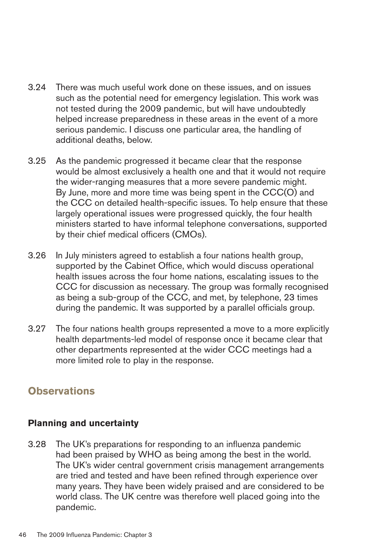- 3.24 � There was much useful work done on these issues, and on issues such as the potential need for emergency legislation. This work was not tested during the 2009 pandemic, but will have undoubtedly helped increase preparedness in these areas in the event of a more serious pandemic. I discuss one particular area, the handling of additional deaths, below.
- 3.25 � As the pandemic progressed it became clear that the response would be almost exclusively a health one and that it would not require the wider-ranging measures that a more severe pandemic might. By June, more and more time was being spent in the CCC(O) and the CCC on detailed health-specific issues. To help ensure that these largely operational issues were progressed quickly, the four health ministers started to have informal telephone conversations, supported by their chief medical officers (CMOs).
- 3.26 � In July ministers agreed to establish a four nations health group, supported by the Cabinet Office, which would discuss operational health issues across the four home nations, escalating issues to the CCC for discussion as necessary. The group was formally recognised as being a sub-group of the CCC, and met, by telephone, 23 times during the pandemic. It was supported by a parallel officials group.
- 3.27 The four nations health groups represented a move to a more explicitly health departments-led model of response once it became clear that other departments represented at the wider CCC meetings had a more limited role to play in the response.

# **Observations**

### **Planning and uncertainty**

3.28 � The UK's preparations for responding to an influenza pandemic had been praised by WHO as being among the best in the world. The UK's wider central government crisis management arrangements are tried and tested and have been refined through experience over many years. They have been widely praised and are considered to be world class. The UK centre was therefore well placed going into the pandemic.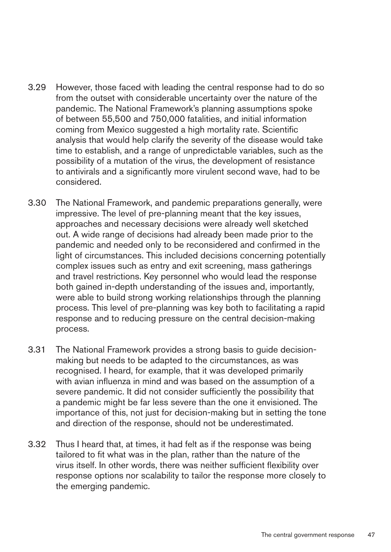- 3.29 � However, those faced with leading the central response had to do so from the outset with considerable uncertainty over the nature of the pandemic. The National Framework's planning assumptions spoke of between 55,500 and 750,000 fatalities, and initial information coming from Mexico suggested a high mortality rate. Scientific analysis that would help clarify the severity of the disease would take time to establish, and a range of unpredictable variables, such as the possibility of a mutation of the virus, the development of resistance to antivirals and a significantly more virulent second wave, had to be considered.
- 3.30 � The National Framework, and pandemic preparations generally, were impressive. The level of pre-planning meant that the key issues, approaches and necessary decisions were already well sketched out. A wide range of decisions had already been made prior to the pandemic and needed only to be reconsidered and confirmed in the light of circumstances. This included decisions concerning potentially complex issues such as entry and exit screening, mass gatherings and travel restrictions. Key personnel who would lead the response both gained in-depth understanding of the issues and, importantly, were able to build strong working relationships through the planning process. This level of pre-planning was key both to facilitating a rapid response and to reducing pressure on the central decision-making process.
- 3.31 The National Framework provides a strong basis to guide decisionmaking but needs to be adapted to the circumstances, as was recognised. I heard, for example, that it was developed primarily with avian influenza in mind and was based on the assumption of a severe pandemic. It did not consider sufficiently the possibility that a pandemic might be far less severe than the one it envisioned. The importance of this, not just for decision-making but in setting the tone and direction of the response, should not be underestimated.
- 3.32 Thus I heard that, at times, it had felt as if the response was being tailored to fit what was in the plan, rather than the nature of the virus itself. In other words, there was neither sufficient flexibility over response options nor scalability to tailor the response more closely to the emerging pandemic.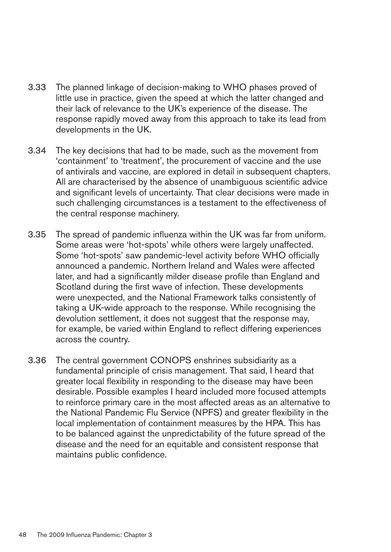- 3.33 The planned linkage of decision-making to WHO phases proved of little use in practice, given the speed at which the latter changed and their lack of relevance to the UK's experience of the disease. The response rapidly moved away from this approach to take its lead from developments in the UK.
- 3.34 � The key decisions that had to be made, such as the movement from 'containment' to 'treatment', the procurement of vaccine and the use of antivirals and vaccine, are explored in detail in subsequent chapters. All are characterised by the absence of unambiguous scientific advice and significant levels of uncertainty. That clear decisions were made in such challenging circumstances is a testament to the effectiveness of the central response machinery.
- 3.35 � The spread of pandemic influenza within the UK was far from uniform. Some areas were 'hot-spots' while others were largely unaffected. Some 'hot-spots' saw pandemic-level activity before WHO officially announced a pandemic. Northern Ireland and Wales were affected later, and had a significantly milder disease profile than England and Scotland during the first wave of infection. These developments were unexpected, and the National Framework talks consistently of taking a UK-wide approach to the response. While recognising the devolution settlement, it does not suggest that the response may, for example, be varied within England to reflect differing experiences across the country.
- 3.36 The central government CONOPS enshrines subsidiarity as a fundamental principle of crisis management. That said, I heard that greater local flexibility in responding to the disease may have been desirable. Possible examples I heard included more focused attempts to reinforce primary care in the most affected areas as an alternative to the National Pandemic Flu Service (NPFS) and greater flexibility in the local implementation of containment measures by the HPA. This has to be balanced against the unpredictability of the future spread of the disease and the need for an equitable and consistent response that maintains public confidence.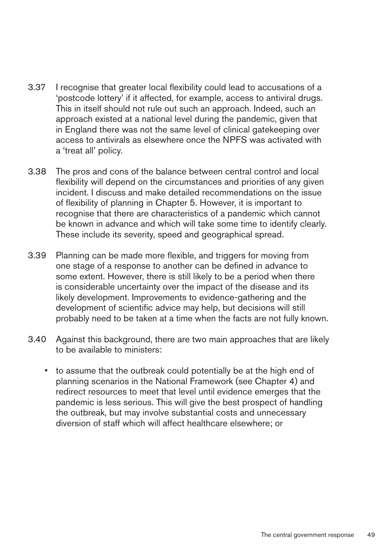- 3.37 � I recognise that greater local flexibility could lead to accusations of a 'postcode lottery' if it affected, for example, access to antiviral drugs. This in itself should not rule out such an approach. Indeed, such an approach existed at a national level during the pandemic, given that in England there was not the same level of clinical gatekeeping over access to antivirals as elsewhere once the NPFS was activated with a 'treat all' policy.
- 3.38 � The pros and cons of the balance between central control and local flexibility will depend on the circumstances and priorities of any given incident. I discuss and make detailed recommendations on the issue of flexibility of planning in Chapter 5. However, it is important to recognise that there are characteristics of a pandemic which cannot be known in advance and which will take some time to identify clearly. These include its severity, speed and geographical spread.
- 3.39 � Planning can be made more flexible, and triggers for moving from one stage of a response to another can be defined in advance to some extent. However, there is still likely to be a period when there is considerable uncertainty over the impact of the disease and its likely development. Improvements to evidence-gathering and the development of scientific advice may help, but decisions will still probably need to be taken at a time when the facts are not fully known.
- 3.40 � Against this background, there are two main approaches that are likely to be available to ministers:
	- to assume that the outbreak could potentially be at the high end of planning scenarios in the National Framework (see Chapter 4) and redirect resources to meet that level until evidence emerges that the pandemic is less serious. This will give the best prospect of handling the outbreak, but may involve substantial costs and unnecessary diversion of staff which will affect healthcare elsewhere; or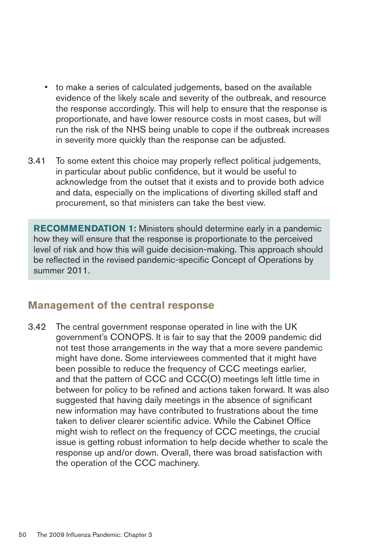- to make a series of calculated judgements, based on the available evidence of the likely scale and severity of the outbreak, and resource the response accordingly. This will help to ensure that the response is proportionate, and have lower resource costs in most cases, but will run the risk of the NHS being unable to cope if the outbreak increases in severity more quickly than the response can be adjusted.
- 3.41 To some extent this choice may properly reflect political judgements, in particular about public confidence, but it would be useful to acknowledge from the outset that it exists and to provide both advice and data, especially on the implications of diverting skilled staff and procurement, so that ministers can take the best view.

**RECOMMENDATION 1:** Ministers should determine early in a pandemic how they will ensure that the response is proportionate to the perceived level of risk and how this will guide decision-making. This approach should be reflected in the revised pandemic-specific Concept of Operations by summer 2011.

# **Management of the central response**

3.42 The central government response operated in line with the UK government's CONOPS. It is fair to say that the 2009 pandemic did not test those arrangements in the way that a more severe pandemic might have done. Some interviewees commented that it might have been possible to reduce the frequency of CCC meetings earlier, and that the pattern of CCC and CCC(O) meetings left little time in between for policy to be refined and actions taken forward. It was also suggested that having daily meetings in the absence of significant new information may have contributed to frustrations about the time taken to deliver clearer scientific advice. While the Cabinet Office might wish to reflect on the frequency of CCC meetings, the crucial issue is getting robust information to help decide whether to scale the response up and/or down. Overall, there was broad satisfaction with the operation of the CCC machinery.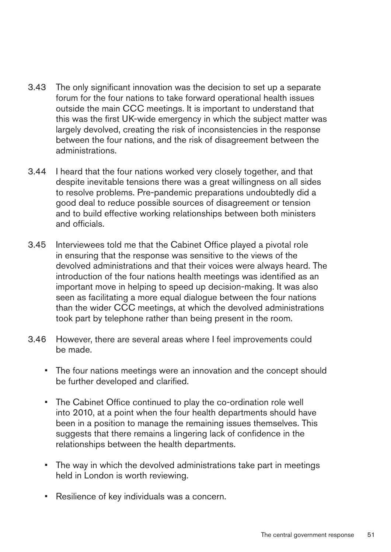- 3.43 � The only significant innovation was the decision to set up a separate forum for the four nations to take forward operational health issues outside the main CCC meetings. It is important to understand that this was the first UK-wide emergency in which the subject matter was largely devolved, creating the risk of inconsistencies in the response between the four nations, and the risk of disagreement between the administrations.
- 3.44 � I heard that the four nations worked very closely together, and that despite inevitable tensions there was a great willingness on all sides to resolve problems. Pre-pandemic preparations undoubtedly did a good deal to reduce possible sources of disagreement or tension and to build effective working relationships between both ministers and officials.
- 3.45 � Interviewees told me that the Cabinet Office played a pivotal role in ensuring that the response was sensitive to the views of the devolved administrations and that their voices were always heard. The introduction of the four nations health meetings was identified as an important move in helping to speed up decision-making. It was also seen as facilitating a more equal dialogue between the four nations than the wider CCC meetings, at which the devolved administrations took part by telephone rather than being present in the room.
- 3.46 � However, there are several areas where I feel improvements could be made.
	- The four nations meetings were an innovation and the concept should be further developed and clarified.
	- The Cabinet Office continued to play the co-ordination role well into 2010, at a point when the four health departments should have been in a position to manage the remaining issues themselves. This suggests that there remains a lingering lack of confidence in the relationships between the health departments.
	- The way in which the devolved administrations take part in meetings held in London is worth reviewing.
	- Resilience of key individuals was a concern.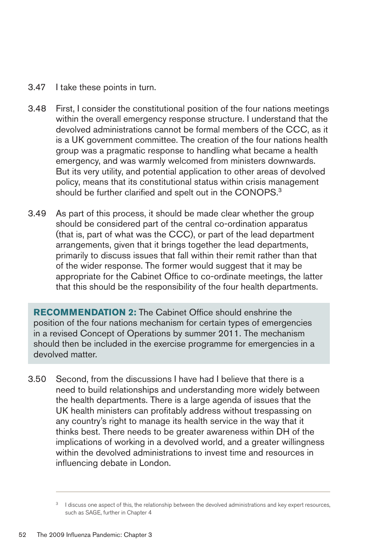- 3.47 � I take these points in turn.
- 3.48 � First, I consider the constitutional position of the four nations meetings within the overall emergency response structure. I understand that the devolved administrations cannot be formal members of the CCC, as it is a UK government committee. The creation of the four nations health group was a pragmatic response to handling what became a health emergency, and was warmly welcomed from ministers downwards. But its very utility, and potential application to other areas of devolved policy, means that its constitutional status within crisis management should be further clarified and spelt out in the CONOPS.<sup>3</sup>
- 3.49 As part of this process, it should be made clear whether the group should be considered part of the central co-ordination apparatus (that is, part of what was the CCC), or part of the lead department arrangements, given that it brings together the lead departments, primarily to discuss issues that fall within their remit rather than that of the wider response. The former would suggest that it may be appropriate for the Cabinet Office to co-ordinate meetings, the latter that this should be the responsibility of the four health departments.

**RECOMMENDATION 2:** The Cabinet Office should enshrine the position of the four nations mechanism for certain types of emergencies in a revised Concept of Operations by summer 2011. The mechanism should then be included in the exercise programme for emergencies in a devolved matter.

3.50 � Second, from the discussions I have had I believe that there is a need to build relationships and understanding more widely between the health departments. There is a large agenda of issues that the UK health ministers can profitably address without trespassing on any country's right to manage its health service in the way that it thinks best. There needs to be greater awareness within DH of the implications of working in a devolved world, and a greater willingness within the devolved administrations to invest time and resources in influencing debate in London.

<sup>&</sup>lt;sup>3</sup> I discuss one aspect of this, the relationship between the devolved administrations and key expert resources, such as SAGE, further in Chapter 4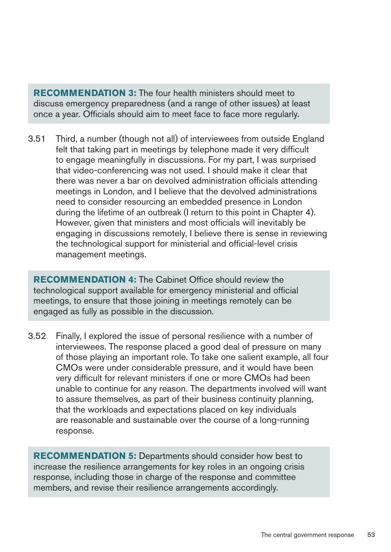**RECOMMENDATION3:** The four health ministers should meet to discuss emergency preparedness (and a range of other issues) at least once a year. Officials should aim to meet face to face more regularly.

3.51 � Third, a number (though not all) of interviewees from outside England felt that taking part in meetings by telephone made it very difficult to engage meaningfully in discussions. For my part, I was surprised that video-conferencing was not used. I should make it clear that there was never a bar on devolved administration officials attending meetings in London, and I believe that the devolved administrations need to consider resourcing an embedded presence in London during the lifetime of an outbreak (I return to this point in Chapter 4). However, given that ministers and most officials will inevitably be engaging in discussions remotely, I believe there is sense in reviewing the technological support for ministerial and official-level crisis management meetings.

**RECOMMENDATION 4:** The Cabinet Office should review the technological support available for emergency ministerial and official meetings, to ensure that those joining in meetings remotely can be engaged as fully as possible in the discussion.

3.52 � Finally, I explored the issue of personal resilience with a number of interviewees. The response placed a good deal of pressure on many of those playing an important role. To take one salient example, all four CMOs were under considerable pressure, and it would have been very difficult for relevant ministers if one or more CMOs had been unable to continue for any reason. The departments involved will want to assure themselves, as part of their business continuity planning, that the workloads and expectations placed on key individuals are reasonable and sustainable over the course of a long-running response.

**RECOMMENDATION 5:** Departments should consider how best to increase the resilience arrangements for key roles in an ongoing crisis response, including those in charge of the response and committee members, and revise their resilience arrangements accordingly.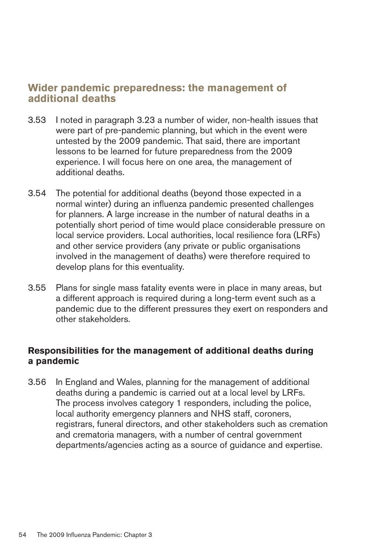# **Wider pandemic preparedness: the management of additional deaths**

- 3.53 � I noted in paragraph 3.23 a number of wider, non-health issues that were part of pre-pandemic planning, but which in the event were untested by the 2009 pandemic. That said, there are important lessons to be learned for future preparedness from the 2009 experience. I will focus here on one area, the management of additional deaths.
- 3.54 � The potential for additional deaths (beyond those expected in a normal winter) during an influenza pandemic presented challenges for planners. A large increase in the number of natural deaths in a potentially short period of time would place considerable pressure on local service providers. Local authorities, local resilience fora (LRFs) and other service providers (any private or public organisations involved in the management of deaths) were therefore required to develop plans for this eventuality.
- 3.55 � Plans for single mass fatality events were in place in many areas, but a different approach is required during a long-term event such as a pandemic due to the different pressures they exert on responders and other stakeholders.

#### **Responsibilities for the management of additional deaths during a pandemic**

3.56 � In England and Wales, planning for the management of additional deaths during a pandemic is carried out at a local level by LRFs. The process involves category 1 responders, including the police, local authority emergency planners and NHS staff, coroners, registrars, funeral directors, and other stakeholders such as cremation and crematoria managers, with a number of central government departments/agencies acting as a source of guidance and expertise.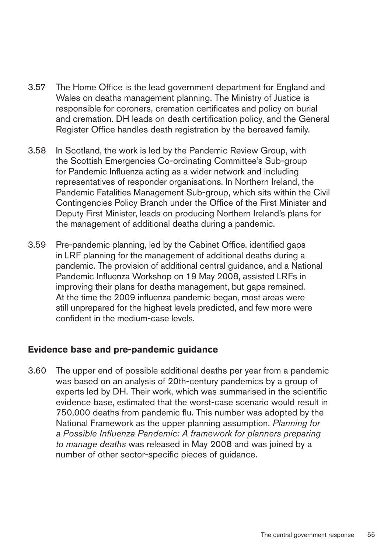- 3.57 The Home Office is the lead government department for England and Wales on deaths management planning. The Ministry of Justice is responsible for coroners, cremation certificates and policy on burial and cremation. DH leads on death certification policy, and the General Register Office handles death registration by the bereaved family.
- 3.58 � In Scotland, the work is led by the Pandemic Review Group, with the Scottish Emergencies Co-ordinating Committee's Sub-group for Pandemic Influenza acting as a wider network and including representatives of responder organisations. In Northern Ireland, the Pandemic Fatalities Management Sub-group, which sits within the Civil Contingencies Policy Branch under the Office of the First Minister and Deputy First Minister, leads on producing Northern Ireland's plans for the management of additional deaths during a pandemic.
- 3.59 � Pre-pandemic planning, led by the Cabinet Office, identified gaps in LRF planning for the management of additional deaths during a pandemic. The provision of additional central guidance, and a National Pandemic Influenza Workshop on 19 May 2008, assisted LRFs in improving their plans for deaths management, but gaps remained. At the time the 2009 influenza pandemic began, most areas were still unprepared for the highest levels predicted, and few more were confident in the medium-case levels.

#### **Evidence base and pre-pandemic guidance**

3.60 � The upper end of possible additional deaths per year from a pandemic was based on an analysis of 20th-century pandemics by a group of experts led by DH. Their work, which was summarised in the scientific evidence base, estimated that the worst-case scenario would result in 750,000 deaths from pandemic flu. This number was adopted by the National Framework as the upper planning assumption. *Planning for a Possible Influenza Pandemic: A framework for planners preparing to manage deaths* was released in May 2008 and was joined by a number of other sector-specific pieces of guidance.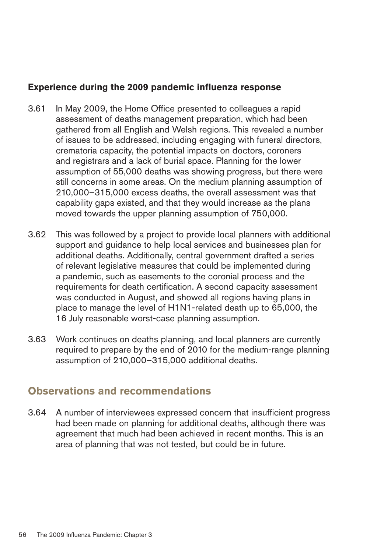#### **Experience during the 2009 pandemic influenza response**

- 3.61 � In May 2009, the Home Office presented to colleagues a rapid assessment of deaths management preparation, which had been gathered from all English and Welsh regions. This revealed a number of issues to be addressed, including engaging with funeral directors, crematoria capacity, the potential impacts on doctors, coroners and registrars and a lack of burial space. Planning for the lower assumption of 55,000 deaths was showing progress, but there were still concerns in some areas. On the medium planning assumption of 210,000–315,000 excess deaths, the overall assessment was that capability gaps existed, and that they would increase as the plans moved towards the upper planning assumption of 750,000.
- 3.62 � This was followed by a project to provide local planners with additional support and guidance to help local services and businesses plan for additional deaths. Additionally, central government drafted a series of relevant legislative measures that could be implemented during a pandemic, such as easements to the coronial process and the requirements for death certification. A second capacity assessment was conducted in August, and showed all regions having plans in place to manage the level of H1N1-related death up to 65,000, the 16 July reasonable worst-case planning assumption.
- 3.63 � Work continues on deaths planning, and local planners are currently required to prepare by the end of 2010 for the medium-range planning assumption of 210,000–315,000 additional deaths.

# **Observations and recommendations**

3.64 � A number of interviewees expressed concern that insufficient progress had been made on planning for additional deaths, although there was agreement that much had been achieved in recent months. This is an area of planning that was not tested, but could be in future.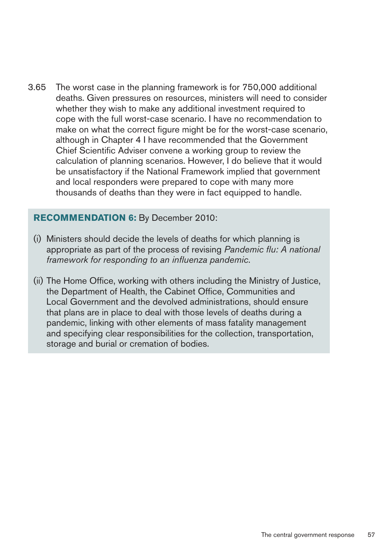3.65 � The worst case in the planning framework is for 750,000 additional deaths. Given pressures on resources, ministers will need to consider whether they wish to make any additional investment required to cope with the full worst-case scenario. I have no recommendation to make on what the correct figure might be for the worst-case scenario, although in Chapter 4 I have recommended that the Government Chief Scientific Adviser convene a working group to review the calculation of planning scenarios. However, I do believe that it would be unsatisfactory if the National Framework implied that government and local responders were prepared to cope with many more thousands of deaths than they were in fact equipped to handle.

#### **RECOMMENDATION 6:** By December 2010:

- (i) Ministers should decide the levels of deaths for which planning is appropriate as part of the process of revising *Pandemic flu: A national framework for responding to an influenza pandemic*.
- (ii) The Home Office, working with others including the Ministry of Justice, the Department of Health, the Cabinet Office, Communities and Local Government and the devolved administrations, should ensure that plans are in place to deal with those levels of deaths during a pandemic, linking with other elements of mass fatality management and specifying clear responsibilities for the collection, transportation, storage and burial or cremation of bodies.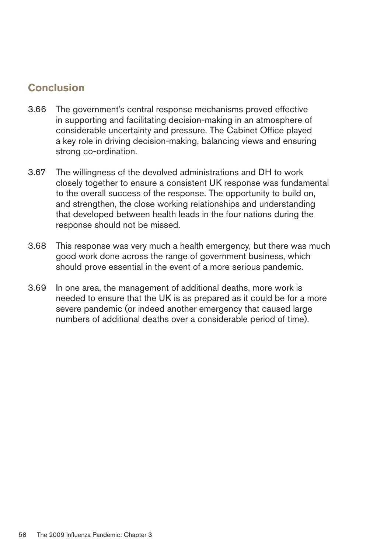# **Conclusion**

- 3.66 � The government's central response mechanisms proved effective in supporting and facilitating decision-making in an atmosphere of considerable uncertainty and pressure. The Cabinet Office played a key role in driving decision-making, balancing views and ensuring strong co-ordination.
- 3.67 � The willingness of the devolved administrations and DH to work closely together to ensure a consistent UK response was fundamental to the overall success of the response. The opportunity to build on, and strengthen, the close working relationships and understanding that developed between health leads in the four nations during the response should not be missed.
- 3.68 � This response was very much a health emergency, but there was much good work done across the range of government business, which should prove essential in the event of a more serious pandemic.
- 3.69 � In one area, the management of additional deaths, more work is needed to ensure that the UK is as prepared as it could be for a more severe pandemic (or indeed another emergency that caused large numbers of additional deaths over a considerable period of time).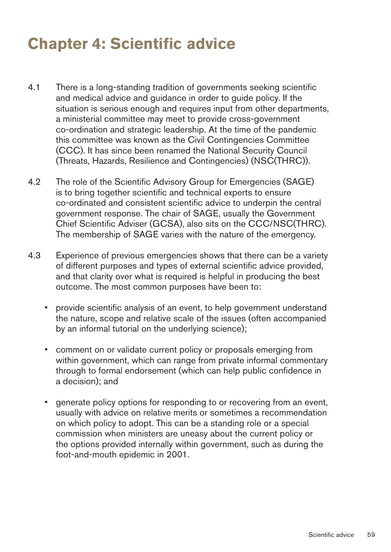# **Chapter 4: Scientific advice**

- 4.1 There is a long-standing tradition of governments seeking scientific and medical advice and guidance in order to guide policy. If the situation is serious enough and requires input from other departments, a ministerial committee may meet to provide cross-government co-ordination and strategic leadership. At the time of the pandemic this committee was known as the Civil Contingencies Committee (CCC). It has since been renamed the National Security Council (Threats, Hazards, Resilience and Contingencies) (NSC(THRC)).
- 4.2 The role of the Scientific Advisory Group for Emergencies (SAGE) is to bring together scientific and technical experts to ensure co-ordinated and consistent scientific advice to underpin the central government response. The chair of SAGE, usually the Government Chief Scientific Adviser (GCSA), also sits on the CCC/NSC(THRC). The membership of SAGE varies with the nature of the emergency.
- 4.3 Experience of previous emergencies shows that there can be a variety of different purposes and types of external scientific advice provided, and that clarity over what is required is helpful in producing the best outcome. The most common purposes have been to:
	- provide scientific analysis of an event, to help government understand the nature, scope and relative scale of the issues (often accompanied by an informal tutorial on the underlying science);
	- comment on or validate current policy or proposals emerging from within government, which can range from private informal commentary through to formal endorsement (which can help public confidence in a decision); and
	- generate policy options for responding to or recovering from an event, usually with advice on relative merits or sometimes a recommendation on which policy to adopt. This can be a standing role or a special commission when ministers are uneasy about the current policy or the options provided internally within government, such as during the foot-and-mouth epidemic in 2001.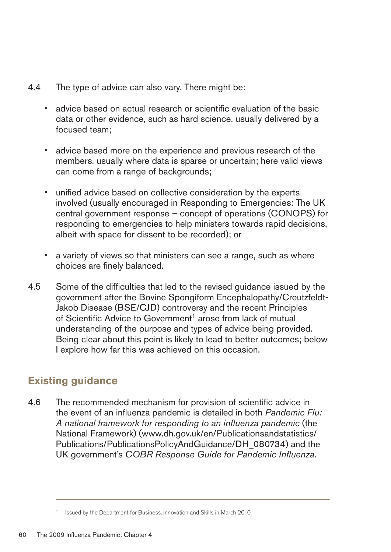- 4.4 The type of advice can also vary. There might be:
	- advice based on actual research or scientific evaluation of the basic data or other evidence, such as hard science, usually delivered by a focused team;
	- advice based more on the experience and previous research of the members, usually where data is sparse or uncertain; here valid views can come from a range of backgrounds;
	- unified advice based on collective consideration by the experts involved (usually encouraged in Responding to Emergencies: The UK central government response – concept of operations (CONOPS) for responding to emergencies to help ministers towards rapid decisions, albeit with space for dissent to be recorded); or
	- a variety of views so that ministers can see a range, such as where choices are finely balanced.
- 4.5 � Some of the difficulties that led to the revised guidance issued by the government after the Bovine Spongiform Encephalopathy/Creutzfeldt-Jakob Disease (BSE/CJD) controversy and the recent Principles of Scientific Advice to Government<sup>1</sup> arose from lack of mutual understanding of the purpose and types of advice being provided. Being clear about this point is likely to lead to better outcomes; below I explore how far this was achieved on this occasion.

# **Existing guidance**

4.6 The recommended mechanism for provision of scientific advice in the event of an influenza pandemic is detailed in both *Pandemic Flu: A national framework for responding to an influenza pandemic* (the National Framework) ([www.dh.gov.uk/en/Publicationsandstatistics/](http://www.dh.gov.uk/en/Publicationsandstatistics/Publications/PublicationsPolicyAndGuidance/DH_080734) [Publications/PublicationsPolicyAndGuidance/DH\\_080734\)](http://www.dh.gov.uk/en/Publicationsandstatistics/Publications/PublicationsPolicyAndGuidance/DH_080734) and the UK government's *COBR Response Guide for Pandemic Influenza*.

<sup>1</sup> Issued by the Department for Business, Innovation and Skills in March 2010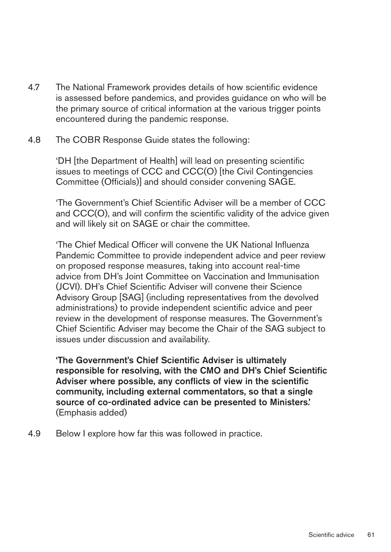- 4.7 The National Framework provides details of how scientific evidence is assessed before pandemics, and provides guidance on who will be the primary source of critical information at the various trigger points encountered during the pandemic response.
- 4.8 The COBR Response Guide states the following:

'DH [the Department of Health] will lead on presenting scientific issues to meetings of CCC and CCC(O) [the Civil Contingencies Committee (Officials)] and should consider convening SAGE.

'The Government's Chief Scientific Adviser will be a member of CCC and CCC(O), and will confirm the scientific validity of the advice given and will likely sit on SAGE or chair the committee.

'The Chief Medical Officer will convene the UK National Influenza Pandemic Committee to provide independent advice and peer review on proposed response measures, taking into account real-time advice from DH's Joint Committee on Vaccination and Immunisation (JCVI). DH's Chief Scientific Adviser will convene their Science Advisory Group [SAG] (including representatives from the devolved administrations) to provide independent scientific advice and peer review in the development of response measures. The Government's Chief Scientific Adviser may become the Chair of the SAG subject to issues under discussion and availability.

'The Government's Chief Scientific Adviser is ultimately responsible for resolving, with the CMO and DH's Chief Scientific Adviser where possible, any conflicts of view in the scientific community, including external commentators, so that a single source of co-ordinated advice can be presented to Ministers.' (Emphasis added)

4.9 Below I explore how far this was followed in practice.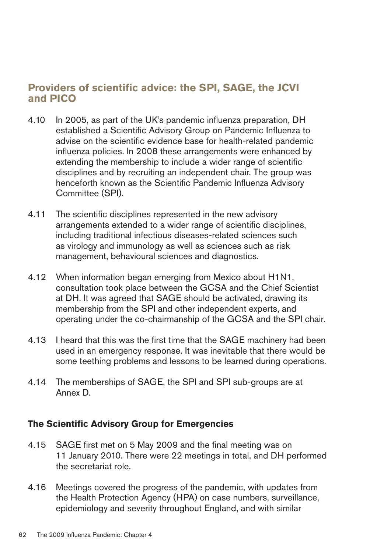# **Providers of scientific advice: the SPI, SAGE, the JCVI** and **PICO**

- 4.10 In 2005, as part of the UK's pandemic influenza preparation, DH established a Scientific Advisory Group on Pandemic Influenza to advise on the scientific evidence base for health-related pandemic influenza policies. In 2008 these arrangements were enhanced by extending the membership to include a wider range of scientific disciplines and by recruiting an independent chair. The group was henceforth known as the Scientific Pandemic Influenza Advisory Committee (SPI).
- 4.11 The scientific disciplines represented in the new advisory arrangements extended to a wider range of scientific disciplines, including traditional infectious diseases-related sciences such as virology and immunology as well as sciences such as risk management, behavioural sciences and diagnostics.
- 4.12 When information began emerging from Mexico about H1N1, consultation took place between the GCSA and the Chief Scientist at DH. It was agreed that SAGE should be activated, drawing its membership from the SPI and other independent experts, and operating under the co-chairmanship of the GCSA and the SPI chair.
- 4.13 I heard that this was the first time that the SAGE machinery had been used in an emergency response. It was inevitable that there would be some teething problems and lessons to be learned during operations.
- 4.14 The memberships of SAGE, the SPI and SPI sub-groups are at Annex D.

### **The Scientific Advisory Group for Emergencies**

- 4.15 � SAGE first met on 5 May 2009 and the final meeting was on 11 January 2010. There were 22 meetings in total, and DH performed the secretariat role.
- 4.16 Meetings covered the progress of the pandemic, with updates from the Health Protection Agency (HPA) on case numbers, surveillance, epidemiology and severity throughout England, and with similar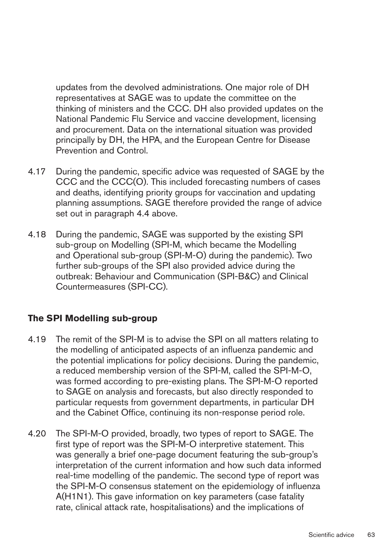updates from the devolved administrations. One major role of DH representatives at SAGE was to update the committee on the thinking of ministers and the CCC. DH also provided updates on the National Pandemic Flu Service and vaccine development, licensing and procurement. Data on the international situation was provided principally by DH, the HPA, and the European Centre for Disease Prevention and Control.

- 4.17 During the pandemic, specific advice was requested of SAGE by the CCC and the CCC(O). This included forecasting numbers of cases and deaths, identifying priority groups for vaccination and updating planning assumptions. SAGE therefore provided the range of advice set out in paragraph 4.4 above.
- 4.18 During the pandemic, SAGE was supported by the existing SPI sub-group on Modelling (SPI-M, which became the Modelling and Operational sub-group (SPI-M-O) during the pandemic). Two further sub-groups of the SPI also provided advice during the outbreak: Behaviour and Communication (SPI-B&C) and Clinical Countermeasures (SPI-CC).

### **The SPI Modelling sub-group**

- 4.19 The remit of the SPI-M is to advise the SPI on all matters relating to the modelling of anticipated aspects of an influenza pandemic and the potential implications for policy decisions. During the pandemic, a reduced membership version of the SPI-M, called the SPI-M-O, was formed according to pre-existing plans. The SPI-M-O reported to SAGE on analysis and forecasts, but also directly responded to particular requests from government departments, in particular DH and the Cabinet Office, continuing its non-response period role.
- 4.20 The SPI-M-O provided, broadly, two types of report to SAGE. The first type of report was the SPI-M-O interpretive statement. This was generally a brief one-page document featuring the sub-group's interpretation of the current information and how such data informed real-time modelling of the pandemic. The second type of report was the SPI-M-O consensus statement on the epidemiology of influenza A(H1N1). This gave information on key parameters (case fatality rate, clinical attack rate, hospitalisations) and the implications of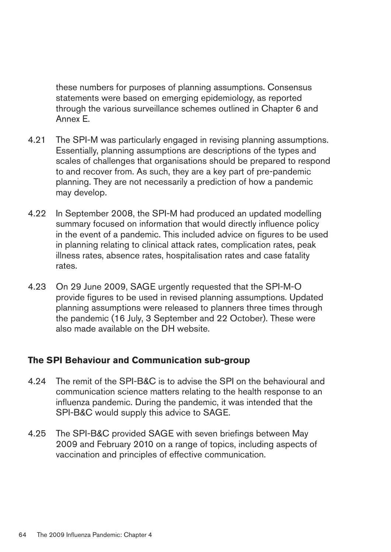these numbers for purposes of planning assumptions. Consensus statements were based on emerging epidemiology, as reported through the various surveillance schemes outlined in Chapter 6 and Annex E.

- 4.21 The SPI-M was particularly engaged in revising planning assumptions. Essentially, planning assumptions are descriptions of the types and scales of challenges that organisations should be prepared to respond to and recover from. As such, they are a key part of pre-pandemic planning. They are not necessarily a prediction of how a pandemic may develop.
- 4.22 In September 2008, the SPI-M had produced an updated modelling summary focused on information that would directly influence policy in the event of a pandemic. This included advice on figures to be used in planning relating to clinical attack rates, complication rates, peak illness rates, absence rates, hospitalisation rates and case fatality rates.
- 4.23 � On 29 June 2009, SAGE urgently requested that the SPI-M-O provide figures to be used in revised planning assumptions. Updated planning assumptions were released to planners three times through the pandemic (16 July, 3 September and 22 October). These were also made available on the DH website.

#### **The SPI Behaviour and Communication sub-group**

- 4.24 The remit of the SPI-B&C is to advise the SPI on the behavioural and communication science matters relating to the health response to an influenza pandemic. During the pandemic, it was intended that the SPI-B&C would supply this advice to SAGE.
- 4.25 The SPI-B&C provided SAGE with seven briefings between May 2009 and February 2010 on a range of topics, including aspects of vaccination and principles of effective communication.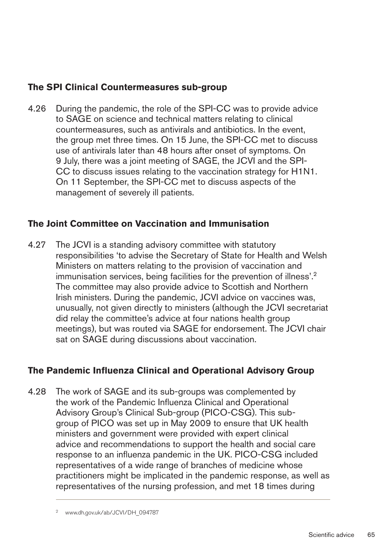## **The SPI Clinical Countermeasures sub-group**

4.26 During the pandemic, the role of the SPI-CC was to provide advice to SAGE on science and technical matters relating to clinical countermeasures, such as antivirals and antibiotics. In the event, the group met three times. On 15 June, the SPI-CC met to discuss use of antivirals later than 48 hours after onset of symptoms. On 9 July, there was a joint meeting of SAGE, the JCVI and the SPI-CC to discuss issues relating to the vaccination strategy for H1N1. On 11 September, the SPI-CC met to discuss aspects of the management of severely ill patients.

## **The Joint Committee on Vaccination and Immunisation**

4.27 The JCVI is a standing advisory committee with statutory responsibilities 'to advise the Secretary of State for Health and Welsh Ministers on matters relating to the provision of vaccination and immunisation services, being facilities for the prevention of illness'.<sup>2</sup> The committee may also provide advice to Scottish and Northern Irish ministers. During the pandemic, JCVI advice on vaccines was, unusually, not given directly to ministers (although the JCVI secretariat did relay the committee's advice at four nations health group meetings), but was routed via SAGE for endorsement. The JCVI chair sat on SAGE during discussions about vaccination.

# **The Pandemic Influenza Clinical and Operational Advisory Group**

4.28 The work of SAGE and its sub-groups was complemented by the work of the Pandemic Influenza Clinical and Operational Advisory Group's Clinical Sub-group (PICO-CSG). This subgroup of PICO was set up in May 2009 to ensure that UK health ministers and government were provided with expert clinical advice and recommendations to support the health and social care response to an influenza pandemic in the UK. PICO-CSG included representatives of a wide range of branches of medicine whose practitioners might be implicated in the pandemic response, as well as representatives of the nursing profession, and met 18 times during

www.dh.gov.uk/ab/JCVI/DH\_094787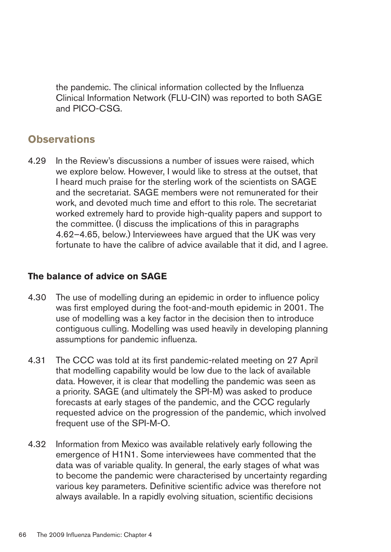the pandemic. The clinical information collected by the Influenza Clinical Information Network (FLU-CIN) was reported to both SAGE and PICO-CSG.

# **Observations**

4.29 In the Review's discussions a number of issues were raised, which we explore below. However, I would like to stress at the outset, that I heard much praise for the sterling work of the scientists on SAGE and the secretariat. SAGE members were not remunerated for their work, and devoted much time and effort to this role. The secretariat worked extremely hard to provide high-quality papers and support to the committee. (I discuss the implications of this in paragraphs 4.62–4.65, below.) Interviewees have argued that the UK was very fortunate to have the calibre of advice available that it did, and I agree.

# **The balance of advice on SAGE**

- 4.30 The use of modelling during an epidemic in order to influence policy was first employed during the foot-and-mouth epidemic in 2001. The use of modelling was a key factor in the decision then to introduce contiguous culling. Modelling was used heavily in developing planning assumptions for pandemic influenza.
- 4.31 The CCC was told at its first pandemic-related meeting on 27 April that modelling capability would be low due to the lack of available data. However, it is clear that modelling the pandemic was seen as a priority. SAGE (and ultimately the SPI-M) was asked to produce forecasts at early stages of the pandemic, and the CCC regularly requested advice on the progression of the pandemic, which involved frequent use of the SPI-M-O.
- 4.32 Information from Mexico was available relatively early following the emergence of H1N1. Some interviewees have commented that the data was of variable quality. In general, the early stages of what was to become the pandemic were characterised by uncertainty regarding various key parameters. Definitive scientific advice was therefore not always available. In a rapidly evolving situation, scientific decisions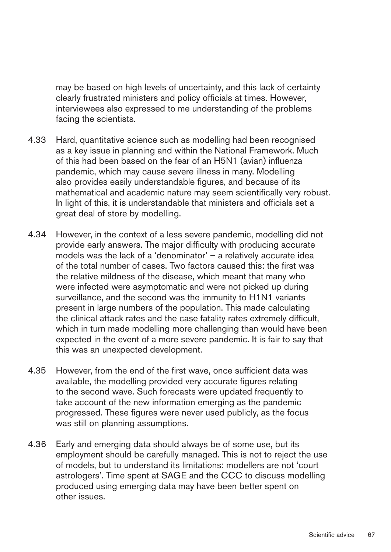may be based on high levels of uncertainty, and this lack of certainty clearly frustrated ministers and policy officials at times. However, interviewees also expressed to me understanding of the problems facing the scientists.

- 4.33 � Hard, quantitative science such as modelling had been recognised as a key issue in planning and within the National Framework. Much of this had been based on the fear of an H5N1 (avian) influenza pandemic, which may cause severe illness in many. Modelling also provides easily understandable figures, and because of its mathematical and academic nature may seem scientifically very robust. In light of this, it is understandable that ministers and officials set a great deal of store by modelling.
- 4.34 � However, in the context of a less severe pandemic, modelling did not provide early answers. The major difficulty with producing accurate models was the lack of a 'denominator' – a relatively accurate idea of the total number of cases. Two factors caused this: the first was the relative mildness of the disease, which meant that many who were infected were asymptomatic and were not picked up during surveillance, and the second was the immunity to H1N1 variants present in large numbers of the population. This made calculating the clinical attack rates and the case fatality rates extremely difficult, which in turn made modelling more challenging than would have been expected in the event of a more severe pandemic. It is fair to say that this was an unexpected development.
- 4.35 However, from the end of the first wave, once sufficient data was available, the modelling provided very accurate figures relating to the second wave. Such forecasts were updated frequently to take account of the new information emerging as the pandemic progressed. These figures were never used publicly, as the focus was still on planning assumptions.
- 4.36 Early and emerging data should always be of some use, but its employment should be carefully managed. This is not to reject the use of models, but to understand its limitations: modellers are not 'court astrologers'. Time spent at SAGE and the CCC to discuss modelling produced using emerging data may have been better spent on other issues.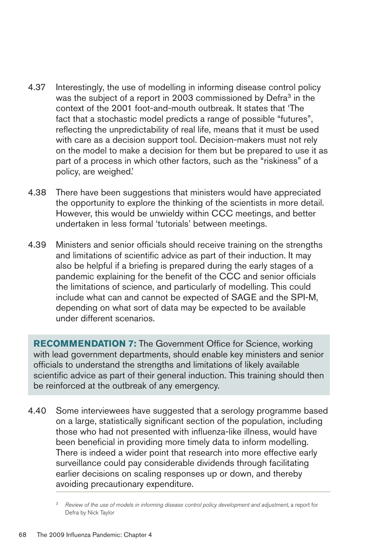- 4.37 Interestingly, the use of modelling in informing disease control policy was the subject of a report in 2003 commissioned by Defra<sup>3</sup> in the context of the 2001 foot-and-mouth outbreak. It states that 'The fact that a stochastic model predicts a range of possible "futures", reflecting the unpredictability of real life, means that it must be used with care as a decision support tool. Decision-makers must not rely on the model to make a decision for them but be prepared to use it as part of a process in which other factors, such as the "riskiness" of a policy, are weighed.'
- 4.38 There have been suggestions that ministers would have appreciated the opportunity to explore the thinking of the scientists in more detail. However, this would be unwieldy within CCC meetings, and better undertaken in less formal 'tutorials' between meetings.
- 4.39 Ministers and senior officials should receive training on the strengths and limitations of scientific advice as part of their induction. It may also be helpful if a briefing is prepared during the early stages of a pandemic explaining for the benefit of the CCC and senior officials the limitations of science, and particularly of modelling. This could include what can and cannot be expected of SAGE and the SPI-M, depending on what sort of data may be expected to be available under different scenarios.

**RECOMMENDATION 7:** The Government Office for Science, working with lead government departments, should enable key ministers and senior officials to understand the strengths and limitations of likely available scientific advice as part of their general induction. This training should then be reinforced at the outbreak of any emergency.

4.40 Some interviewees have suggested that a serology programme based on a large, statistically significant section of the population, including those who had not presented with influenza-like illness, would have been beneficial in providing more timely data to inform modelling. There is indeed a wider point that research into more effective early surveillance could pay considerable dividends through facilitating earlier decisions on scaling responses up or down, and thereby avoiding precautionary expenditure.

<sup>&</sup>lt;sup>3</sup> Review of the use of models in informing disease control policy development and adjustment, a report for Defra by Nick Taylor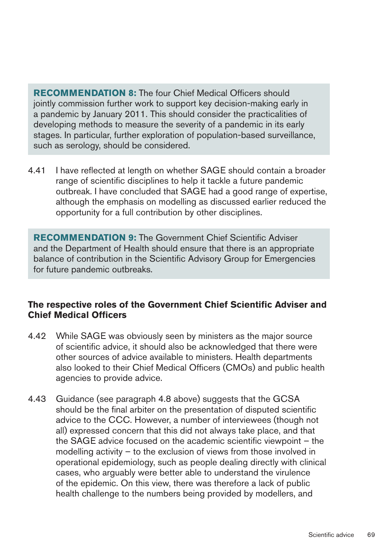**RECOMMENDATION 8: The four Chief Medical Officers should** jointly commission further work to support key decision-making early in a pandemic by January 2011. This should consider the practicalities of developing methods to measure the severity of a pandemic in its early stages. In particular, further exploration of population-based surveillance, such as serology, should be considered.

4.41 I have reflected at length on whether SAGE should contain a broader range of scientific disciplines to help it tackle a future pandemic outbreak. I have concluded that SAGE had a good range of expertise, although the emphasis on modelling as discussed earlier reduced the opportunity for a full contribution by other disciplines.

**RECOMMENDATION9:** The Government Chief Scientific Adviser and the Department of Health should ensure that there is an appropriate balance of contribution in the Scientific Advisory Group for Emergencies for future pandemic outbreaks.

#### The respective roles of the Government Chief Scientific Adviser and **Chief Medical Officers**

- 4.42 While SAGE was obviously seen by ministers as the major source of scientific advice, it should also be acknowledged that there were other sources of advice available to ministers. Health departments also looked to their Chief Medical Officers (CMOs) and public health agencies to provide advice.
- 4.43 Guidance (see paragraph 4.8 above) suggests that the GCSA should be the final arbiter on the presentation of disputed scientific advice to the CCC. However, a number of interviewees (though not all) expressed concern that this did not always take place, and that the SAGE advice focused on the academic scientific viewpoint – the modelling activity – to the exclusion of views from those involved in operational epidemiology, such as people dealing directly with clinical cases, who arguably were better able to understand the virulence of the epidemic. On this view, there was therefore a lack of public health challenge to the numbers being provided by modellers, and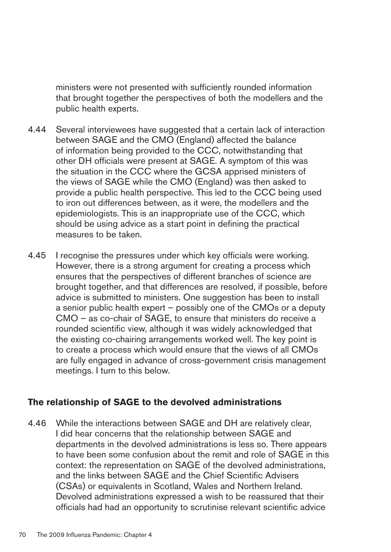ministers were not presented with sufficiently rounded information that brought together the perspectives of both the modellers and the public health experts.

- 4.44 � Several interviewees have suggested that a certain lack of interaction between SAGE and the CMO (England) affected the balance of information being provided to the CCC, notwithstanding that other DH officials were present at SAGE. A symptom of this was the situation in the CCC where the GCSA apprised ministers of the views of SAGE while the CMO (England) was then asked to provide a public health perspective. This led to the CCC being used to iron out differences between, as it were, the modellers and the epidemiologists. This is an inappropriate use of the CCC, which should be using advice as a start point in defining the practical measures to be taken.
- 4.45 I recognise the pressures under which key officials were working. However, there is a strong argument for creating a process which ensures that the perspectives of different branches of science are brought together, and that differences are resolved, if possible, before advice is submitted to ministers. One suggestion has been to install a senior public health expert – possibly one of the CMOs or a deputy CMO – as co-chair of SAGE, to ensure that ministers do receive a rounded scientific view, although it was widely acknowledged that the existing co-chairing arrangements worked well. The key point is to create a process which would ensure that the views of all CMOs are fully engaged in advance of cross-government crisis management meetings. I turn to this below.

## **The relationship of SAGE to the devolved administrations**

4.46 While the interactions between SAGE and DH are relatively clear, I did hear concerns that the relationship between SAGE and departments in the devolved administrations is less so. There appears to have been some confusion about the remit and role of SAGE in this context: the representation on SAGE of the devolved administrations, and the links between SAGE and the Chief Scientific Advisers (CSAs) or equivalents in Scotland, Wales and Northern Ireland. Devolved administrations expressed a wish to be reassured that their officials had had an opportunity to scrutinise relevant scientific advice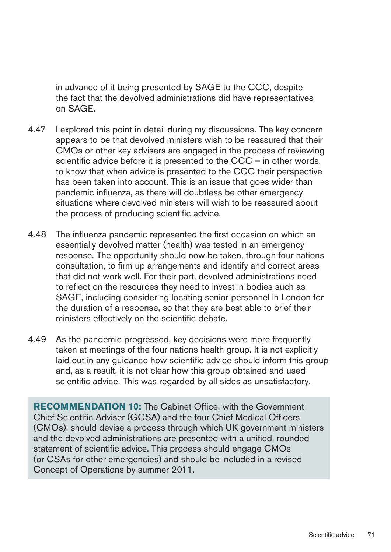in advance of it being presented by SAGE to the CCC, despite the fact that the devolved administrations did have representatives on SAGE.

- 4.47 I explored this point in detail during my discussions. The key concern appears to be that devolved ministers wish to be reassured that their CMOs or other key advisers are engaged in the process of reviewing scientific advice before it is presented to the CCC – in other words, to know that when advice is presented to the CCC their perspective has been taken into account. This is an issue that goes wider than pandemic influenza, as there will doubtless be other emergency situations where devolved ministers will wish to be reassured about the process of producing scientific advice.
- 4.48 The influenza pandemic represented the first occasion on which an essentially devolved matter (health) was tested in an emergency response. The opportunity should now be taken, through four nations consultation, to firm up arrangements and identify and correct areas that did not work well. For their part, devolved administrations need to reflect on the resources they need to invest in bodies such as SAGE, including considering locating senior personnel in London for the duration of a response, so that they are best able to brief their ministers effectively on the scientific debate.
- 4.49 As the pandemic progressed, key decisions were more frequently taken at meetings of the four nations health group. It is not explicitly laid out in any guidance how scientific advice should inform this group and, as a result, it is not clear how this group obtained and used scientific advice. This was regarded by all sides as unsatisfactory.

**RECOMMENDATION 10:** The Cabinet Office, with the Government Chief Scientific Adviser (GCSA) and the four Chief Medical Officers (CMOs), should devise a process through which UK government ministers and the devolved administrations are presented with a unified, rounded statement of scientific advice. This process should engage CMOs (or CSAs for other emergencies) and should be included in a revised Concept of Operations by summer 2011.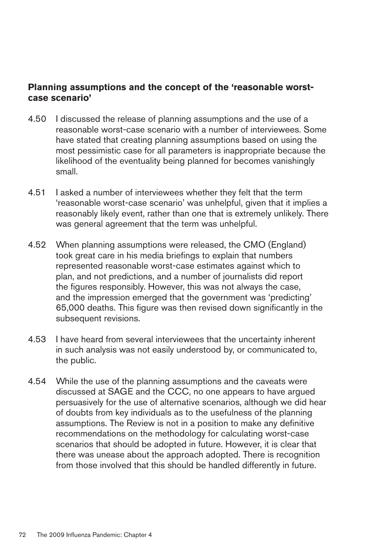## Planning assumptions and the concept of the 'reasonable worst**case scenario'**

- 4.50 � I discussed the release of planning assumptions and the use of a reasonable worst-case scenario with a number of interviewees. Some have stated that creating planning assumptions based on using the most pessimistic case for all parameters is inappropriate because the likelihood of the eventuality being planned for becomes vanishingly small.
- 4.51 I asked a number of interviewees whether they felt that the term 'reasonable worst-case scenario' was unhelpful, given that it implies a reasonably likely event, rather than one that is extremely unlikely. There was general agreement that the term was unhelpful.
- 4.52 When planning assumptions were released, the CMO (England) took great care in his media briefings to explain that numbers represented reasonable worst-case estimates against which to plan, and not predictions, and a number of journalists did report the figures responsibly. However, this was not always the case, and the impression emerged that the government was 'predicting' 65,000 deaths. This figure was then revised down significantly in the subsequent revisions.
- 4.53 � I have heard from several interviewees that the uncertainty inherent in such analysis was not easily understood by, or communicated to, the public.
- 4.54 While the use of the planning assumptions and the caveats were discussed at SAGE and the CCC, no one appears to have argued persuasively for the use of alternative scenarios, although we did hear of doubts from key individuals as to the usefulness of the planning assumptions. The Review is not in a position to make any definitive recommendations on the methodology for calculating worst-case scenarios that should be adopted in future. However, it is clear that there was unease about the approach adopted. There is recognition from those involved that this should be handled differently in future.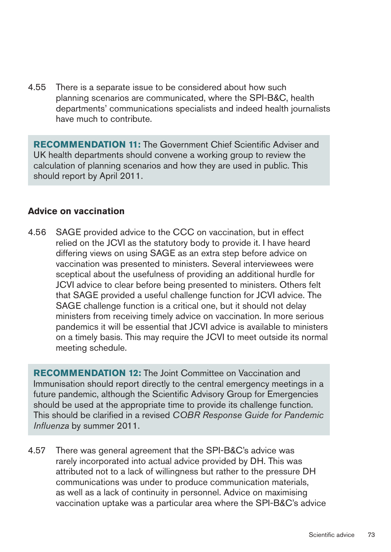4.55 There is a separate issue to be considered about how such planning scenarios are communicated, where the SPI-B&C, health departments' communications specialists and indeed health journalists have much to contribute.

**RECOMMENDATION 11:** The Government Chief Scientific Adviser and UK health departments should convene a working group to review the calculation of planning scenarios and how they are used in public. This should report by April 2011.

#### **Advice on vaccination**

4.56 SAGE provided advice to the CCC on vaccination, but in effect relied on the JCVI as the statutory body to provide it. I have heard differing views on using SAGE as an extra step before advice on vaccination was presented to ministers. Several interviewees were sceptical about the usefulness of providing an additional hurdle for JCVI advice to clear before being presented to ministers. Others felt that SAGE provided a useful challenge function for JCVI advice. The SAGE challenge function is a critical one, but it should not delay ministers from receiving timely advice on vaccination. In more serious pandemics it will be essential that JCVI advice is available to ministers on a timely basis. This may require the JCVI to meet outside its normal meeting schedule.

**RECOMMENDATION 12:** The Joint Committee on Vaccination and Immunisation should report directly to the central emergency meetings in a future pandemic, although the Scientific Advisory Group for Emergencies should be used at the appropriate time to provide its challenge function. This should be clarified in a revised *COBR Response Guide for Pandemic Influenza* by summer 2011.

4.57 There was general agreement that the SPI-B&C's advice was rarely incorporated into actual advice provided by DH. This was attributed not to a lack of willingness but rather to the pressure DH communications was under to produce communication materials, as well as a lack of continuity in personnel. Advice on maximising vaccination uptake was a particular area where the SPI-B&C's advice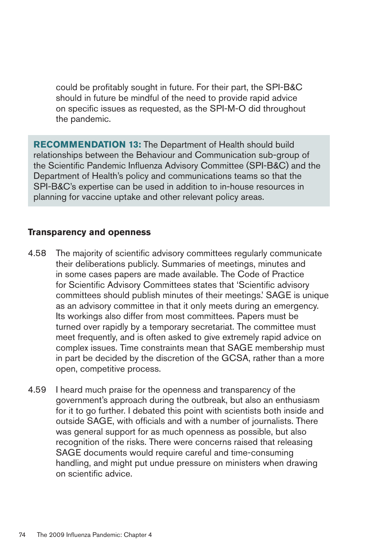could be profitably sought in future. For their part, the SPI-B&C should in future be mindful of the need to provide rapid advice on specific issues as requested, as the SPI-M-O did throughout the pandemic.

**RECOMMENDATION 13:** The Department of Health should build relationships between the Behaviour and Communication sub-group of the Scientific Pandemic Influenza Advisory Committee (SPI-B&C) and the Department of Health's policy and communications teams so that the SPI-B&C's expertise can be used in addition to in-house resources in planning for vaccine uptake and other relevant policy areas.

#### **Transparencyandopenness**

- 4.58 The majority of scientific advisory committees regularly communicate their deliberations publicly. Summaries of meetings, minutes and in some cases papers are made available. The Code of Practice for Scientific Advisory Committees states that 'Scientific advisory committees should publish minutes of their meetings.' SAGE is unique as an advisory committee in that it only meets during an emergency. Its workings also differ from most committees. Papers must be turned over rapidly by a temporary secretariat. The committee must meet frequently, and is often asked to give extremely rapid advice on complex issues. Time constraints mean that SAGE membership must in part be decided by the discretion of the GCSA, rather than a more open, competitive process.
- 4.59 I heard much praise for the openness and transparency of the government's approach during the outbreak, but also an enthusiasm for it to go further. I debated this point with scientists both inside and outside SAGE, with officials and with a number of journalists. There was general support for as much openness as possible, but also recognition of the risks. There were concerns raised that releasing SAGE documents would require careful and time-consuming handling, and might put undue pressure on ministers when drawing on scientific advice.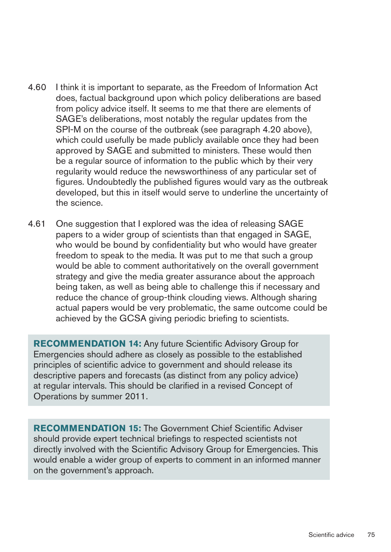- 4.60 � I think it is important to separate, as the Freedom of Information Act does, factual background upon which policy deliberations are based from policy advice itself. It seems to me that there are elements of SAGE's deliberations, most notably the regular updates from the SPI-M on the course of the outbreak (see paragraph 4.20 above), which could usefully be made publicly available once they had been approved by SAGE and submitted to ministers. These would then be a regular source of information to the public which by their very regularity would reduce the newsworthiness of any particular set of figures. Undoubtedly the published figures would vary as the outbreak developed, but this in itself would serve to underline the uncertainty of the science.
- 4.61 One suggestion that I explored was the idea of releasing SAGE papers to a wider group of scientists than that engaged in SAGE, who would be bound by confidentiality but who would have greater freedom to speak to the media. It was put to me that such a group would be able to comment authoritatively on the overall government strategy and give the media greater assurance about the approach being taken, as well as being able to challenge this if necessary and reduce the chance of group-think clouding views. Although sharing actual papers would be very problematic, the same outcome could be achieved by the GCSA giving periodic briefing to scientists.

**RECOMMENDATION 14:** Any future Scientific Advisory Group for Emergencies should adhere as closely as possible to the established principles of scientific advice to government and should release its descriptive papers and forecasts (as distinct from any policy advice) at regular intervals. This should be clarified in a revised Concept of Operations by summer 2011.

**RECOMMENDATION 15:** The Government Chief Scientific Adviser should provide expert technical briefings to respected scientists not directly involved with the Scientific Advisory Group for Emergencies. This would enable a wider group of experts to comment in an informed manner on the government's approach.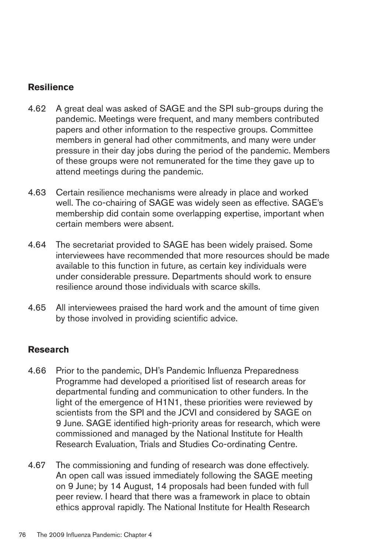## **Resilience**

- 4.62 � A great deal was asked of SAGE and the SPI sub-groups during the pandemic. Meetings were frequent, and many members contributed papers and other information to the respective groups. Committee members in general had other commitments, and many were under pressure in their day jobs during the period of the pandemic. Members of these groups were not remunerated for the time they gave up to attend meetings during the pandemic.
- 4.63 � Certain resilience mechanisms were already in place and worked well. The co-chairing of SAGE was widely seen as effective. SAGE's membership did contain some overlapping expertise, important when certain members were absent.
- 4.64 The secretariat provided to SAGE has been widely praised. Some interviewees have recommended that more resources should be made available to this function in future, as certain key individuals were under considerable pressure. Departments should work to ensure resilience around those individuals with scarce skills.
- 4.65 All interviewees praised the hard work and the amount of time given by those involved in providing scientific advice.

## **Research**

- 4.66 � Prior to the pandemic, DH's Pandemic Influenza Preparedness Programme had developed a prioritised list of research areas for departmental funding and communication to other funders. In the light of the emergence of H1N1, these priorities were reviewed by scientists from the SPI and the JCVI and considered by SAGE on 9 June. SAGE identified high-priority areas for research, which were commissioned and managed by the National Institute for Health Research Evaluation, Trials and Studies Co-ordinating Centre.
- 4.67 The commissioning and funding of research was done effectively. An open call was issued immediately following the SAGE meeting on 9 June; by 14 August, 14 proposals had been funded with full peer review. I heard that there was a framework in place to obtain ethics approval rapidly. The National Institute for Health Research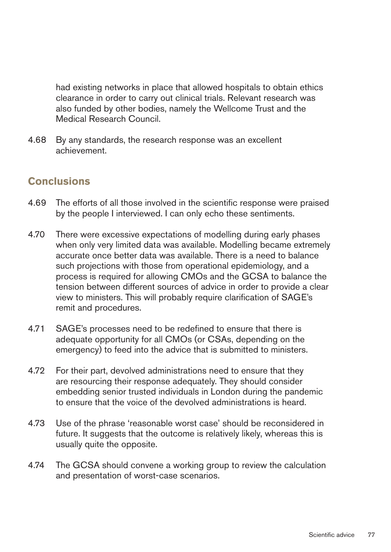had existing networks in place that allowed hospitals to obtain ethics clearance in order to carry out clinical trials. Relevant research was also funded by other bodies, namely the Wellcome Trust and the Medical Research Council.

4.68 � By any standards, the research response was an excellent achievement.

# **Conclusions**

- 4.69 The efforts of all those involved in the scientific response were praised by the people I interviewed. I can only echo these sentiments.
- 4.70 There were excessive expectations of modelling during early phases when only very limited data was available. Modelling became extremely accurate once better data was available. There is a need to balance such projections with those from operational epidemiology, and a process is required for allowing CMOs and the GCSA to balance the tension between different sources of advice in order to provide a clear view to ministers. This will probably require clarification of SAGE's remit and procedures.
- 4.71 SAGE's processes need to be redefined to ensure that there is adequate opportunity for all CMOs (or CSAs, depending on the emergency) to feed into the advice that is submitted to ministers.
- 4.72 For their part, devolved administrations need to ensure that they are resourcing their response adequately. They should consider embedding senior trusted individuals in London during the pandemic to ensure that the voice of the devolved administrations is heard.
- 4.73 Use of the phrase 'reasonable worst case' should be reconsidered in future. It suggests that the outcome is relatively likely, whereas this is usually quite the opposite.
- 4.74 The GCSA should convene a working group to review the calculation and presentation of worst-case scenarios.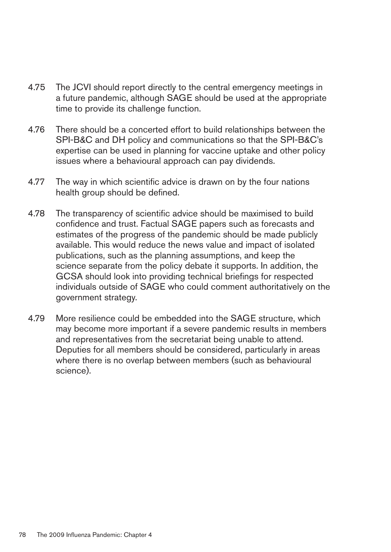- 4.75 The JCVI should report directly to the central emergency meetings in a future pandemic, although SAGE should be used at the appropriate time to provide its challenge function.
- 4.76 There should be a concerted effort to build relationships between the SPI-B&C and DH policy and communications so that the SPI-B&C's expertise can be used in planning for vaccine uptake and other policy issues where a behavioural approach can pay dividends.
- 4.77 The way in which scientific advice is drawn on by the four nations health group should be defined.
- 4.78 The transparency of scientific advice should be maximised to build confidence and trust. Factual SAGE papers such as forecasts and estimates of the progress of the pandemic should be made publicly available. This would reduce the news value and impact of isolated publications, such as the planning assumptions, and keep the science separate from the policy debate it supports. In addition, the GCSA should look into providing technical briefings for respected individuals outside of SAGE who could comment authoritatively on the government strategy.
- 4.79 More resilience could be embedded into the SAGE structure, which may become more important if a severe pandemic results in members and representatives from the secretariat being unable to attend. Deputies for all members should be considered, particularly in areas where there is no overlap between members (such as behavioural science).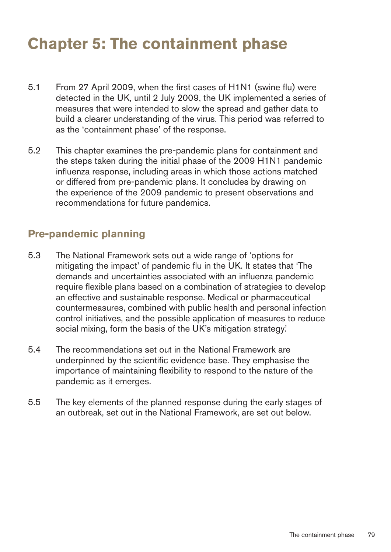# **Chapter 5: The containment phase**

- 5.1 From 27 April 2009, when the first cases of H1N1 (swine flu) were detected in the UK, until 2 July 2009, the UK implemented a series of measures that were intended to slow the spread and gather data to build a clearer understanding of the virus. This period was referred to as the 'containment phase' of the response.
- 5.2 This chapter examines the pre-pandemic plans for containment and the steps taken during the initial phase of the 2009 H1N1 pandemic influenza response, including areas in which those actions matched or differed from pre-pandemic plans. It concludes by drawing on the experience of the 2009 pandemic to present observations and recommendations for future pandemics.

# **Pre-pandemic planning**

- 5.3 � The National Framework sets out a wide range of 'options for mitigating the impact' of pandemic flu in the UK. It states that 'The demands and uncertainties associated with an influenza pandemic require flexible plans based on a combination of strategies to develop an effective and sustainable response. Medical or pharmaceutical countermeasures, combined with public health and personal infection control initiatives, and the possible application of measures to reduce social mixing, form the basis of the UK's mitigation strategy.'
- 5.4 � The recommendations set out in the National Framework are underpinned by the scientific evidence base. They emphasise the importance of maintaining flexibility to respond to the nature of the pandemic as it emerges.
- 5.5 The key elements of the planned response during the early stages of an outbreak, set out in the National Framework, are set out below.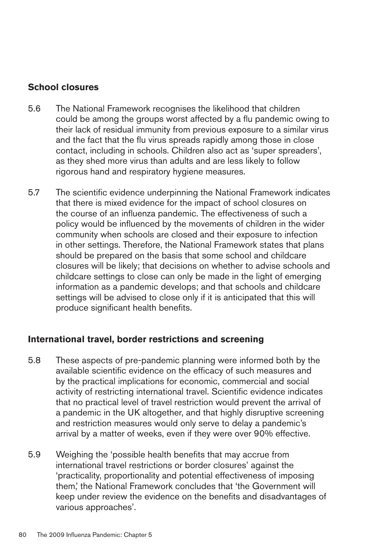## **School closures**

- 5.6 � The National Framework recognises the likelihood that children could be among the groups worst affected by a flu pandemic owing to their lack of residual immunity from previous exposure to a similar virus and the fact that the flu virus spreads rapidly among those in close contact, including in schools. Children also act as 'super spreaders', as they shed more virus than adults and are less likely to follow rigorous hand and respiratory hygiene measures.
- 5.7 The scientific evidence underpinning the National Framework indicates that there is mixed evidence for the impact of school closures on the course of an influenza pandemic. The effectiveness of such a policy would be influenced by the movements of children in the wider community when schools are closed and their exposure to infection in other settings. Therefore, the National Framework states that plans should be prepared on the basis that some school and childcare closures will be likely; that decisions on whether to advise schools and childcare settings to close can only be made in the light of emerging information as a pandemic develops; and that schools and childcare settings will be advised to close only if it is anticipated that this will produce significant health benefits.

#### **International travel, border restrictions and screening**

- 5.8 � These aspects of pre-pandemic planning were informed both by the available scientific evidence on the efficacy of such measures and by the practical implications for economic, commercial and social activity of restricting international travel. Scientific evidence indicates that no practical level of travel restriction would prevent the arrival of a pandemic in the UK altogether, and that highly disruptive screening and restriction measures would only serve to delay a pandemic's arrival by a matter of weeks, even if they were over 90% effective.
- 5.9 � Weighing the 'possible health benefits that may accrue from international travel restrictions or border closures' against the 'practicality, proportionality and potential effectiveness of imposing them,' the National Framework concludes that 'the Government will keep under review the evidence on the benefits and disadvantages of various approaches'.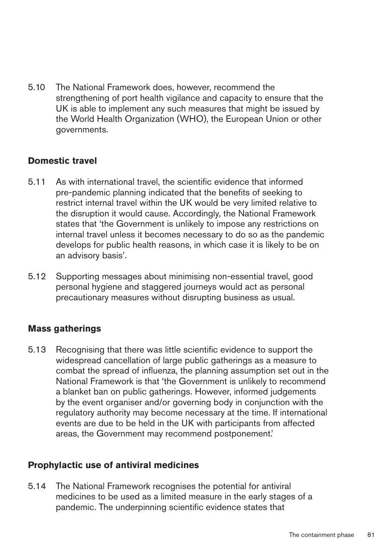5.10 The National Framework does, however, recommend the strengthening of port health vigilance and capacity to ensure that the UK is able to implement any such measures that might be issued by the World Health Organization (WHO), the European Union or other governments.

## **Domestic travel**

- 5.11 As with international travel, the scientific evidence that informed pre-pandemic planning indicated that the benefits of seeking to restrict internal travel within the UK would be very limited relative to the disruption it would cause. Accordingly, the National Framework states that 'the Government is unlikely to impose any restrictions on internal travel unless it becomes necessary to do so as the pandemic develops for public health reasons, in which case it is likely to be on an advisory basis'.
- 5.12 Supporting messages about minimising non-essential travel, good personal hygiene and staggered journeys would act as personal precautionary measures without disrupting business as usual.

## **Mass gatherings**

5.13 � Recognising that there was little scientific evidence to support the widespread cancellation of large public gatherings as a measure to combat the spread of influenza, the planning assumption set out in the National Framework is that 'the Government is unlikely to recommend a blanket ban on public gatherings. However, informed judgements by the event organiser and/or governing body in conjunction with the regulatory authority may become necessary at the time. If international events are due to be held in the UK with participants from affected areas, the Government may recommend postponement.'

## **Prophylactic use of antiviral medicines**

5.14 The National Framework recognises the potential for antiviral medicines to be used as a limited measure in the early stages of a pandemic. The underpinning scientific evidence states that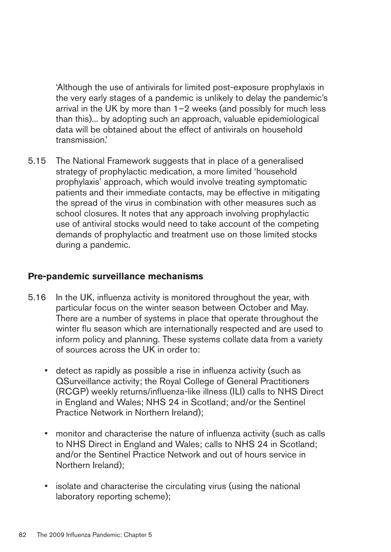'Although the use of antivirals for limited post-exposure prophylaxis in the very early stages of a pandemic is unlikely to delay the pandemic's arrival in the UK by more than 1–2 weeks (and possibly for much less than this)... by adopting such an approach, valuable epidemiological data will be obtained about the effect of antivirals on household transmission.'

5.15 The National Framework suggests that in place of a generalised strategy of prophylactic medication, a more limited 'household prophylaxis' approach, which would involve treating symptomatic patients and their immediate contacts, may be effective in mitigating the spread of the virus in combination with other measures such as school closures. It notes that any approach involving prophylactic use of antiviral stocks would need to take account of the competing demands of prophylactic and treatment use on those limited stocks during a pandemic.

#### **Pre-pandemic surveillance mechanisms**

- 5.16 In the UK, influenza activity is monitored throughout the year, with particular focus on the winter season between October and May. There are a number of systems in place that operate throughout the winter flu season which are internationally respected and are used to inform policy and planning. These systems collate data from a variety of sources across the UK in order to:
	- detect as rapidly as possible a rise in influenza activity (such as QSurveillance activity; the Royal College of General Practitioners (RCGP) weekly returns/influenza-like illness (ILI) calls to NHS Direct in England and Wales; NHS 24 in Scotland; and/or the Sentinel Practice Network in Northern Ireland);
	- monitor and characterise the nature of influenza activity (such as calls to NHS Direct in England and Wales; calls to NHS 24 in Scotland; and/or the Sentinel Practice Network and out of hours service in Northern Ireland);
	- isolate and characterise the circulating virus (using the national laboratory reporting scheme);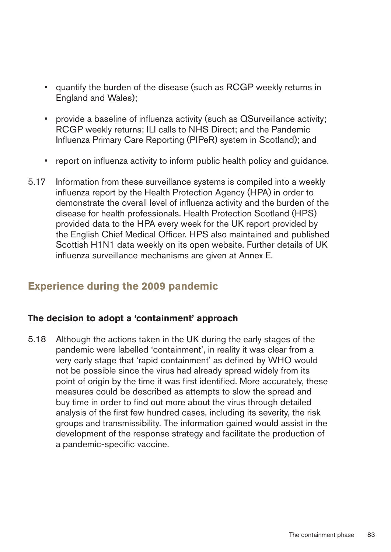- • � quantify the burden of the disease (such as RCGP weekly returns in England and Wales);
- provide a baseline of influenza activity (such as QSurveillance activity; RCGP weekly returns; ILI calls to NHS Direct; and the Pandemic Influenza Primary Care Reporting (PIPeR) system in Scotland); and
- report on influenza activity to inform public health policy and guidance.
- 5.17 Information from these surveillance systems is compiled into a weekly influenza report by the Health Protection Agency (HPA) in order to demonstrate the overall level of influenza activity and the burden of the disease for health professionals. Health Protection Scotland (HPS) provided data to the HPA every week for the UK report provided by the English Chief Medical Officer. HPS also maintained and published Scottish H1N1 data weekly on its open website. Further details of UK influenza surveillance mechanisms are given at Annex E.

# **Experience during the 2009 pandemic**

## The decision to adopt a 'containment' approach

5.18 Although the actions taken in the UK during the early stages of the pandemic were labelled 'containment', in reality it was clear from a very early stage that 'rapid containment' as defined by WHO would not be possible since the virus had already spread widely from its point of origin by the time it was first identified. More accurately, these measures could be described as attempts to slow the spread and buy time in order to find out more about the virus through detailed analysis of the first few hundred cases, including its severity, the risk groups and transmissibility. The information gained would assist in the development of the response strategy and facilitate the production of a pandemic-specific vaccine.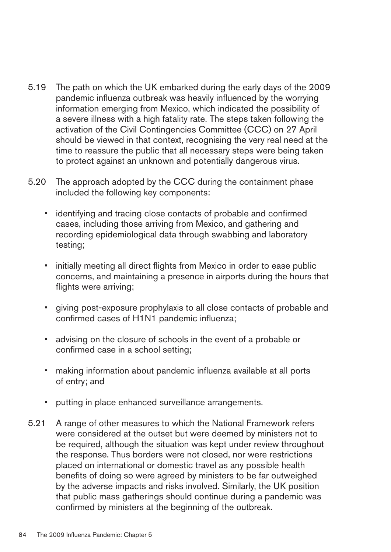- 5.19 The path on which the UK embarked during the early days of the 2009 pandemic influenza outbreak was heavily influenced by the worrying information emerging from Mexico, which indicated the possibility of a severe illness with a high fatality rate. The steps taken following the activation of the Civil Contingencies Committee (CCC) on 27 April should be viewed in that context, recognising the very real need at the time to reassure the public that all necessary steps were being taken to protect against an unknown and potentially dangerous virus.
- 5.20 The approach adopted by the CCC during the containment phase included the following key components:
	- identifying and tracing close contacts of probable and confirmed cases, including those arriving from Mexico, and gathering and recording epidemiological data through swabbing and laboratory testing;
	- initially meeting all direct flights from Mexico in order to ease public concerns, and maintaining a presence in airports during the hours that flights were arriving;
	- giving post-exposure prophylaxis to all close contacts of probable and confirmed cases of H1N1 pandemic influenza;
	- advising on the closure of schools in the event of a probable or confirmed case in a school setting;
	- making information about pandemic influenza available at all ports of entry; and
	- putting in place enhanced surveillance arrangements.
- 5.21 � A range of other measures to which the National Framework refers were considered at the outset but were deemed by ministers not to be required, although the situation was kept under review throughout the response. Thus borders were not closed, nor were restrictions placed on international or domestic travel as any possible health benefits of doing so were agreed by ministers to be far outweighed by the adverse impacts and risks involved. Similarly, the UK position that public mass gatherings should continue during a pandemic was confirmed by ministers at the beginning of the outbreak.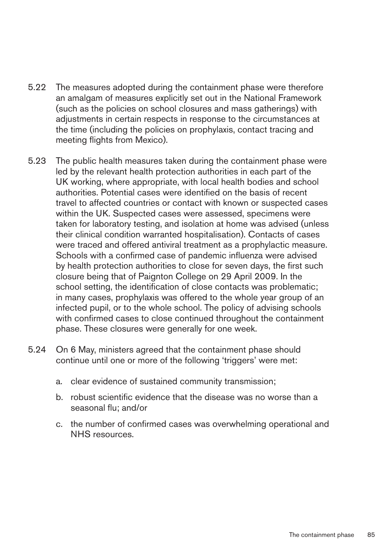- 5.22 The measures adopted during the containment phase were therefore an amalgam of measures explicitly set out in the National Framework (such as the policies on school closures and mass gatherings) with adjustments in certain respects in response to the circumstances at the time (including the policies on prophylaxis, contact tracing and meeting flights from Mexico).
- 5.23 The public health measures taken during the containment phase were led by the relevant health protection authorities in each part of the UK working, where appropriate, with local health bodies and school authorities. Potential cases were identified on the basis of recent travel to affected countries or contact with known or suspected cases within the UK. Suspected cases were assessed, specimens were taken for laboratory testing, and isolation at home was advised (unless their clinical condition warranted hospitalisation). Contacts of cases were traced and offered antiviral treatment as a prophylactic measure. Schools with a confirmed case of pandemic influenza were advised by health protection authorities to close for seven days, the first such closure being that of Paignton College on 29 April 2009. In the school setting, the identification of close contacts was problematic; in many cases, prophylaxis was offered to the whole year group of an infected pupil, or to the whole school. The policy of advising schools with confirmed cases to close continued throughout the containment phase. These closures were generally for one week.
- 5.24 On 6 May, ministers agreed that the containment phase should continue until one or more of the following 'triggers' were met:
	- a. clear evidence of sustained community transmission;
	- b. robust scientific evidence that the disease was no worse than a seasonal flu; and/or
	- c. the number of confirmed cases was overwhelming operational and NHS resources.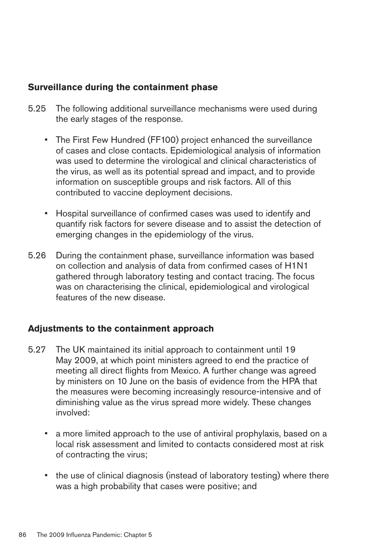## **Surveillance during the containment phase**

- 5.25 The following additional surveillance mechanisms were used during the early stages of the response.
	- The First Few Hundred (FF100) project enhanced the surveillance of cases and close contacts. Epidemiological analysis of information was used to determine the virological and clinical characteristics of the virus, as well as its potential spread and impact, and to provide information on susceptible groups and risk factors. All of this contributed to vaccine deployment decisions.
	- Hospital surveillance of confirmed cases was used to identify and quantify risk factors for severe disease and to assist the detection of emerging changes in the epidemiology of the virus.
- 5.26 � During the containment phase, surveillance information was based on collection and analysis of data from confirmed cases of H1N1 gathered through laboratory testing and contact tracing. The focus was on characterising the clinical, epidemiological and virological features of the new disease.

## **Adjustments to the containment approach**

- 5.27 The UK maintained its initial approach to containment until 19 May 2009, at which point ministers agreed to end the practice of meeting all direct flights from Mexico. A further change was agreed by ministers on 10 June on the basis of evidence from the HPA that the measures were becoming increasingly resource-intensive and of diminishing value as the virus spread more widely. These changes involved:
	- a more limited approach to the use of antiviral prophylaxis, based on a local risk assessment and limited to contacts considered most at risk of contracting the virus;
	- the use of clinical diagnosis (instead of laboratory testing) where there was a high probability that cases were positive; and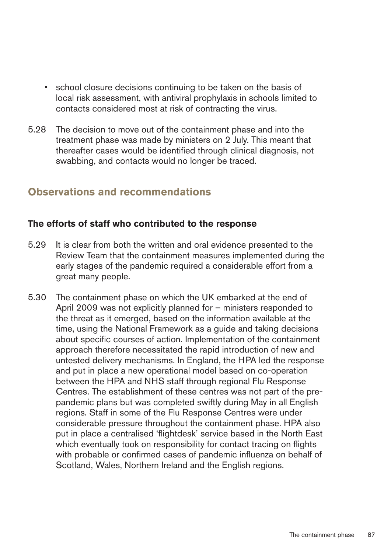- school closure decisions continuing to be taken on the basis of local risk assessment, with antiviral prophylaxis in schools limited to contacts considered most at risk of contracting the virus.
- 5.28 The decision to move out of the containment phase and into the treatment phase was made by ministers on 2 July. This meant that thereafter cases would be identified through clinical diagnosis, not swabbing, and contacts would no longer be traced.

# **Observations and recommendations**

## The efforts of staff who contributed to the response

- 5.29 It is clear from both the written and oral evidence presented to the Review Team that the containment measures implemented during the early stages of the pandemic required a considerable effort from a great many people.
- 5.30 The containment phase on which the UK embarked at the end of April 2009 was not explicitly planned for – ministers responded to the threat as it emerged, based on the information available at the time, using the National Framework as a guide and taking decisions about specific courses of action. Implementation of the containment approach therefore necessitated the rapid introduction of new and untested delivery mechanisms. In England, the HPA led the response and put in place a new operational model based on co-operation between the HPA and NHS staff through regional Flu Response Centres. The establishment of these centres was not part of the prepandemic plans but was completed swiftly during May in all English regions. Staff in some of the Flu Response Centres were under considerable pressure throughout the containment phase. HPA also put in place a centralised 'flightdesk' service based in the North East which eventually took on responsibility for contact tracing on flights with probable or confirmed cases of pandemic influenza on behalf of Scotland, Wales, Northern Ireland and the English regions.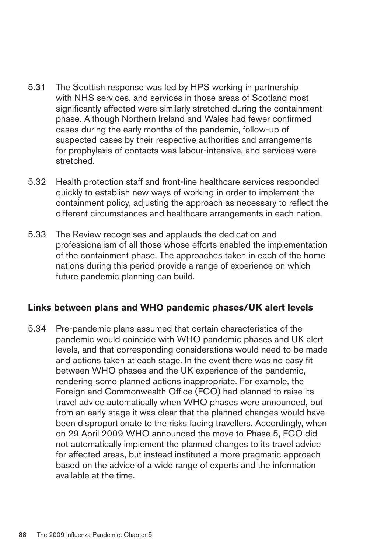- 5.31 The Scottish response was led by HPS working in partnership with NHS services, and services in those areas of Scotland most significantly affected were similarly stretched during the containment phase. Although Northern Ireland and Wales had fewer confirmed cases during the early months of the pandemic, follow-up of suspected cases by their respective authorities and arrangements for prophylaxis of contacts was labour-intensive, and services were stretched.
- 5.32 � Health protection staff and front-line healthcare services responded quickly to establish new ways of working in order to implement the containment policy, adjusting the approach as necessary to reflect the different circumstances and healthcare arrangements in each nation.
- 5.33 � The Review recognises and applauds the dedication and professionalism of all those whose efforts enabled the implementation of the containment phase. The approaches taken in each of the home nations during this period provide a range of experience on which future pandemic planning can build.

## Links between plans and WHO pandemic phases/UK alert levels

5.34 � Pre-pandemic plans assumed that certain characteristics of the pandemic would coincide with WHO pandemic phases and UK alert levels, and that corresponding considerations would need to be made and actions taken at each stage. In the event there was no easy fit between WHO phases and the UK experience of the pandemic, rendering some planned actions inappropriate. For example, the Foreign and Commonwealth Office (FCO) had planned to raise its travel advice automatically when WHO phases were announced, but from an early stage it was clear that the planned changes would have been disproportionate to the risks facing travellers. Accordingly, when on 29 April 2009 WHO announced the move to Phase 5, FCO did not automatically implement the planned changes to its travel advice for affected areas, but instead instituted a more pragmatic approach based on the advice of a wide range of experts and the information available at the time.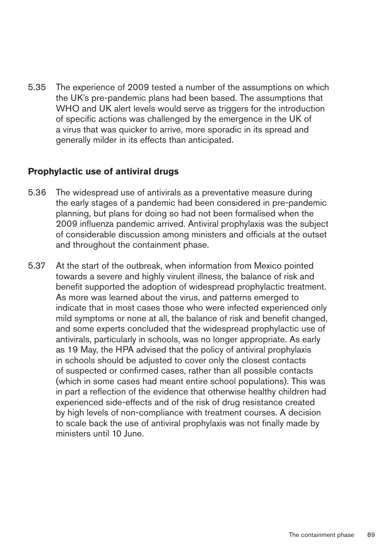5.35 The experience of 2009 tested a number of the assumptions on which the UK's pre-pandemic plans had been based. The assumptions that WHO and UK alert levels would serve as triggers for the introduction of specific actions was challenged by the emergence in the UK of a virus that was quicker to arrive, more sporadic in its spread and generally milder in its effects than anticipated.

## **Prophylactic use of antiviral drugs**

- 5.36 � The widespread use of antivirals as a preventative measure during the early stages of a pandemic had been considered in pre-pandemic planning, but plans for doing so had not been formalised when the 2009 influenza pandemic arrived. Antiviral prophylaxis was the subject of considerable discussion among ministers and officials at the outset and throughout the containment phase.
- 5.37 At the start of the outbreak, when information from Mexico pointed towards a severe and highly virulent illness, the balance of risk and benefit supported the adoption of widespread prophylactic treatment. As more was learned about the virus, and patterns emerged to indicate that in most cases those who were infected experienced only mild symptoms or none at all, the balance of risk and benefit changed, and some experts concluded that the widespread prophylactic use of antivirals, particularly in schools, was no longer appropriate. As early as 19 May, the HPA advised that the policy of antiviral prophylaxis in schools should be adjusted to cover only the closest contacts of suspected or confirmed cases, rather than all possible contacts (which in some cases had meant entire school populations). This was in part a reflection of the evidence that otherwise healthy children had experienced side-effects and of the risk of drug resistance created by high levels of non-compliance with treatment courses. A decision to scale back the use of antiviral prophylaxis was not finally made by ministers until 10 June.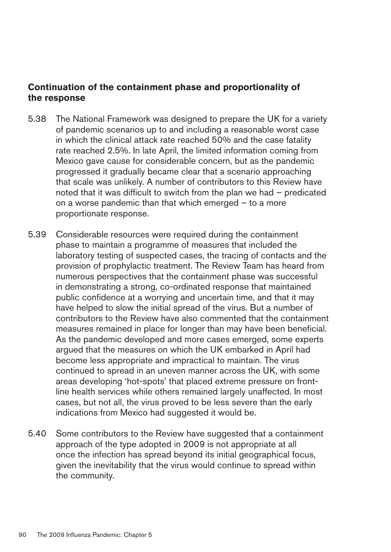## **Continuation of the containment phase and proportionality of** the response

- 5.38 The National Framework was designed to prepare the UK for a variety of pandemic scenarios up to and including a reasonable worst case in which the clinical attack rate reached 50% and the case fatality rate reached 2.5%. In late April, the limited information coming from Mexico gave cause for considerable concern, but as the pandemic progressed it gradually became clear that a scenario approaching that scale was unlikely. A number of contributors to this Review have noted that it was difficult to switch from the plan we had – predicated on a worse pandemic than that which emerged – to a more proportionate response.
- 5.39 � Considerable resources were required during the containment phase to maintain a programme of measures that included the laboratory testing of suspected cases, the tracing of contacts and the provision of prophylactic treatment. The Review Team has heard from numerous perspectives that the containment phase was successful in demonstrating a strong, co-ordinated response that maintained public confidence at a worrying and uncertain time, and that it may have helped to slow the initial spread of the virus. But a number of contributors to the Review have also commented that the containment measures remained in place for longer than may have been beneficial. As the pandemic developed and more cases emerged, some experts argued that the measures on which the UK embarked in April had become less appropriate and impractical to maintain. The virus continued to spread in an uneven manner across the UK, with some areas developing 'hot-spots' that placed extreme pressure on frontline health services while others remained largely unaffected. In most cases, but not all, the virus proved to be less severe than the early indications from Mexico had suggested it would be.
- 5.40 � Some contributors to the Review have suggested that a containment approach of the type adopted in 2009 is not appropriate at all once the infection has spread beyond its initial geographical focus, given the inevitability that the virus would continue to spread within the community.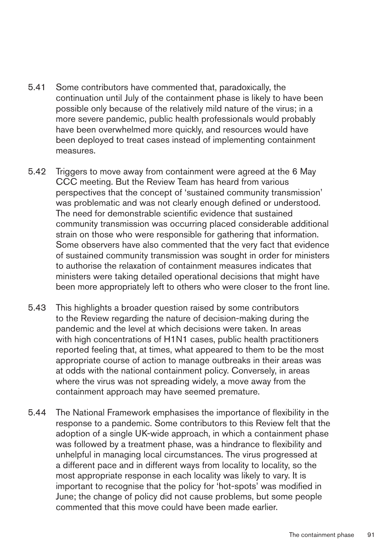- 5.41 Some contributors have commented that, paradoxically, the continuation until July of the containment phase is likely to have been possible only because of the relatively mild nature of the virus; in a more severe pandemic, public health professionals would probably have been overwhelmed more quickly, and resources would have been deployed to treat cases instead of implementing containment measures.
- 5.42 Triggers to move away from containment were agreed at the 6 May CCC meeting. But the Review Team has heard from various perspectives that the concept of 'sustained community transmission' was problematic and was not clearly enough defined or understood. The need for demonstrable scientific evidence that sustained community transmission was occurring placed considerable additional strain on those who were responsible for gathering that information. Some observers have also commented that the very fact that evidence of sustained community transmission was sought in order for ministers to authorise the relaxation of containment measures indicates that ministers were taking detailed operational decisions that might have been more appropriately left to others who were closer to the front line.
- 5.43 This highlights a broader question raised by some contributors to the Review regarding the nature of decision-making during the pandemic and the level at which decisions were taken. In areas with high concentrations of H1N1 cases, public health practitioners reported feeling that, at times, what appeared to them to be the most appropriate course of action to manage outbreaks in their areas was at odds with the national containment policy. Conversely, in areas where the virus was not spreading widely, a move away from the containment approach may have seemed premature.
- 5.44 � The National Framework emphasises the importance of flexibility in the response to a pandemic. Some contributors to this Review felt that the adoption of a single UK-wide approach, in which a containment phase was followed by a treatment phase, was a hindrance to flexibility and unhelpful in managing local circumstances. The virus progressed at a different pace and in different ways from locality to locality, so the most appropriate response in each locality was likely to vary. It is important to recognise that the policy for 'hot-spots' was modified in June; the change of policy did not cause problems, but some people commented that this move could have been made earlier.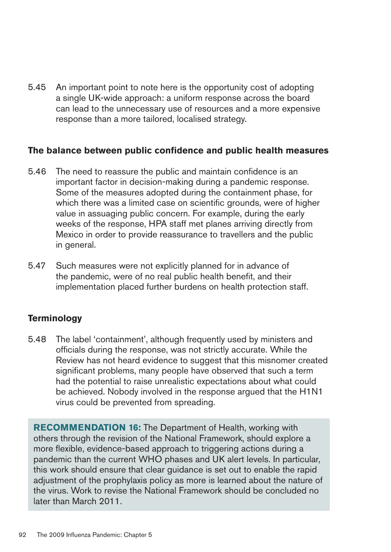5.45 An important point to note here is the opportunity cost of adopting a single UK-wide approach: a uniform response across the board can lead to the unnecessary use of resources and a more expensive response than a more tailored, localised strategy.

#### The balance between public confidence and public health measures

- 5.46 The need to reassure the public and maintain confidence is an important factor in decision-making during a pandemic response. Some of the measures adopted during the containment phase, for which there was a limited case on scientific grounds, were of higher value in assuaging public concern. For example, during the early weeks of the response, HPA staff met planes arriving directly from Mexico in order to provide reassurance to travellers and the public in general.
- 5.47 Such measures were not explicitly planned for in advance of the pandemic, were of no real public health benefit, and their implementation placed further burdens on health protection staff.

## **Terminology**

5.48 The label 'containment', although frequently used by ministers and officials during the response, was not strictly accurate. While the Review has not heard evidence to suggest that this misnomer created significant problems, many people have observed that such a term had the potential to raise unrealistic expectations about what could be achieved. Nobody involved in the response argued that the H1N1 virus could be prevented from spreading.

**RECOMMENDATION 16:** The Department of Health, working with others through the revision of the National Framework, should explore a more flexible, evidence-based approach to triggering actions during a pandemic than the current WHO phases and UK alert levels. In particular, this work should ensure that clear guidance is set out to enable the rapid adjustment of the prophylaxis policy as more is learned about the nature of the virus. Work to revise the National Framework should be concluded no later than March 2011.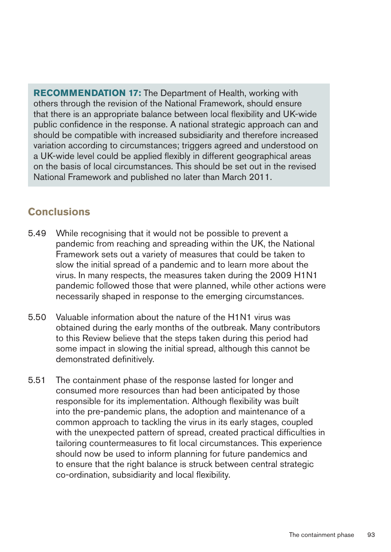**RECOMMENDATION 17:** The Department of Health, working with others through the revision of the National Framework, should ensure that there is an appropriate balance between local flexibility and UK-wide public confidence in the response. A national strategic approach can and should be compatible with increased subsidiarity and therefore increased variation according to circumstances; triggers agreed and understood on a UK-wide level could be applied flexibly in different geographical areas on the basis of local circumstances. This should be set out in the revised National Framework and published no later than March 2011.

# **Conclusions**

- 5.49 While recognising that it would not be possible to prevent a pandemic from reaching and spreading within the UK, the National Framework sets out a variety of measures that could be taken to slow the initial spread of a pandemic and to learn more about the virus. In many respects, the measures taken during the 2009 H1N1 pandemic followed those that were planned, while other actions were necessarily shaped in response to the emerging circumstances.
- 5.50 � Valuable information about the nature of the H1N1 virus was obtained during the early months of the outbreak. Many contributors to this Review believe that the steps taken during this period had some impact in slowing the initial spread, although this cannot be demonstrated definitively.
- 5.51 The containment phase of the response lasted for longer and consumed more resources than had been anticipated by those responsible for its implementation. Although flexibility was built into the pre-pandemic plans, the adoption and maintenance of a common approach to tackling the virus in its early stages, coupled with the unexpected pattern of spread, created practical difficulties in tailoring countermeasures to fit local circumstances. This experience should now be used to inform planning for future pandemics and to ensure that the right balance is struck between central strategic co-ordination, subsidiarity and local flexibility.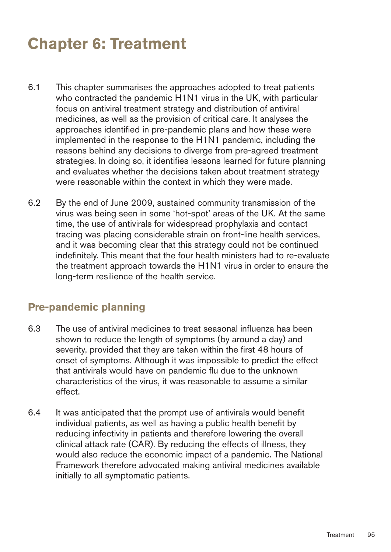# **Chapter 6: Treatment**

- 6.1 This chapter summarises the approaches adopted to treat patients who contracted the pandemic H1N1 virus in the UK, with particular focus on antiviral treatment strategy and distribution of antiviral medicines, as well as the provision of critical care. It analyses the approaches identified in pre-pandemic plans and how these were implemented in the response to the H1N1 pandemic, including the reasons behind any decisions to diverge from pre-agreed treatment strategies. In doing so, it identifies lessons learned for future planning and evaluates whether the decisions taken about treatment strategy were reasonable within the context in which they were made.
- 6.2 � By the end of June 2009, sustained community transmission of the virus was being seen in some 'hot-spot' areas of the UK. At the same time, the use of antivirals for widespread prophylaxis and contact tracing was placing considerable strain on front-line health services, and it was becoming clear that this strategy could not be continued indefinitely. This meant that the four health ministers had to re-evaluate the treatment approach towards the H1N1 virus in order to ensure the long-term resilience of the health service.

## **Pre-pandemic planning**

- 6.3 � The use of antiviral medicines to treat seasonal influenza has been shown to reduce the length of symptoms (by around a day) and severity, provided that they are taken within the first 48 hours of onset of symptoms. Although it was impossible to predict the effect that antivirals would have on pandemic flu due to the unknown characteristics of the virus, it was reasonable to assume a similar effect.
- 6.4 � It was anticipated that the prompt use of antivirals would benefit individual patients, as well as having a public health benefit by reducing infectivity in patients and therefore lowering the overall clinical attack rate (CAR). By reducing the effects of illness, they would also reduce the economic impact of a pandemic. The National Framework therefore advocated making antiviral medicines available initially to all symptomatic patients.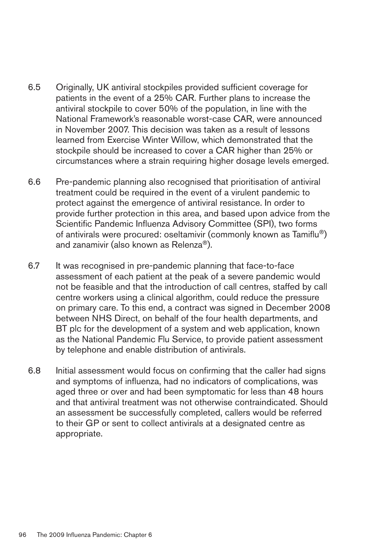- 6.5 � Originally, UK antiviral stockpiles provided sufficient coverage for patients in the event of a 25% CAR. Further plans to increase the antiviral stockpile to cover 50% of the population, in line with the National Framework's reasonable worst-case CAR, were announced in November 2007. This decision was taken as a result of lessons learned from Exercise Winter Willow, which demonstrated that the stockpile should be increased to cover a CAR higher than 25% or circumstances where a strain requiring higher dosage levels emerged.
- 6.6 � Pre-pandemic planning also recognised that prioritisation of antiviral treatment could be required in the event of a virulent pandemic to protect against the emergence of antiviral resistance. In order to provide further protection in this area, and based upon advice from the Scientific Pandemic Influenza Advisory Committee (SPI), two forms of antivirals were procured: oseltamivir (commonly known as Tamiflu®) and zanamivir (also known as Relenza®).
- 6.7 It was recognised in pre-pandemic planning that face-to-face assessment of each patient at the peak of a severe pandemic would not be feasible and that the introduction of call centres, staffed by call centre workers using a clinical algorithm, could reduce the pressure on primary care. To this end, a contract was signed in December 2008 between NHS Direct, on behalf of the four health departments, and BT plc for the development of a system and web application, known as the National Pandemic Flu Service, to provide patient assessment by telephone and enable distribution of antivirals.
- 6.8 � Initial assessment would focus on confirming that the caller had signs and symptoms of influenza, had no indicators of complications, was aged three or over and had been symptomatic for less than 48 hours and that antiviral treatment was not otherwise contraindicated. Should an assessment be successfully completed, callers would be referred to their GP or sent to collect antivirals at a designated centre as appropriate.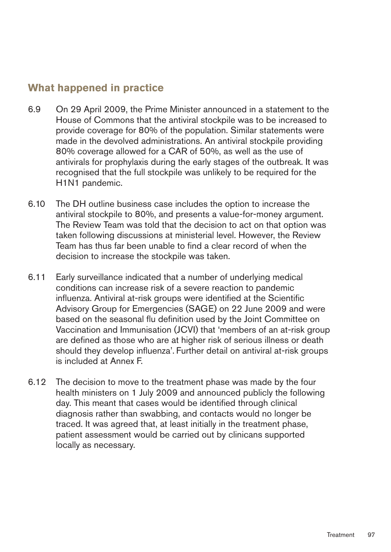# **What happened in practice**

- 6.9 � On 29 April 2009, the Prime Minister announced in a statement to the House of Commons that the antiviral stockpile was to be increased to provide coverage for 80% of the population. Similar statements were made in the devolved administrations. An antiviral stockpile providing 80% coverage allowed for a CAR of 50%, as well as the use of antivirals for prophylaxis during the early stages of the outbreak. It was recognised that the full stockpile was unlikely to be required for the H1N1 pandemic.
- 6.10 The DH outline business case includes the option to increase the antiviral stockpile to 80%, and presents a value-for-money argument. The Review Team was told that the decision to act on that option was taken following discussions at ministerial level. However, the Review Team has thus far been unable to find a clear record of when the decision to increase the stockpile was taken.
- 6.11 Early surveillance indicated that a number of underlying medical conditions can increase risk of a severe reaction to pandemic influenza. Antiviral at-risk groups were identified at the Scientific Advisory Group for Emergencies (SAGE) on 22 June 2009 and were based on the seasonal flu definition used by the Joint Committee on Vaccination and Immunisation (JCVI) that 'members of an at-risk group are defined as those who are at higher risk of serious illness or death should they develop influenza'. Further detail on antiviral at-risk groups is included at Annex F.
- 6.12 The decision to move to the treatment phase was made by the four health ministers on 1 July 2009 and announced publicly the following day. This meant that cases would be identified through clinical diagnosis rather than swabbing, and contacts would no longer be traced. It was agreed that, at least initially in the treatment phase, patient assessment would be carried out by clinicans supported locally as necessary.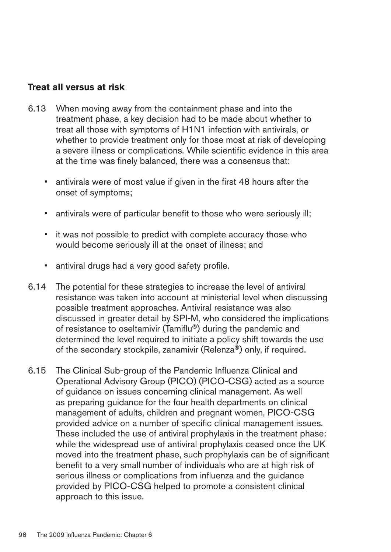#### **Treat all versus at risk**

- 6.13 When moving away from the containment phase and into the treatment phase, a key decision had to be made about whether to treat all those with symptoms of H1N1 infection with antivirals, or whether to provide treatment only for those most at risk of developing a severe illness or complications. While scientific evidence in this area at the time was finely balanced, there was a consensus that:
	- antivirals were of most value if given in the first 48 hours after the onset of symptoms;
	- antivirals were of particular benefit to those who were seriously ill;
	- it was not possible to predict with complete accuracy those who would become seriously ill at the onset of illness; and
	- antiviral drugs had a very good safety profile.
- 6.14 � The potential for these strategies to increase the level of antiviral resistance was taken into account at ministerial level when discussing possible treatment approaches. Antiviral resistance was also discussed in greater detail by SPI-M, who considered the implications of resistance to oseltamivir (Tamiflu®) during the pandemic and determined the level required to initiate a policy shift towards the use of the secondary stockpile, zanamivir (Relenza®) only, if required.
- 6.15 � The Clinical Sub-group of the Pandemic Influenza Clinical and Operational Advisory Group (PICO) (PICO-CSG) acted as a source of guidance on issues concerning clinical management. As well as preparing guidance for the four health departments on clinical management of adults, children and pregnant women, PICO-CSG provided advice on a number of specific clinical management issues. These included the use of antiviral prophylaxis in the treatment phase: while the widespread use of antiviral prophylaxis ceased once the UK moved into the treatment phase, such prophylaxis can be of significant benefit to a very small number of individuals who are at high risk of serious illness or complications from influenza and the guidance provided by PICO-CSG helped to promote a consistent clinical approach to this issue.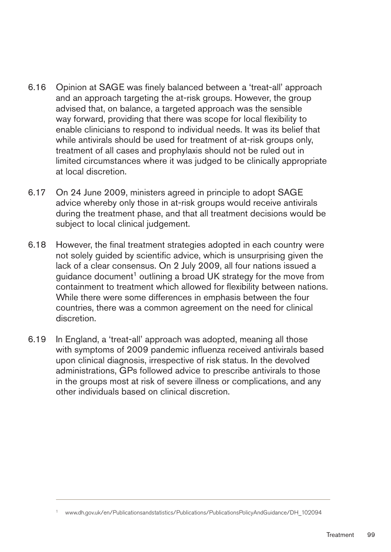- 6.16 � Opinion at SAGE was finely balanced between a 'treat-all' approach and an approach targeting the at-risk groups. However, the group advised that, on balance, a targeted approach was the sensible way forward, providing that there was scope for local flexibility to enable clinicians to respond to individual needs. It was its belief that while antivirals should be used for treatment of at-risk groups only, treatment of all cases and prophylaxis should not be ruled out in limited circumstances where it was judged to be clinically appropriate at local discretion.
- 6.17 � On 24 June 2009, ministers agreed in principle to adopt SAGE advice whereby only those in at-risk groups would receive antivirals during the treatment phase, and that all treatment decisions would be subject to local clinical judgement.
- 6.18 However, the final treatment strategies adopted in each country were not solely guided by scientific advice, which is unsurprising given the lack of a clear consensus. On 2 July 2009, all four nations issued a quidance document<sup>1</sup> outlining a broad UK strategy for the move from containment to treatment which allowed for flexibility between nations. While there were some differences in emphasis between the four countries, there was a common agreement on the need for clinical discretion.
- 6.19 In England, a 'treat-all' approach was adopted, meaning all those with symptoms of 2009 pandemic influenza received antivirals based upon clinical diagnosis, irrespective of risk status. In the devolved administrations, GPs followed advice to prescribe antivirals to those in the groups most at risk of severe illness or complications, and any other individuals based on clinical discretion.

<sup>1</sup> [www.dh.gov.uk/en/Publicationsandstatistics/Publications/PublicationsPolicyAndGuidance/DH\\_102094](http://www.dh.gov.uk/en/Publicationsandstatistics/Publications/PublicationsPolicyAndGuidance/DH_102094)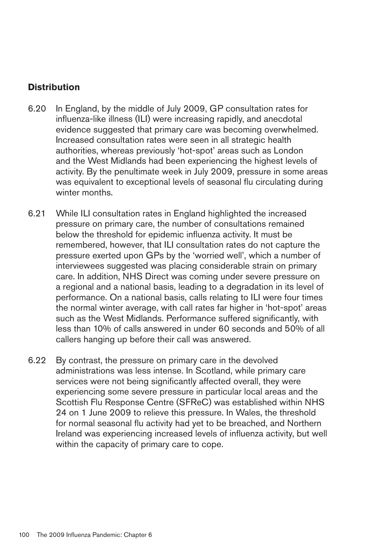## **Distribution**

- 6.20 � In England, by the middle of July 2009, GP consultation rates for influenza-like illness (ILI) were increasing rapidly, and anecdotal evidence suggested that primary care was becoming overwhelmed. Increased consultation rates were seen in all strategic health authorities, whereas previously 'hot-spot' areas such as London and the West Midlands had been experiencing the highest levels of activity. By the penultimate week in July 2009, pressure in some areas was equivalent to exceptional levels of seasonal flu circulating during winter months.
- 6.21 While ILI consultation rates in England highlighted the increased pressure on primary care, the number of consultations remained below the threshold for epidemic influenza activity. It must be remembered, however, that ILI consultation rates do not capture the pressure exerted upon GPs by the 'worried well', which a number of interviewees suggested was placing considerable strain on primary care. In addition, NHS Direct was coming under severe pressure on a regional and a national basis, leading to a degradation in its level of performance. On a national basis, calls relating to ILI were four times the normal winter average, with call rates far higher in 'hot-spot' areas such as the West Midlands. Performance suffered significantly, with less than 10% of calls answered in under 60 seconds and 50% of all callers hanging up before their call was answered.
- 6.22 By contrast, the pressure on primary care in the devolved administrations was less intense. In Scotland, while primary care services were not being significantly affected overall, they were experiencing some severe pressure in particular local areas and the Scottish Flu Response Centre (SFReC) was established within NHS 24 on 1 June 2009 to relieve this pressure. In Wales, the threshold for normal seasonal flu activity had yet to be breached, and Northern Ireland was experiencing increased levels of influenza activity, but well within the capacity of primary care to cope.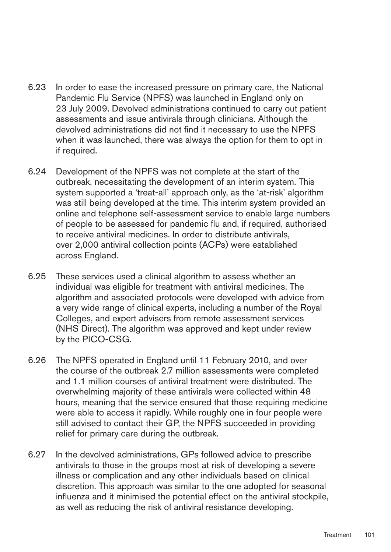- 6.23 � In order to ease the increased pressure on primary care, the National Pandemic Flu Service (NPFS) was launched in England only on 23 July 2009. Devolved administrations continued to carry out patient assessments and issue antivirals through clinicians. Although the devolved administrations did not find it necessary to use the NPFS when it was launched, there was always the option for them to opt in if required.
- 6.24 � Development of the NPFS was not complete at the start of the outbreak, necessitating the development of an interim system. This system supported a 'treat-all' approach only, as the 'at-risk' algorithm was still being developed at the time. This interim system provided an online and telephone self-assessment service to enable large numbers of people to be assessed for pandemic flu and, if required, authorised to receive antiviral medicines. In order to distribute antivirals, over 2,000 antiviral collection points (ACPs) were established across England.
- 6.25 � These services used a clinical algorithm to assess whether an individual was eligible for treatment with antiviral medicines. The algorithm and associated protocols were developed with advice from a very wide range of clinical experts, including a number of the Royal Colleges, and expert advisers from remote assessment services (NHS Direct). The algorithm was approved and kept under review by the PICO-CSG.
- 6.26 � The NPFS operated in England until 11 February 2010, and over the course of the outbreak 2.7 million assessments were completed and 1.1 million courses of antiviral treatment were distributed. The overwhelming majority of these antivirals were collected within 48 hours, meaning that the service ensured that those requiring medicine were able to access it rapidly. While roughly one in four people were still advised to contact their GP, the NPFS succeeded in providing relief for primary care during the outbreak.
- 6.27 � In the devolved administrations, GPs followed advice to prescribe antivirals to those in the groups most at risk of developing a severe illness or complication and any other individuals based on clinical discretion. This approach was similar to the one adopted for seasonal influenza and it minimised the potential effect on the antiviral stockpile, as well as reducing the risk of antiviral resistance developing.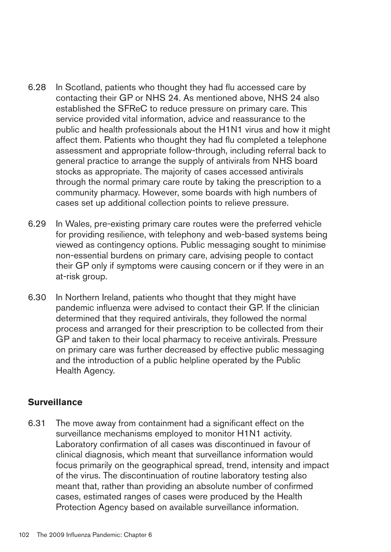- 6.28 � In Scotland, patients who thought they had flu accessed care by contacting their GP or NHS 24. As mentioned above, NHS 24 also established the SFReC to reduce pressure on primary care. This service provided vital information, advice and reassurance to the public and health professionals about the H1N1 virus and how it might affect them. Patients who thought they had flu completed a telephone assessment and appropriate follow-through, including referral back to general practice to arrange the supply of antivirals from NHS board stocks as appropriate. The majority of cases accessed antivirals through the normal primary care route by taking the prescription to a community pharmacy. However, some boards with high numbers of cases set up additional collection points to relieve pressure.
- 6.29 � In Wales, pre-existing primary care routes were the preferred vehicle for providing resilience, with telephony and web-based systems being viewed as contingency options. Public messaging sought to minimise non-essential burdens on primary care, advising people to contact their GP only if symptoms were causing concern or if they were in an at-risk group.
- 6.30 � In Northern Ireland, patients who thought that they might have pandemic influenza were advised to contact their GP. If the clinician determined that they required antivirals, they followed the normal process and arranged for their prescription to be collected from their GP and taken to their local pharmacy to receive antivirals. Pressure on primary care was further decreased by effective public messaging and the introduction of a public helpline operated by the Public Health Agency.

## **Surveillance**

6.31 The move away from containment had a significant effect on the surveillance mechanisms employed to monitor H1N1 activity. Laboratory confirmation of all cases was discontinued in favour of clinical diagnosis, which meant that surveillance information would focus primarily on the geographical spread, trend, intensity and impact of the virus. The discontinuation of routine laboratory testing also meant that, rather than providing an absolute number of confirmed cases, estimated ranges of cases were produced by the Health Protection Agency based on available surveillance information.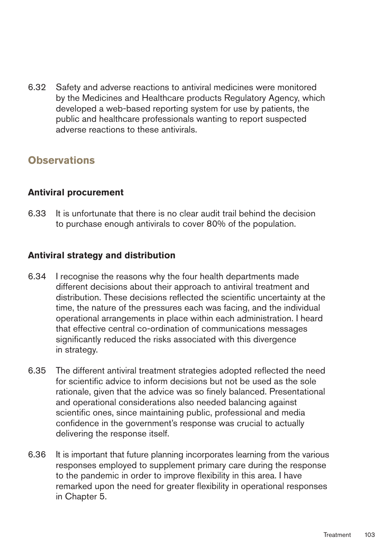6.32 � Safety and adverse reactions to antiviral medicines were monitored by the Medicines and Healthcare products Regulatory Agency, which developed a web-based reporting system for use by patients, the public and healthcare professionals wanting to report suspected adverse reactions to these antivirals.

# **Observations**

## **Antiviral procurement**

6.33 � It is unfortunate that there is no clear audit trail behind the decision to purchase enough antivirals to cover 80% of the population.

## **Antiviral strategy and distribution**

- 6.34 � I recognise the reasons why the four health departments made different decisions about their approach to antiviral treatment and distribution. These decisions reflected the scientific uncertainty at the time, the nature of the pressures each was facing, and the individual operational arrangements in place within each administration. I heard that effective central co-ordination of communications messages significantly reduced the risks associated with this divergence in strategy.
- 6.35 � The different antiviral treatment strategies adopted reflected the need for scientific advice to inform decisions but not be used as the sole rationale, given that the advice was so finely balanced. Presentational and operational considerations also needed balancing against scientific ones, since maintaining public, professional and media confidence in the government's response was crucial to actually delivering the response itself.
- 6.36 � It is important that future planning incorporates learning from the various responses employed to supplement primary care during the response to the pandemic in order to improve flexibility in this area. I have remarked upon the need for greater flexibility in operational responses in Chapter 5.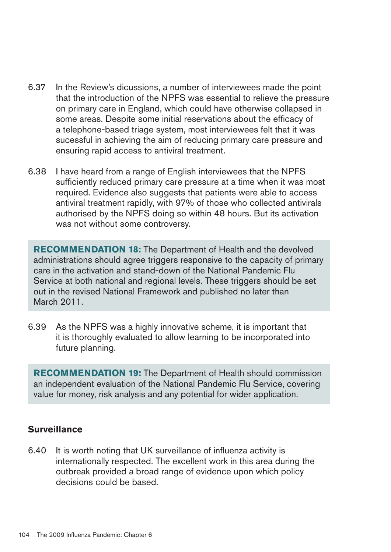- 6.37 � In the Review's dicussions, a number of interviewees made the point that the introduction of the NPFS was essential to relieve the pressure on primary care in England, which could have otherwise collapsed in some areas. Despite some initial reservations about the efficacy of a telephone-based triage system, most interviewees felt that it was sucessful in achieving the aim of reducing primary care pressure and ensuring rapid access to antiviral treatment.
- 6.38 I have heard from a range of English interviewees that the NPFS sufficiently reduced primary care pressure at a time when it was most required. Evidence also suggests that patients were able to access antiviral treatment rapidly, with 97% of those who collected antivirals authorised by the NPFS doing so within 48 hours. But its activation was not without some controversy.

**RECOMMENDATION 18:** The Department of Health and the devolved administrations should agree triggers responsive to the capacity of primary care in the activation and stand-down of the National Pandemic Flu Service at both national and regional levels. These triggers should be set out in the revised National Framework and published no later than March 2011.

6.39 As the NPFS was a highly innovative scheme, it is important that it is thoroughly evaluated to allow learning to be incorporated into future planning.

**RECOMMENDATION 19:** The Department of Health should commission an independent evaluation of the National Pandemic Flu Service, covering value for money, risk analysis and any potential for wider application.

#### **Surveillance**

6.40 It is worth noting that UK surveillance of influenza activity is internationally respected. The excellent work in this area during the outbreak provided a broad range of evidence upon which policy decisions could be based.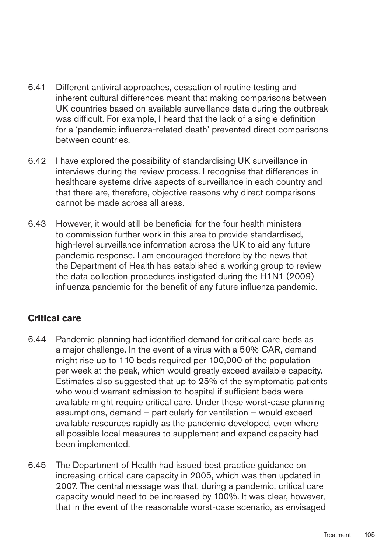- 6.41 Different antiviral approaches, cessation of routine testing and inherent cultural differences meant that making comparisons between UK countries based on available surveillance data during the outbreak was difficult. For example, I heard that the lack of a single definition for a 'pandemic influenza-related death' prevented direct comparisons between countries.
- 6.42 I have explored the possibility of standardising UK surveillance in interviews during the review process. I recognise that differences in healthcare systems drive aspects of surveillance in each country and that there are, therefore, objective reasons why direct comparisons cannot be made across all areas.
- 6.43 � However, it would still be beneficial for the four health ministers to commission further work in this area to provide standardised, high-level surveillance information across the UK to aid any future pandemic response. I am encouraged therefore by the news that the Department of Health has established a working group to review the data collection procedures instigated during the H1N1 (2009) influenza pandemic for the benefit of any future influenza pandemic.

## **Critical care**

- 6.44 � Pandemic planning had identified demand for critical care beds as a major challenge. In the event of a virus with a 50% CAR, demand might rise up to 110 beds required per 100,000 of the population per week at the peak, which would greatly exceed available capacity. Estimates also suggested that up to 25% of the symptomatic patients who would warrant admission to hospital if sufficient beds were available might require critical care. Under these worst-case planning assumptions, demand – particularly for ventilation – would exceed available resources rapidly as the pandemic developed, even where all possible local measures to supplement and expand capacity had been implemented.
- 6.45 The Department of Health had issued best practice guidance on increasing critical care capacity in 2005, which was then updated in 2007. The central message was that, during a pandemic, critical care capacity would need to be increased by 100%. It was clear, however, that in the event of the reasonable worst-case scenario, as envisaged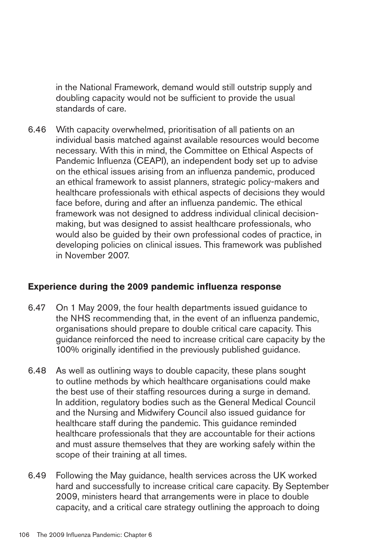in the National Framework, demand would still outstrip supply and doubling capacity would not be sufficient to provide the usual standards of care.

6.46 With capacity overwhelmed, prioritisation of all patients on an individual basis matched against available resources would become necessary. With this in mind, the Committee on Ethical Aspects of Pandemic Influenza (CEAPI), an independent body set up to advise on the ethical issues arising from an influenza pandemic, produced an ethical framework to assist planners, strategic policy-makers and healthcare professionals with ethical aspects of decisions they would face before, during and after an influenza pandemic. The ethical framework was not designed to address individual clinical decisionmaking, but was designed to assist healthcare professionals, who would also be guided by their own professional codes of practice, in developing policies on clinical issues. This framework was published in November 2007.

#### **Experience during the 2009 pandemic influenza response**

- 6.47 � On 1 May 2009, the four health departments issued guidance to the NHS recommending that, in the event of an influenza pandemic, organisations should prepare to double critical care capacity. This guidance reinforced the need to increase critical care capacity by the 100% originally identified in the previously published guidance.
- 6.48 � As well as outlining ways to double capacity, these plans sought to outline methods by which healthcare organisations could make the best use of their staffing resources during a surge in demand. In addition, regulatory bodies such as the General Medical Council and the Nursing and Midwifery Council also issued guidance for healthcare staff during the pandemic. This guidance reminded healthcare professionals that they are accountable for their actions and must assure themselves that they are working safely within the scope of their training at all times.
- 6.49 Following the May guidance, health services across the UK worked hard and successfully to increase critical care capacity. By September 2009, ministers heard that arrangements were in place to double capacity, and a critical care strategy outlining the approach to doing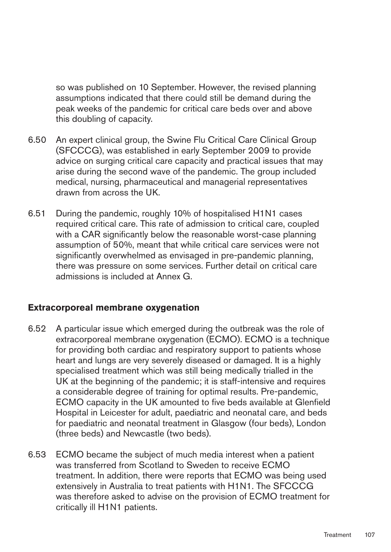so was published on 10 September. However, the revised planning assumptions indicated that there could still be demand during the peak weeks of the pandemic for critical care beds over and above this doubling of capacity.

- 6.50 � An expert clinical group, the Swine Flu Critical Care Clinical Group (SFCCCG), was established in early September 2009 to provide advice on surging critical care capacity and practical issues that may arise during the second wave of the pandemic. The group included medical, nursing, pharmaceutical and managerial representatives drawn from across the UK.
- 6.51 � During the pandemic, roughly 10% of hospitalised H1N1 cases required critical care. This rate of admission to critical care, coupled with a CAR significantly below the reasonable worst-case planning assumption of 50%, meant that while critical care services were not significantly overwhelmed as envisaged in pre-pandemic planning, there was pressure on some services. Further detail on critical care admissions is included at Annex G.

### **Extracorporeal membrane oxygenation**

- 6.52 � A particular issue which emerged during the outbreak was the role of extracorporeal membrane oxygenation (ECMO). ECMO is a technique for providing both cardiac and respiratory support to patients whose heart and lungs are very severely diseased or damaged. It is a highly specialised treatment which was still being medically trialled in the UK at the beginning of the pandemic; it is staff-intensive and requires a considerable degree of training for optimal results. Pre-pandemic, ECMO capacity in the UK amounted to five beds available at Glenfield Hospital in Leicester for adult, paediatric and neonatal care, and beds for paediatric and neonatal treatment in Glasgow (four beds), London (three beds) and Newcastle (two beds).
- 6.53 � ECMO became the subject of much media interest when a patient was transferred from Scotland to Sweden to receive ECMO treatment. In addition, there were reports that ECMO was being used extensively in Australia to treat patients with H1N1. The SFCCCG was therefore asked to advise on the provision of ECMO treatment for critically ill H1N1 patients.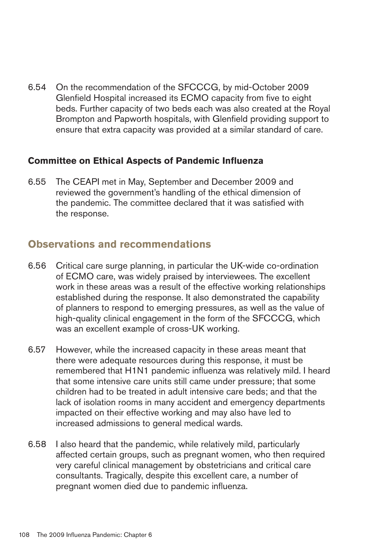6.54 � On the recommendation of the SFCCCG, by mid-October 2009 Glenfield Hospital increased its ECMO capacity from five to eight beds. Further capacity of two beds each was also created at the Royal Brompton and Papworth hospitals, with Glenfield providing support to ensure that extra capacity was provided at a similar standard of care.

#### **Committee on Ethical Aspects of Pandemic Influenza**

6.55 � The CEAPI met in May, September and December 2009 and reviewed the government's handling of the ethical dimension of the pandemic. The committee declared that it was satisfied with the response.

## **Observations and recommendations**

- 6.56 � Critical care surge planning, in particular the UK-wide co-ordination of ECMO care, was widely praised by interviewees. The excellent work in these areas was a result of the effective working relationships established during the response. It also demonstrated the capability of planners to respond to emerging pressures, as well as the value of high-quality clinical engagement in the form of the SFCCCG, which was an excellent example of cross-UK working.
- 6.57 � However, while the increased capacity in these areas meant that there were adequate resources during this response, it must be remembered that H1N1 pandemic influenza was relatively mild. I heard that some intensive care units still came under pressure; that some children had to be treated in adult intensive care beds; and that the lack of isolation rooms in many accident and emergency departments impacted on their effective working and may also have led to increased admissions to general medical wards.
- 6.58 � I also heard that the pandemic, while relatively mild, particularly affected certain groups, such as pregnant women, who then required very careful clinical management by obstetricians and critical care consultants. Tragically, despite this excellent care, a number of pregnant women died due to pandemic influenza.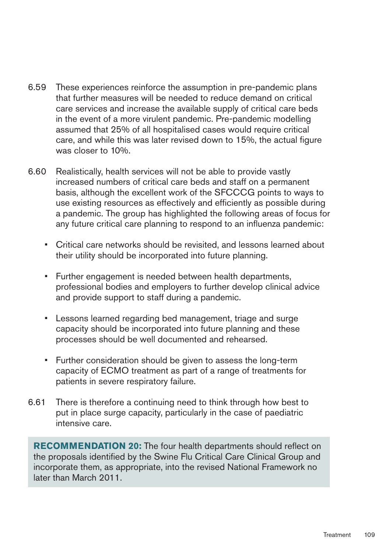- 6.59 These experiences reinforce the assumption in pre-pandemic plans that further measures will be needed to reduce demand on critical care services and increase the available supply of critical care beds in the event of a more virulent pandemic. Pre-pandemic modelling assumed that 25% of all hospitalised cases would require critical care, and while this was later revised down to 15%, the actual figure was closer to 10%.
- 6.60 � Realistically, health services will not be able to provide vastly increased numbers of critical care beds and staff on a permanent basis, although the excellent work of the SFCCCG points to ways to use existing resources as effectively and efficiently as possible during a pandemic. The group has highlighted the following areas of focus for any future critical care planning to respond to an influenza pandemic:
	- Critical care networks should be revisited, and lessons learned about their utility should be incorporated into future planning.
	- Further engagement is needed between health departments, professional bodies and employers to further develop clinical advice and provide support to staff during a pandemic.
	- Lessons learned regarding bed management, triage and surge capacity should be incorporated into future planning and these processes should be well documented and rehearsed.
	- Further consideration should be given to assess the long-term capacity of ECMO treatment as part of a range of treatments for patients in severe respiratory failure.
- 6.61 There is therefore a continuing need to think through how best to put in place surge capacity, particularly in the case of paediatric intensive care.

**RECOMMENDATION 20:** The four health departments should reflect on the proposals identified by the Swine Flu Critical Care Clinical Group and incorporate them, as appropriate, into the revised National Framework no later than March 2011.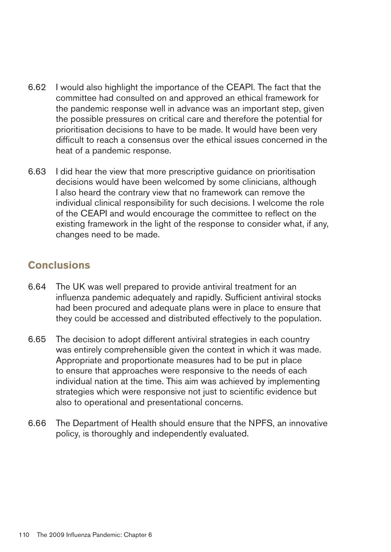- 6.62 I would also highlight the importance of the CEAPI. The fact that the committee had consulted on and approved an ethical framework for the pandemic response well in advance was an important step, given the possible pressures on critical care and therefore the potential for prioritisation decisions to have to be made. It would have been very difficult to reach a consensus over the ethical issues concerned in the heat of a pandemic response.
- 6.63 � I did hear the view that more prescriptive guidance on prioritisation decisions would have been welcomed by some clinicians, although I also heard the contrary view that no framework can remove the individual clinical responsibility for such decisions. I welcome the role of the CEAPI and would encourage the committee to reflect on the existing framework in the light of the response to consider what, if any, changes need to be made.

## **Conclusions**

- 6.64 � The UK was well prepared to provide antiviral treatment for an influenza pandemic adequately and rapidly. Sufficient antiviral stocks had been procured and adequate plans were in place to ensure that they could be accessed and distributed effectively to the population.
- 6.65 The decision to adopt different antiviral strategies in each country was entirely comprehensible given the context in which it was made. Appropriate and proportionate measures had to be put in place to ensure that approaches were responsive to the needs of each individual nation at the time. This aim was achieved by implementing strategies which were responsive not just to scientific evidence but also to operational and presentational concerns.
- 6.66 � The Department of Health should ensure that the NPFS, an innovative policy, is thoroughly and independently evaluated.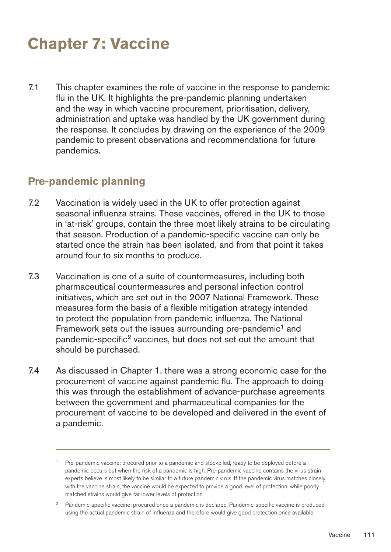# **Chapter 7: Vaccine**

7.1 This chapter examines the role of vaccine in the response to pandemic flu in the UK. It highlights the pre-pandemic planning undertaken and the way in which vaccine procurement, prioritisation, delivery, administration and uptake was handled by the UK government during the response. It concludes by drawing on the experience of the 2009 pandemic to present observations and recommendations for future pandemics.

## **Pre-pandemic planning**

- 7.2 Vaccination is widely used in the UK to offer protection against seasonal influenza strains. These vaccines, offered in the UK to those in 'at-risk' groups, contain the three most likely strains to be circulating that season. Production of a pandemic-specific vaccine can only be started once the strain has been isolated, and from that point it takes around four to six months to produce.
- 7.3 Vaccination is one of a suite of countermeasures, including both pharmaceutical countermeasures and personal infection control initiatives, which are set out in the 2007 National Framework. These measures form the basis of a flexible mitigation strategy intended to protect the population from pandemic influenza. The National Framework sets out the issues surrounding pre-pandemic<sup>1</sup> and pandemic-specific<sup>2</sup> vaccines, but does not set out the amount that should be purchased.
- 7.4 As discussed in Chapter 1, there was a strong economic case for the procurement of vaccine against pandemic flu. The approach to doing this was through the establishment of advance-purchase agreements between the government and pharmaceutical companies for the procurement of vaccine to be developed and delivered in the event of a pandemic.

<sup>&</sup>lt;sup>1</sup> Pre-pandemic vaccine: procured prior to a pandemic and stockpiled, ready to be deployed before a pandemic occurs but when the risk of a pandemic is high. Pre-pandemic vaccine contains the virus strain experts believe is most likely to be similar to a future pandemic virus. If the pandemic virus matches closely with the vaccine strain, the vaccine would be expected to provide a good level of protection, while poorly matched strains would give far lower levels of protection

<sup>&</sup>lt;sup>2</sup> Pandemic-specific vaccine: procured once a pandemic is declared. Pandemic-specific vaccine is produced using the actual pandemic strain of influenza and therefore would give good protection once available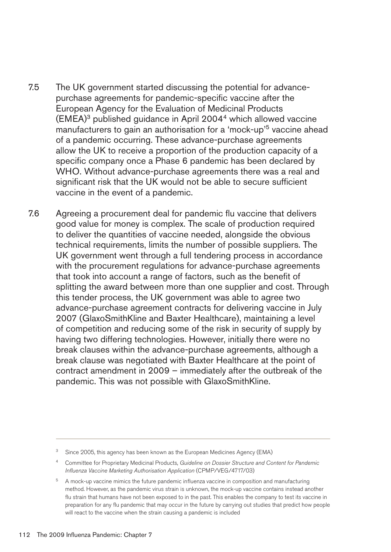- 7.5 The UK government started discussing the potential for advancepurchase agreements for pandemic-specific vaccine after the European Agency for the Evaluation of Medicinal Products (EMEA)3 published guidance in April 20044 which allowed vaccine manufacturers to gain an authorisation for a 'mock-up'<sup>5</sup> vaccine ahead of a pandemic occurring. These advance-purchase agreements allow the UK to receive a proportion of the production capacity of a specific company once a Phase 6 pandemic has been declared by WHO. Without advance-purchase agreements there was a real and significant risk that the UK would not be able to secure sufficient vaccine in the event of a pandemic.
- 7.6 Agreeing a procurement deal for pandemic flu vaccine that delivers good value for money is complex. The scale of production required to deliver the quantities of vaccine needed, alongside the obvious technical requirements, limits the number of possible suppliers. The UK government went through a full tendering process in accordance with the procurement regulations for advance-purchase agreements that took into account a range of factors, such as the benefit of splitting the award between more than one supplier and cost. Through this tender process, the UK government was able to agree two advance-purchase agreement contracts for delivering vaccine in July 2007 (GlaxoSmithKline and Baxter Healthcare), maintaining a level of competition and reducing some of the risk in security of supply by having two differing technologies. However, initially there were no break clauses within the advance-purchase agreements, although a break clause was negotiated with Baxter Healthcare at the point of contract amendment in 2009 – immediately after the outbreak of the pandemic. This was not possible with GlaxoSmithKline.

Since 2005, this agency has been known as the European Medicines Agency (EMA)

<sup>4</sup> Committee for Proprietary Medicinal Products, *Guideline on Dossier Structure and Content for Pandemic Influenza Vaccine Marketing Authorisation Application* (CPMP/VEG/4717/03)

<sup>&</sup>lt;sup>5</sup> A mock-up vaccine mimics the future pandemic influenza vaccine in composition and manufacturing method. However, as the pandemic virus strain is unknown, the mock-up vaccine contains instead another flu strain that humans have not been exposed to in the past. This enables the company to test its vaccine in preparation for any flu pandemic that may occur in the future by carrying out studies that predict how people will react to the vaccine when the strain causing a pandemic is included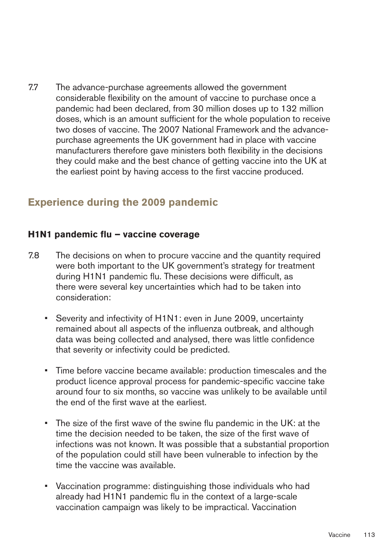7.7 The advance-purchase agreements allowed the government considerable flexibility on the amount of vaccine to purchase once a pandemic had been declared, from 30 million doses up to 132 million doses, which is an amount sufficient for the whole population to receive two doses of vaccine. The 2007 National Framework and the advancepurchase agreements the UK government had in place with vaccine manufacturers therefore gave ministers both flexibility in the decisions they could make and the best chance of getting vaccine into the UK at the earliest point by having access to the first vaccine produced.

## **Experience during the 2009 pandemic**

#### H<sub>1</sub>N<sub>1</sub> pandemic flu – vaccine coverage

- 7.8 The decisions on when to procure vaccine and the quantity required were both important to the UK government's strategy for treatment during H1N1 pandemic flu. These decisions were difficult, as there were several key uncertainties which had to be taken into consideration:
	- Severity and infectivity of H1N1: even in June 2009, uncertainty remained about all aspects of the influenza outbreak, and although data was being collected and analysed, there was little confidence that severity or infectivity could be predicted.
	- Time before vaccine became available: production timescales and the product licence approval process for pandemic-specific vaccine take around four to six months, so vaccine was unlikely to be available until the end of the first wave at the earliest.
	- The size of the first wave of the swine flu pandemic in the UK: at the time the decision needed to be taken, the size of the first wave of infections was not known. It was possible that a substantial proportion of the population could still have been vulnerable to infection by the time the vaccine was available.
	- Vaccination programme: distinguishing those individuals who had already had H1N1 pandemic flu in the context of a large-scale vaccination campaign was likely to be impractical. Vaccination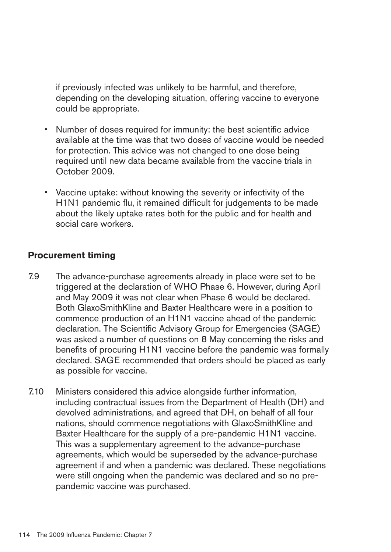if previously infected was unlikely to be harmful, and therefore, depending on the developing situation, offering vaccine to everyone could be appropriate.

- Number of doses required for immunity: the best scientific advice available at the time was that two doses of vaccine would be needed for protection. This advice was not changed to one dose being required until new data became available from the vaccine trials in October 2009.
- Vaccine uptake: without knowing the severity or infectivity of the H1N1 pandemic flu, it remained difficult for judgements to be made about the likely uptake rates both for the public and for health and social care workers.

#### **Procurement timing**

- 7.9 The advance-purchase agreements already in place were set to be triggered at the declaration of WHO Phase 6. However, during April and May 2009 it was not clear when Phase 6 would be declared. Both GlaxoSmithKline and Baxter Healthcare were in a position to commence production of an H1N1 vaccine ahead of the pandemic declaration. The Scientific Advisory Group for Emergencies (SAGE) was asked a number of questions on 8 May concerning the risks and benefits of procuring H1N1 vaccine before the pandemic was formally declared. SAGE recommended that orders should be placed as early as possible for vaccine.
- 7.10 Ministers considered this advice alongside further information, including contractual issues from the Department of Health (DH) and devolved administrations, and agreed that DH, on behalf of all four nations, should commence negotiations with GlaxoSmithKline and Baxter Healthcare for the supply of a pre-pandemic H1N1 vaccine. This was a supplementary agreement to the advance-purchase agreements, which would be superseded by the advance-purchase agreement if and when a pandemic was declared. These negotiations were still ongoing when the pandemic was declared and so no prepandemic vaccine was purchased.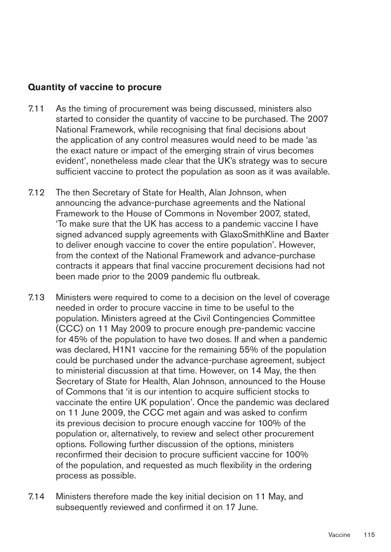#### **Quantity of vaccine to procure**

- 7.11 As the timing of procurement was being discussed, ministers also started to consider the quantity of vaccine to be purchased. The 2007 National Framework, while recognising that final decisions about the application of any control measures would need to be made 'as the exact nature or impact of the emerging strain of virus becomes evident', nonetheless made clear that the UK's strategy was to secure sufficient vaccine to protect the population as soon as it was available.
- 7.12 The then Secretary of State for Health, Alan Johnson, when announcing the advance-purchase agreements and the National Framework to the House of Commons in November 2007, stated, 'To make sure that the UK has access to a pandemic vaccine I have signed advanced supply agreements with GlaxoSmithKline and Baxter to deliver enough vaccine to cover the entire population'. However, from the context of the National Framework and advance-purchase contracts it appears that final vaccine procurement decisions had not been made prior to the 2009 pandemic flu outbreak.
- 7.13 Ministers were required to come to a decision on the level of coverage needed in order to procure vaccine in time to be useful to the population. Ministers agreed at the Civil Contingencies Committee (CCC) on 11 May 2009 to procure enough pre-pandemic vaccine for 45% of the population to have two doses. If and when a pandemic was declared, H1N1 vaccine for the remaining 55% of the population could be purchased under the advance-purchase agreement, subject to ministerial discussion at that time. However, on 14 May, the then Secretary of State for Health, Alan Johnson, announced to the House of Commons that 'it is our intention to acquire sufficient stocks to vaccinate the entire UK population'. Once the pandemic was declared on 11 June 2009, the CCC met again and was asked to confirm its previous decision to procure enough vaccine for 100% of the population or, alternatively, to review and select other procurement options. Following further discussion of the options, ministers reconfirmed their decision to procure sufficient vaccine for 100% of the population, and requested as much flexibility in the ordering process as possible.
- 7.14 Ministers therefore made the key initial decision on 11 May, and subsequently reviewed and confirmed it on 17 June.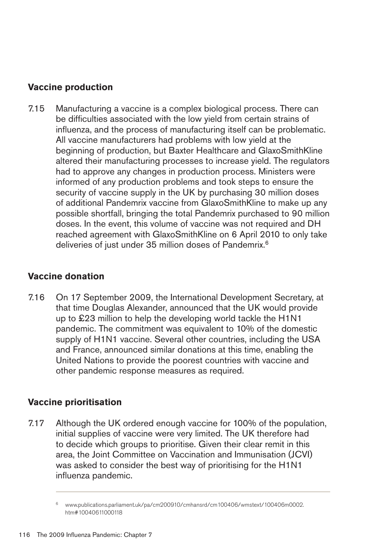## **Vaccine production**

7.15 Manufacturing a vaccine is a complex biological process. There can be difficulties associated with the low yield from certain strains of influenza, and the process of manufacturing itself can be problematic. All vaccine manufacturers had problems with low yield at the beginning of production, but Baxter Healthcare and GlaxoSmithKline altered their manufacturing processes to increase yield. The regulators had to approve any changes in production process. Ministers were informed of any production problems and took steps to ensure the security of vaccine supply in the UK by purchasing 30 million doses of additional Pandemrix vaccine from GlaxoSmithKline to make up any possible shortfall, bringing the total Pandemrix purchased to 90 million doses. In the event, this volume of vaccine was not required and DH reached agreement with GlaxoSmithKline on 6 April 2010 to only take deliveries of just under 35 million doses of Pandemrix.<sup>6</sup>

### **Vaccine donation**

7.16 On 17 September 2009, the International Development Secretary, at that time Douglas Alexander, announced that the UK would provide up to £23 million to help the developing world tackle the H1N1 pandemic. The commitment was equivalent to 10% of the domestic supply of H1N1 vaccine. Several other countries, including the USA and France, announced similar donations at this time, enabling the United Nations to provide the poorest countries with vaccine and other pandemic response measures as required.

### **Vaccine prioritisation**

7.17 Although the UK ordered enough vaccine for 100% of the population, initial supplies of vaccine were very limited. The UK therefore had to decide which groups to prioritise. Given their clear remit in this area, the Joint Committee on Vaccination and Immunisation (JCVI) was asked to consider the best way of prioritising for the H1N1 influenza pandemic.

<sup>6</sup> [www.publications.parliament.uk/pa/cm200910/cmhansrd/cm100406/wmstext/100406m0002.](http://www.publications.parliament.uk/pa/cm200910/cmhansrd/cm100406/wmstext/100406m0002.htm#10040611000118)  htm#10040611000118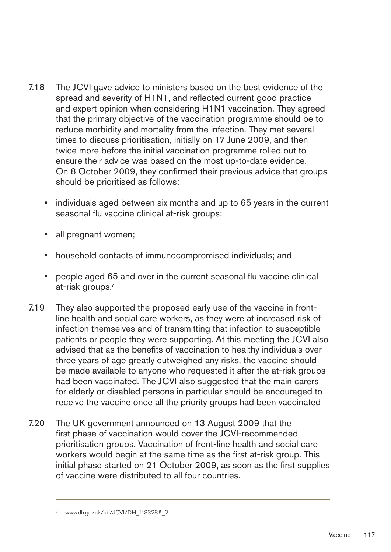- 7.18 The JCVI gave advice to ministers based on the best evidence of the spread and severity of H1N1, and reflected current good practice and expert opinion when considering H1N1 vaccination. They agreed that the primary objective of the vaccination programme should be to reduce morbidity and mortality from the infection. They met several times to discuss prioritisation, initially on 17 June 2009, and then twice more before the initial vaccination programme rolled out to ensure their advice was based on the most up-to-date evidence. On 8 October 2009, they confirmed their previous advice that groups should be prioritised as follows:
	- individuals aged between six months and up to 65 years in the current seasonal flu vaccine clinical at-risk groups;
	- all pregnant women;
	- household contacts of immunocompromised individuals; and
	- people aged 65 and over in the current seasonal flu vaccine clinical at-risk groups.7
- 7.19 They also supported the proposed early use of the vaccine in frontline health and social care workers, as they were at increased risk of infection themselves and of transmitting that infection to susceptible patients or people they were supporting. At this meeting the JCVI also advised that as the benefits of vaccination to healthy individuals over three years of age greatly outweighed any risks, the vaccine should be made available to anyone who requested it after the at-risk groups had been vaccinated. The JCVI also suggested that the main carers for elderly or disabled persons in particular should be encouraged to receive the vaccine once all the priority groups had been vaccinated
- 7.20 The UK government announced on 13 August 2009 that the first phase of vaccination would cover the JCVI-recommended prioritisation groups. Vaccination of front-line health and social care workers would begin at the same time as the first at-risk group. This initial phase started on 21 October 2009, as soon as the first supplies of vaccine were distributed to all four countries.

www.dh.gov.uk/ab/JCVI/DH\_113328#\_2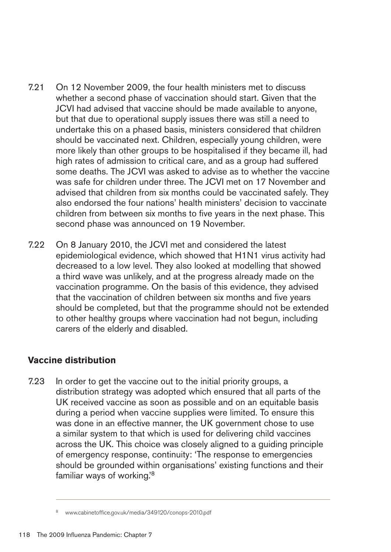- 7.21 On 12 November 2009, the four health ministers met to discuss whether a second phase of vaccination should start. Given that the JCVI had advised that vaccine should be made available to anyone, but that due to operational supply issues there was still a need to undertake this on a phased basis, ministers considered that children should be vaccinated next. Children, especially young children, were more likely than other groups to be hospitalised if they became ill, had high rates of admission to critical care, and as a group had suffered some deaths. The JCVI was asked to advise as to whether the vaccine was safe for children under three. The JCVI met on 17 November and advised that children from six months could be vaccinated safely. They also endorsed the four nations' health ministers' decision to vaccinate children from between six months to five years in the next phase. This second phase was announced on 19 November.
- 7.22 On 8 January 2010, the JCVI met and considered the latest epidemiological evidence, which showed that H1N1 virus activity had decreased to a low level. They also looked at modelling that showed a third wave was unlikely, and at the progress already made on the vaccination programme. On the basis of this evidence, they advised that the vaccination of children between six months and five years should be completed, but that the programme should not be extended to other healthy groups where vaccination had not begun, including carers of the elderly and disabled.

## **Vaccine distribution**

7.23 In order to get the vaccine out to the initial priority groups, a distribution strategy was adopted which ensured that all parts of the UK received vaccine as soon as possible and on an equitable basis during a period when vaccine supplies were limited. To ensure this was done in an effective manner, the UK government chose to use a similar system to that which is used for delivering child vaccines across the UK. This choice was closely aligned to a guiding principle of emergency response, continuity: 'The response to emergencies should be grounded within organisations' existing functions and their familiar ways of working.'8

www.cabinetoffice.gov.uk/media/349120/conops-2010.pdf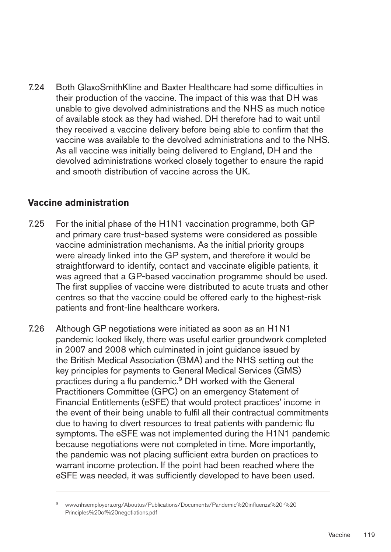7.24 � Both GlaxoSmithKline and Baxter Healthcare had some difficulties in their production of the vaccine. The impact of this was that DH was unable to give devolved administrations and the NHS as much notice of available stock as they had wished. DH therefore had to wait until they received a vaccine delivery before being able to confirm that the vaccine was available to the devolved administrations and to the NHS. As all vaccine was initially being delivered to England, DH and the devolved administrations worked closely together to ensure the rapid and smooth distribution of vaccine across the UK.

#### **Vaccine administration**

- 7.25 For the initial phase of the H1N1 vaccination programme, both GP and primary care trust-based systems were considered as possible vaccine administration mechanisms. As the initial priority groups were already linked into the GP system, and therefore it would be straightforward to identify, contact and vaccinate eligible patients, it was agreed that a GP-based vaccination programme should be used. The first supplies of vaccine were distributed to acute trusts and other centres so that the vaccine could be offered early to the highest-risk patients and front-line healthcare workers.
- 7.26 Although GP negotiations were initiated as soon as an H1N1 pandemic looked likely, there was useful earlier groundwork completed in 2007 and 2008 which culminated in joint guidance issued by the British Medical Association (BMA) and the NHS setting out the key principles for payments to General Medical Services (GMS) practices during a flu pandemic.<sup>9</sup> DH worked with the General Practitioners Committee (GPC) on an emergency Statement of Financial Entitlements (eSFE) that would protect practices' income in the event of their being unable to fulfil all their contractual commitments due to having to divert resources to treat patients with pandemic flu symptoms. The eSFE was not implemented during the H1N1 pandemic because negotiations were not completed in time. More importantly, the pandemic was not placing sufficient extra burden on practices to warrant income protection. If the point had been reached where the eSFE was needed, it was sufficiently developed to have been used.

<sup>9</sup> [www.nhsemployers.org/Aboutus/Publications/Documents/Pandemic%20influenza%20-%20](http://www.nhsemployers.org/Aboutus/Publications/Documents/Pandemic%20influenza%20-%20Principles%20of%20negotiations.pdf) Principles%20of%20negotiations.pdf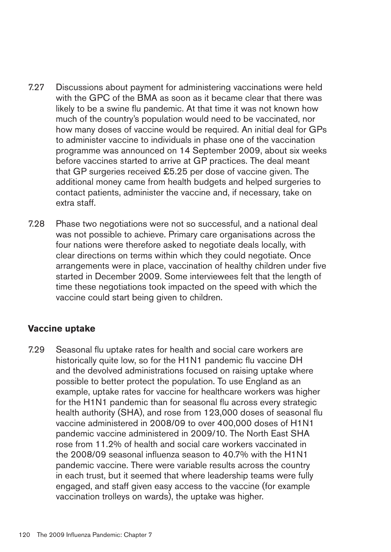- 7.27 Discussions about payment for administering vaccinations were held with the GPC of the BMA as soon as it became clear that there was likely to be a swine flu pandemic. At that time it was not known how much of the country's population would need to be vaccinated, nor how many doses of vaccine would be required. An initial deal for GPs to administer vaccine to individuals in phase one of the vaccination programme was announced on 14 September 2009, about six weeks before vaccines started to arrive at GP practices. The deal meant that GP surgeries received £5.25 per dose of vaccine given. The additional money came from health budgets and helped surgeries to contact patients, administer the vaccine and, if necessary, take on extra staff.
- 7.28 Phase two negotiations were not so successful, and a national deal was not possible to achieve. Primary care organisations across the four nations were therefore asked to negotiate deals locally, with clear directions on terms within which they could negotiate. Once arrangements were in place, vaccination of healthy children under five started in December 2009. Some interviewees felt that the length of time these negotiations took impacted on the speed with which the vaccine could start being given to children.

### **Vaccine uptake**

7.29 Seasonal flu uptake rates for health and social care workers are historically quite low, so for the H1N1 pandemic flu vaccine DH and the devolved administrations focused on raising uptake where possible to better protect the population. To use England as an example, uptake rates for vaccine for healthcare workers was higher for the H1N1 pandemic than for seasonal flu across every strategic health authority (SHA), and rose from 123,000 doses of seasonal flu vaccine administered in 2008/09 to over 400,000 doses of H1N1 pandemic vaccine administered in 2009/10. The North East SHA rose from 11.2% of health and social care workers vaccinated in the 2008/09 seasonal influenza season to 40.7% with the H1N1 pandemic vaccine. There were variable results across the country in each trust, but it seemed that where leadership teams were fully engaged, and staff given easy access to the vaccine (for example vaccination trolleys on wards), the uptake was higher.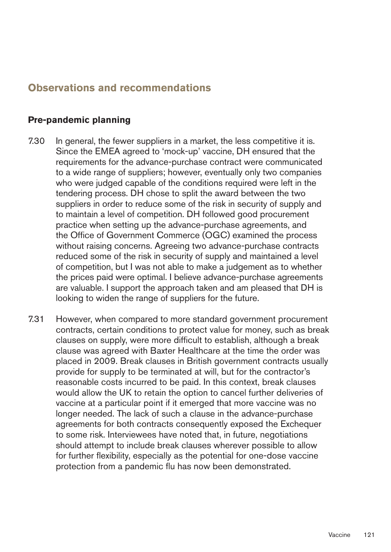## **Observations and recommendations**

#### **Pre-pandemic planning**

- 7.30 In general, the fewer suppliers in a market, the less competitive it is. Since the EMEA agreed to 'mock-up' vaccine, DH ensured that the requirements for the advance-purchase contract were communicated to a wide range of suppliers; however, eventually only two companies who were judged capable of the conditions required were left in the tendering process. DH chose to split the award between the two suppliers in order to reduce some of the risk in security of supply and to maintain a level of competition. DH followed good procurement practice when setting up the advance-purchase agreements, and the Office of Government Commerce (OGC) examined the process without raising concerns. Agreeing two advance-purchase contracts reduced some of the risk in security of supply and maintained a level of competition, but I was not able to make a judgement as to whether the prices paid were optimal. I believe advance-purchase agreements are valuable. I support the approach taken and am pleased that DH is looking to widen the range of suppliers for the future.
- 7.31 However, when compared to more standard government procurement contracts, certain conditions to protect value for money, such as break clauses on supply, were more difficult to establish, although a break clause was agreed with Baxter Healthcare at the time the order was placed in 2009. Break clauses in British government contracts usually provide for supply to be terminated at will, but for the contractor's reasonable costs incurred to be paid. In this context, break clauses would allow the UK to retain the option to cancel further deliveries of vaccine at a particular point if it emerged that more vaccine was no longer needed. The lack of such a clause in the advance-purchase agreements for both contracts consequently exposed the Exchequer to some risk. Interviewees have noted that, in future, negotiations should attempt to include break clauses wherever possible to allow for further flexibility, especially as the potential for one-dose vaccine protection from a pandemic flu has now been demonstrated.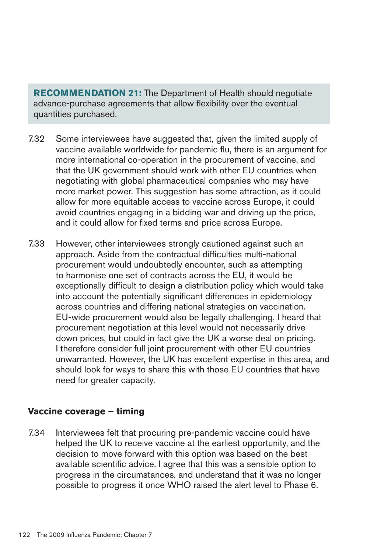**RECOMMENDATION 21:** The Department of Health should negotiate advance-purchase agreements that allow flexibility over the eventual quantities purchased.

- 7.32 Some interviewees have suggested that, given the limited supply of vaccine available worldwide for pandemic flu, there is an argument for more international co-operation in the procurement of vaccine, and that the UK government should work with other EU countries when negotiating with global pharmaceutical companies who may have more market power. This suggestion has some attraction, as it could allow for more equitable access to vaccine across Europe, it could avoid countries engaging in a bidding war and driving up the price, and it could allow for fixed terms and price across Europe.
- 7.33 However, other interviewees strongly cautioned against such an approach. Aside from the contractual difficulties multi-national procurement would undoubtedly encounter, such as attempting to harmonise one set of contracts across the EU, it would be exceptionally difficult to design a distribution policy which would take into account the potentially significant differences in epidemiology across countries and differing national strategies on vaccination. EU-wide procurement would also be legally challenging. I heard that procurement negotiation at this level would not necessarily drive down prices, but could in fact give the UK a worse deal on pricing. I therefore consider full joint procurement with other EU countries unwarranted. However, the UK has excellent expertise in this area, and should look for ways to share this with those EU countries that have need for greater capacity.

#### **Vaccine coverage – timing**

7.34 Interviewees felt that procuring pre-pandemic vaccine could have helped the UK to receive vaccine at the earliest opportunity, and the decision to move forward with this option was based on the best available scientific advice. I agree that this was a sensible option to progress in the circumstances, and understand that it was no longer possible to progress it once WHO raised the alert level to Phase 6.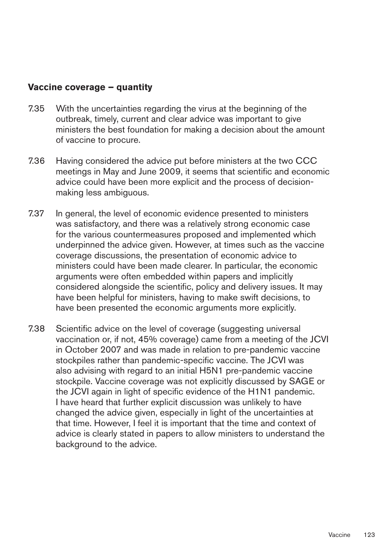#### **Vaccine coverage – quantity**

- 7.35 With the uncertainties regarding the virus at the beginning of the outbreak, timely, current and clear advice was important to give ministers the best foundation for making a decision about the amount of vaccine to procure.
- 7.36 Having considered the advice put before ministers at the two CCC meetings in May and June 2009, it seems that scientific and economic advice could have been more explicit and the process of decisionmaking less ambiguous.
- 7.37 In general, the level of economic evidence presented to ministers was satisfactory, and there was a relatively strong economic case for the various countermeasures proposed and implemented which underpinned the advice given. However, at times such as the vaccine coverage discussions, the presentation of economic advice to ministers could have been made clearer. In particular, the economic arguments were often embedded within papers and implicitly considered alongside the scientific, policy and delivery issues. It may have been helpful for ministers, having to make swift decisions, to have been presented the economic arguments more explicitly.
- 7.38 Scientific advice on the level of coverage (suggesting universal vaccination or, if not, 45% coverage) came from a meeting of the JCVI in October 2007 and was made in relation to pre-pandemic vaccine stockpiles rather than pandemic-specific vaccine. The JCVI was also advising with regard to an initial H5N1 pre-pandemic vaccine stockpile. Vaccine coverage was not explicitly discussed by SAGE or the JCVI again in light of specific evidence of the H1N1 pandemic. I have heard that further explicit discussion was unlikely to have changed the advice given, especially in light of the uncertainties at that time. However, I feel it is important that the time and context of advice is clearly stated in papers to allow ministers to understand the background to the advice.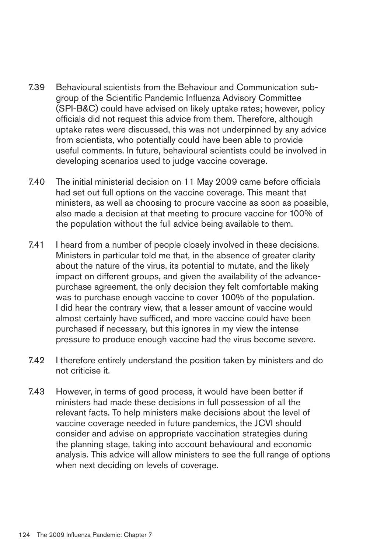- 7.39 Behavioural scientists from the Behaviour and Communication subgroup of the Scientific Pandemic Influenza Advisory Committee (SPI-B&C) could have advised on likely uptake rates; however, policy officials did not request this advice from them. Therefore, although uptake rates were discussed, this was not underpinned by any advice from scientists, who potentially could have been able to provide useful comments. In future, behavioural scientists could be involved in developing scenarios used to judge vaccine coverage.
- 7.40 The initial ministerial decision on 11 May 2009 came before officials had set out full options on the vaccine coverage. This meant that ministers, as well as choosing to procure vaccine as soon as possible, also made a decision at that meeting to procure vaccine for 100% of the population without the full advice being available to them.
- 7.41 I heard from a number of people closely involved in these decisions. Ministers in particular told me that, in the absence of greater clarity about the nature of the virus, its potential to mutate, and the likely impact on different groups, and given the availability of the advancepurchase agreement, the only decision they felt comfortable making was to purchase enough vaccine to cover 100% of the population. I did hear the contrary view, that a lesser amount of vaccine would almost certainly have sufficed, and more vaccine could have been purchased if necessary, but this ignores in my view the intense pressure to produce enough vaccine had the virus become severe.
- 7.42 I therefore entirely understand the position taken by ministers and do not criticise it.
- 7.43 However, in terms of good process, it would have been better if ministers had made these decisions in full possession of all the relevant facts. To help ministers make decisions about the level of vaccine coverage needed in future pandemics, the JCVI should consider and advise on appropriate vaccination strategies during the planning stage, taking into account behavioural and economic analysis. This advice will allow ministers to see the full range of options when next deciding on levels of coverage.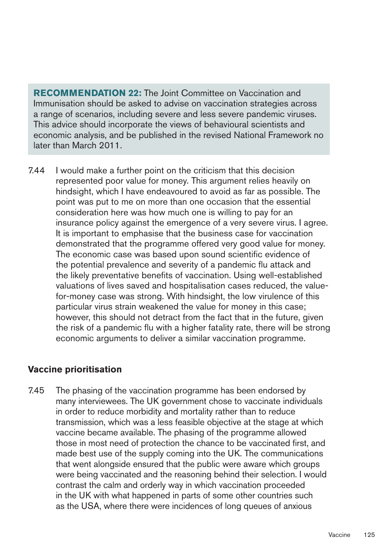**RECOMMENDATION 22:** The Joint Committee on Vaccination and Immunisation should be asked to advise on vaccination strategies across a range of scenarios, including severe and less severe pandemic viruses. This advice should incorporate the views of behavioural scientists and economic analysis, and be published in the revised National Framework no later than March 2011.

7.44 I would make a further point on the criticism that this decision represented poor value for money. This argument relies heavily on hindsight, which I have endeavoured to avoid as far as possible. The point was put to me on more than one occasion that the essential consideration here was how much one is willing to pay for an insurance policy against the emergence of a very severe virus. I agree. It is important to emphasise that the business case for vaccination demonstrated that the programme offered very good value for money. The economic case was based upon sound scientific evidence of the potential prevalence and severity of a pandemic flu attack and the likely preventative benefits of vaccination. Using well-established valuations of lives saved and hospitalisation cases reduced, the valuefor-money case was strong. With hindsight, the low virulence of this particular virus strain weakened the value for money in this case; however, this should not detract from the fact that in the future, given the risk of a pandemic flu with a higher fatality rate, there will be strong economic arguments to deliver a similar vaccination programme.

### **Vaccine prioritisation**

7.45 The phasing of the vaccination programme has been endorsed by many interviewees. The UK government chose to vaccinate individuals in order to reduce morbidity and mortality rather than to reduce transmission, which was a less feasible objective at the stage at which vaccine became available. The phasing of the programme allowed those in most need of protection the chance to be vaccinated first, and made best use of the supply coming into the UK. The communications that went alongside ensured that the public were aware which groups were being vaccinated and the reasoning behind their selection. I would contrast the calm and orderly way in which vaccination proceeded in the UK with what happened in parts of some other countries such as the USA, where there were incidences of long queues of anxious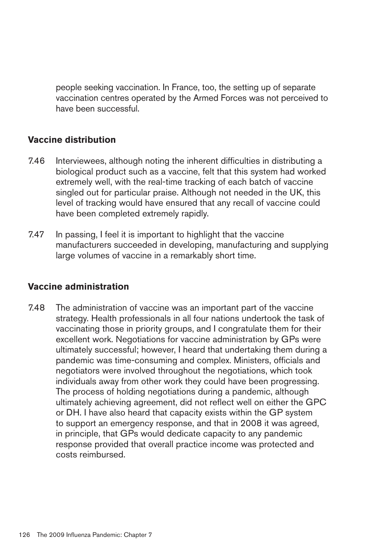people seeking vaccination. In France, too, the setting up of separate vaccination centres operated by the Armed Forces was not perceived to have been successful.

### **Vaccine distribution**

- 7.46 Interviewees, although noting the inherent difficulties in distributing a biological product such as a vaccine, felt that this system had worked extremely well, with the real-time tracking of each batch of vaccine singled out for particular praise. Although not needed in the UK, this level of tracking would have ensured that any recall of vaccine could have been completed extremely rapidly.
- 7.47 In passing, I feel it is important to highlight that the vaccine manufacturers succeeded in developing, manufacturing and supplying large volumes of vaccine in a remarkably short time.

### **Vaccine administration**

7.48 The administration of vaccine was an important part of the vaccine strategy. Health professionals in all four nations undertook the task of vaccinating those in priority groups, and I congratulate them for their excellent work. Negotiations for vaccine administration by GPs were ultimately successful; however, I heard that undertaking them during a pandemic was time-consuming and complex. Ministers, officials and negotiators were involved throughout the negotiations, which took individuals away from other work they could have been progressing. The process of holding negotiations during a pandemic, although ultimately achieving agreement, did not reflect well on either the GPC or DH. I have also heard that capacity exists within the GP system to support an emergency response, and that in 2008 it was agreed, in principle, that GPs would dedicate capacity to any pandemic response provided that overall practice income was protected and costs reimbursed.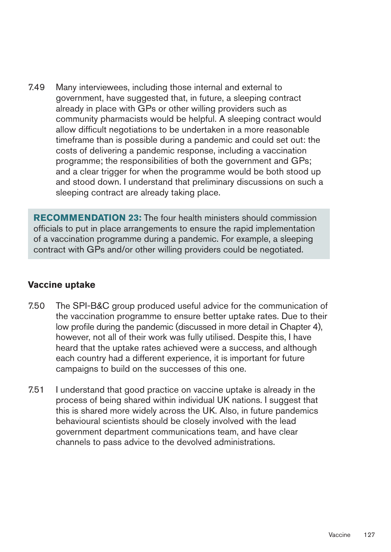7.49 Many interviewees, including those internal and external to government, have suggested that, in future, a sleeping contract already in place with GPs or other willing providers such as community pharmacists would be helpful. A sleeping contract would allow difficult negotiations to be undertaken in a more reasonable timeframe than is possible during a pandemic and could set out: the costs of delivering a pandemic response, including a vaccination programme; the responsibilities of both the government and GPs; and a clear trigger for when the programme would be both stood up and stood down. I understand that preliminary discussions on such a sleeping contract are already taking place.

**RECOMMENDATION 23:** The four health ministers should commission officials to put in place arrangements to ensure the rapid implementation of a vaccination programme during a pandemic. For example, a sleeping contract with GPs and/or other willing providers could be negotiated.

### **Vaccine uptake**

- 7.50 The SPI-B&C group produced useful advice for the communication of the vaccination programme to ensure better uptake rates. Due to their low profile during the pandemic (discussed in more detail in Chapter 4), however, not all of their work was fully utilised. Despite this, I have heard that the uptake rates achieved were a success, and although each country had a different experience, it is important for future campaigns to build on the successes of this one.
- 7.51 I understand that good practice on vaccine uptake is already in the process of being shared within individual UK nations. I suggest that this is shared more widely across the UK. Also, in future pandemics behavioural scientists should be closely involved with the lead government department communications team, and have clear channels to pass advice to the devolved administrations.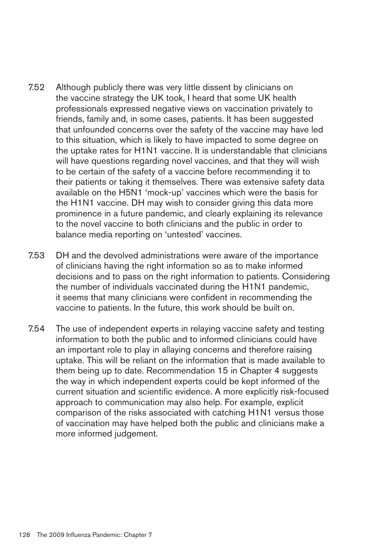- 7.52 Although publicly there was very little dissent by clinicians on the vaccine strategy the UK took, I heard that some UK health professionals expressed negative views on vaccination privately to friends, family and, in some cases, patients. It has been suggested that unfounded concerns over the safety of the vaccine may have led to this situation, which is likely to have impacted to some degree on the uptake rates for H1N1 vaccine. It is understandable that clinicians will have questions regarding novel vaccines, and that they will wish to be certain of the safety of a vaccine before recommending it to their patients or taking it themselves. There was extensive safety data available on the H5N1 'mock-up' vaccines which were the basis for the H1N1 vaccine. DH may wish to consider giving this data more prominence in a future pandemic, and clearly explaining its relevance to the novel vaccine to both clinicians and the public in order to balance media reporting on 'untested' vaccines.
- 7.53 DH and the devolved administrations were aware of the importance of clinicians having the right information so as to make informed decisions and to pass on the right information to patients. Considering the number of individuals vaccinated during the H1N1 pandemic, it seems that many clinicians were confident in recommending the vaccine to patients. In the future, this work should be built on.
- 7.54 The use of independent experts in relaying vaccine safety and testing information to both the public and to informed clinicians could have an important role to play in allaying concerns and therefore raising uptake. This will be reliant on the information that is made available to them being up to date. Recommendation 15 in Chapter 4 suggests the way in which independent experts could be kept informed of the current situation and scientific evidence. A more explicitly risk-focused approach to communication may also help. For example, explicit comparison of the risks associated with catching H1N1 versus those of vaccination may have helped both the public and clinicians make a more informed judgement.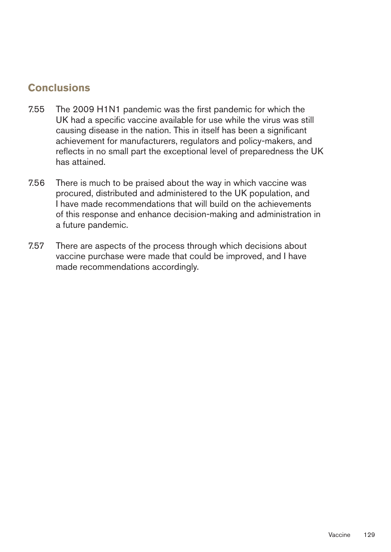# **Conclusions**

- 7.55 The 2009 H1N1 pandemic was the first pandemic for which the UK had a specific vaccine available for use while the virus was still causing disease in the nation. This in itself has been a significant achievement for manufacturers, regulators and policy-makers, and reflects in no small part the exceptional level of preparedness the UK has attained.
- 7.56 There is much to be praised about the way in which vaccine was procured, distributed and administered to the UK population, and I have made recommendations that will build on the achievements of this response and enhance decision-making and administration in a future pandemic.
- 7.57 There are aspects of the process through which decisions about vaccine purchase were made that could be improved, and I have made recommendations accordingly.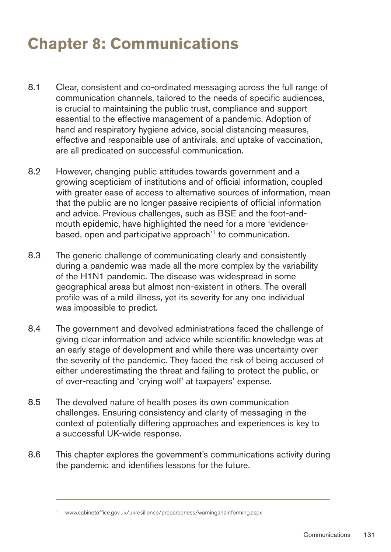# **Chapter 8: Communications**

- 8.1 Clear, consistent and co-ordinated messaging across the full range of communication channels, tailored to the needs of specific audiences, is crucial to maintaining the public trust, compliance and support essential to the effective management of a pandemic. Adoption of hand and respiratory hygiene advice, social distancing measures, effective and responsible use of antivirals, and uptake of vaccination, are all predicated on successful communication.
- 8.2 However, changing public attitudes towards government and a growing scepticism of institutions and of official information, coupled with greater ease of access to alternative sources of information, mean that the public are no longer passive recipients of official information and advice. Previous challenges, such as BSE and the foot-andmouth epidemic, have highlighted the need for a more 'evidencebased, open and participative approach<sup>'1</sup> to communication.
- 8.3 The generic challenge of communicating clearly and consistently during a pandemic was made all the more complex by the variability of the H1N1 pandemic. The disease was widespread in some geographical areas but almost non-existent in others. The overall profile was of a mild illness, yet its severity for any one individual was impossible to predict.
- 8.4 The government and devolved administrations faced the challenge of giving clear information and advice while scientific knowledge was at an early stage of development and while there was uncertainty over the severity of the pandemic. They faced the risk of being accused of either underestimating the threat and failing to protect the public, or of over-reacting and 'crying wolf' at taxpayers' expense.
- 8.5 The devolved nature of health poses its own communication challenges. Ensuring consistency and clarity of messaging in the context of potentially differing approaches and experiences is key to a successful UK-wide response.
- 8.6 This chapter explores the government's communications activity during the pandemic and identifies lessons for the future.

<sup>1</sup> [www.cabinetoffice.gov.uk/ukresilience/preparedness/warningandinforming.aspx](http://www.cabinetoffice.gov.uk/ukresilience/preparedness/warningandinforming.aspx)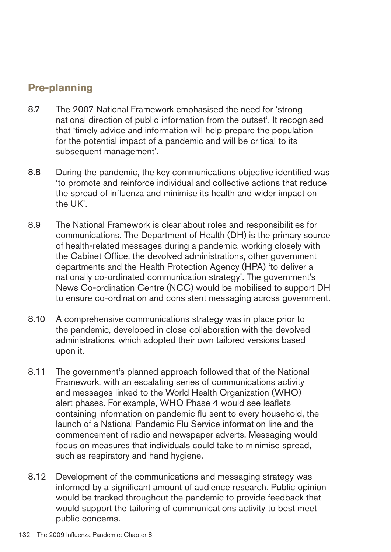# **Pre-planning**

- 8.7 The 2007 National Framework emphasised the need for 'strong national direction of public information from the outset'. It recognised that 'timely advice and information will help prepare the population for the potential impact of a pandemic and will be critical to its subsequent management'.
- 8.8 During the pandemic, the key communications objective identified was 'to promote and reinforce individual and collective actions that reduce the spread of influenza and minimise its health and wider impact on the UK'.
- 8.9 The National Framework is clear about roles and responsibilities for communications. The Department of Health (DH) is the primary source of health-related messages during a pandemic, working closely with the Cabinet Office, the devolved administrations, other government departments and the Health Protection Agency (HPA) 'to deliver a nationally co-ordinated communication strategy'. The government's News Co-ordination Centre (NCC) would be mobilised to support DH to ensure co-ordination and consistent messaging across government.
- 8.10 A comprehensive communications strategy was in place prior to the pandemic, developed in close collaboration with the devolved administrations, which adopted their own tailored versions based upon it.
- 8.11 The government's planned approach followed that of the National Framework, with an escalating series of communications activity and messages linked to the World Health Organization (WHO) alert phases. For example, WHO Phase 4 would see leaflets containing information on pandemic flu sent to every household, the launch of a National Pandemic Flu Service information line and the commencement of radio and newspaper adverts. Messaging would focus on measures that individuals could take to minimise spread, such as respiratory and hand hygiene.
- 8.12 Development of the communications and messaging strategy was informed by a significant amount of audience research. Public opinion would be tracked throughout the pandemic to provide feedback that would support the tailoring of communications activity to best meet public concerns.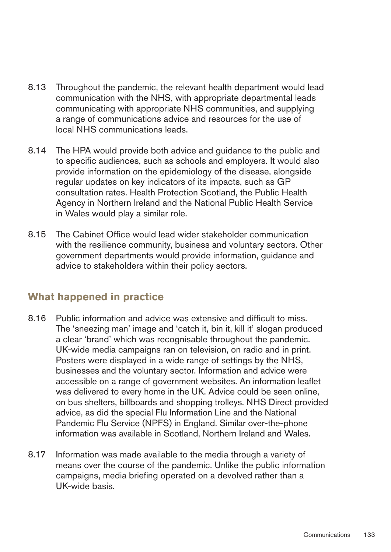- 8.13 Throughout the pandemic, the relevant health department would lead communication with the NHS, with appropriate departmental leads communicating with appropriate NHS communities, and supplying a range of communications advice and resources for the use of local NHS communications leads.
- 8.14 The HPA would provide both advice and guidance to the public and to specific audiences, such as schools and employers. It would also provide information on the epidemiology of the disease, alongside regular updates on key indicators of its impacts, such as GP consultation rates. Health Protection Scotland, the Public Health Agency in Northern Ireland and the National Public Health Service in Wales would play a similar role.
- 8.15 The Cabinet Office would lead wider stakeholder communication with the resilience community, business and voluntary sectors. Other government departments would provide information, guidance and advice to stakeholders within their policy sectors.

# **What happened in practice**

- 8.16 Public information and advice was extensive and difficult to miss. The 'sneezing man' image and 'catch it, bin it, kill it' slogan produced a clear 'brand' which was recognisable throughout the pandemic. UK-wide media campaigns ran on television, on radio and in print. Posters were displayed in a wide range of settings by the NHS, businesses and the voluntary sector. Information and advice were accessible on a range of government websites. An information leaflet was delivered to every home in the UK. Advice could be seen online, on bus shelters, billboards and shopping trolleys. NHS Direct provided advice, as did the special Flu Information Line and the National Pandemic Flu Service (NPFS) in England. Similar over-the-phone information was available in Scotland, Northern Ireland and Wales.
- 8.17 Information was made available to the media through a variety of means over the course of the pandemic. Unlike the public information campaigns, media briefing operated on a devolved rather than a UK-wide basis.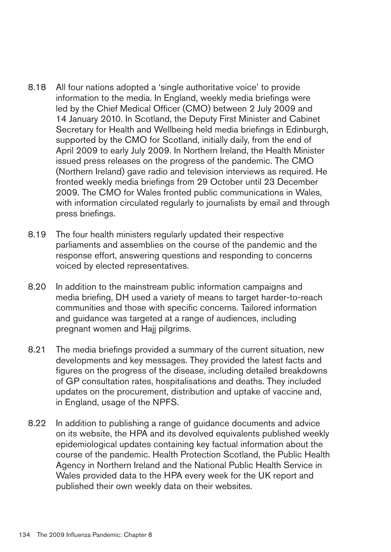- 8.18 All four nations adopted a 'single authoritative voice' to provide information to the media. In England, weekly media briefings were led by the Chief Medical Officer (CMO) between 2 July 2009 and 14 January 2010. In Scotland, the Deputy First Minister and Cabinet Secretary for Health and Wellbeing held media briefings in Edinburgh, supported by the CMO for Scotland, initially daily, from the end of April 2009 to early July 2009. In Northern Ireland, the Health Minister issued press releases on the progress of the pandemic. The CMO (Northern Ireland) gave radio and television interviews as required. He fronted weekly media briefings from 29 October until 23 December 2009. The CMO for Wales fronted public communications in Wales, with information circulated regularly to journalists by email and through press briefings.
- 8.19 The four health ministers regularly updated their respective parliaments and assemblies on the course of the pandemic and the response effort, answering questions and responding to concerns voiced by elected representatives.
- 8.20 In addition to the mainstream public information campaigns and media briefing, DH used a variety of means to target harder-to-reach communities and those with specific concerns. Tailored information and guidance was targeted at a range of audiences, including pregnant women and Hajj pilgrims.
- 8.21 The media briefings provided a summary of the current situation, new developments and key messages. They provided the latest facts and figures on the progress of the disease, including detailed breakdowns of GP consultation rates, hospitalisations and deaths. They included updates on the procurement, distribution and uptake of vaccine and, in England, usage of the NPFS.
- 8.22 In addition to publishing a range of guidance documents and advice on its website, the HPA and its devolved equivalents published weekly epidemiological updates containing key factual information about the course of the pandemic. Health Protection Scotland, the Public Health Agency in Northern Ireland and the National Public Health Service in Wales provided data to the HPA every week for the UK report and published their own weekly data on their websites.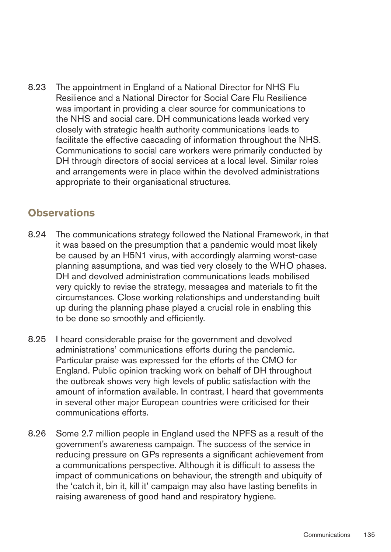8.23 The appointment in England of a National Director for NHS Flu Resilience and a National Director for Social Care Flu Resilience was important in providing a clear source for communications to the NHS and social care. DH communications leads worked very closely with strategic health authority communications leads to facilitate the effective cascading of information throughout the NHS. Communications to social care workers were primarily conducted by DH through directors of social services at a local level. Similar roles and arrangements were in place within the devolved administrations appropriate to their organisational structures.

## **Observations**

- 8.24 The communications strategy followed the National Framework, in that it was based on the presumption that a pandemic would most likely be caused by an H5N1 virus, with accordingly alarming worst-case planning assumptions, and was tied very closely to the WHO phases. DH and devolved administration communications leads mobilised very quickly to revise the strategy, messages and materials to fit the circumstances. Close working relationships and understanding built up during the planning phase played a crucial role in enabling this to be done so smoothly and efficiently.
- 8.25 I heard considerable praise for the government and devolved administrations' communications efforts during the pandemic. Particular praise was expressed for the efforts of the CMO for England. Public opinion tracking work on behalf of DH throughout the outbreak shows very high levels of public satisfaction with the amount of information available. In contrast, I heard that governments in several other major European countries were criticised for their communications efforts.
- 8.26 Some 2.7 million people in England used the NPFS as a result of the government's awareness campaign. The success of the service in reducing pressure on GPs represents a significant achievement from a communications perspective. Although it is difficult to assess the impact of communications on behaviour, the strength and ubiquity of the 'catch it, bin it, kill it' campaign may also have lasting benefits in raising awareness of good hand and respiratory hygiene.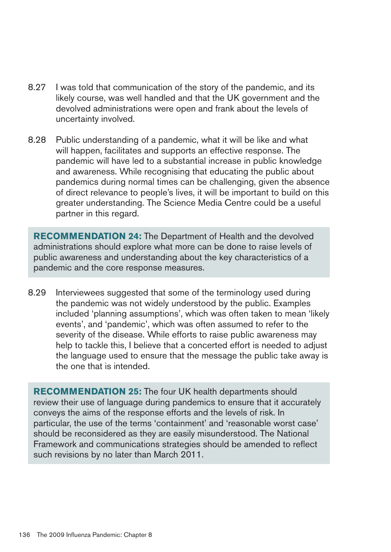- 8.27 I was told that communication of the story of the pandemic, and its likely course, was well handled and that the UK government and the devolved administrations were open and frank about the levels of uncertainty involved.
- 8.28 Public understanding of a pandemic, what it will be like and what will happen, facilitates and supports an effective response. The pandemic will have led to a substantial increase in public knowledge and awareness. While recognising that educating the public about pandemics during normal times can be challenging, given the absence of direct relevance to people's lives, it will be important to build on this greater understanding. The Science Media Centre could be a useful partner in this regard.

**RECOMMENDATION24:** The Department of Health and the devolved administrations should explore what more can be done to raise levels of public awareness and understanding about the key characteristics of a pandemic and the core response measures.

8.29 Interviewees suggested that some of the terminology used during the pandemic was not widely understood by the public. Examples included 'planning assumptions', which was often taken to mean 'likely events', and 'pandemic', which was often assumed to refer to the severity of the disease. While efforts to raise public awareness may help to tackle this, I believe that a concerted effort is needed to adjust the language used to ensure that the message the public take away is the one that is intended.

**RECOMMENDATION25:** The four UK health departments should review their use of language during pandemics to ensure that it accurately conveys the aims of the response efforts and the levels of risk. In particular, the use of the terms 'containment' and 'reasonable worst case' should be reconsidered as they are easily misunderstood. The National Framework and communications strategies should be amended to reflect such revisions by no later than March 2011.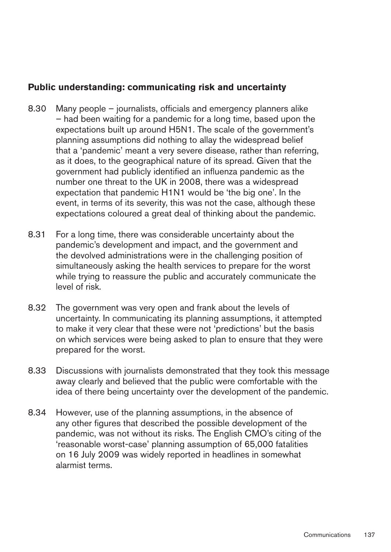#### **Public understanding: communicating risk and uncertainty**

- 8.30 Many people journalists, officials and emergency planners alike – had been waiting for a pandemic for a long time, based upon the expectations built up around H5N1. The scale of the government's planning assumptions did nothing to allay the widespread belief that a 'pandemic' meant a very severe disease, rather than referring, as it does, to the geographical nature of its spread. Given that the government had publicly identified an influenza pandemic as the number one threat to the UK in 2008, there was a widespread expectation that pandemic H1N1 would be 'the big one'. In the event, in terms of its severity, this was not the case, although these expectations coloured a great deal of thinking about the pandemic.
- 8.31 For a long time, there was considerable uncertainty about the pandemic's development and impact, and the government and the devolved administrations were in the challenging position of simultaneously asking the health services to prepare for the worst while trying to reassure the public and accurately communicate the level of risk.
- 8.32 The government was very open and frank about the levels of uncertainty. In communicating its planning assumptions, it attempted to make it very clear that these were not 'predictions' but the basis on which services were being asked to plan to ensure that they were prepared for the worst.
- 8.33 Discussions with journalists demonstrated that they took this message away clearly and believed that the public were comfortable with the idea of there being uncertainty over the development of the pandemic.
- 8.34 However, use of the planning assumptions, in the absence of any other figures that described the possible development of the pandemic, was not without its risks. The English CMO's citing of the 'reasonable worst-case' planning assumption of 65,000 fatalities on 16 July 2009 was widely reported in headlines in somewhat alarmist terms.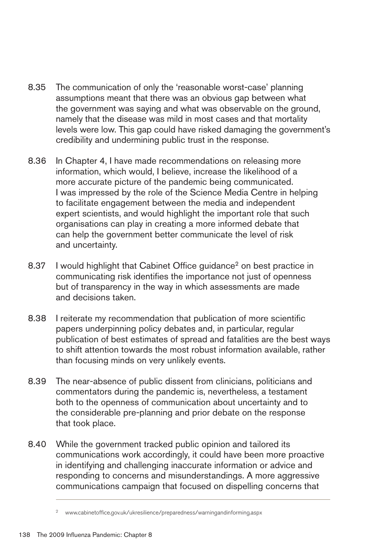- 8.35 The communication of only the 'reasonable worst-case' planning assumptions meant that there was an obvious gap between what the government was saying and what was observable on the ground, namely that the disease was mild in most cases and that mortality levels were low. This gap could have risked damaging the government's credibility and undermining public trust in the response.
- 8.36 In Chapter 4, I have made recommendations on releasing more information, which would, I believe, increase the likelihood of a more accurate picture of the pandemic being communicated. I was impressed by the role of the Science Media Centre in helping to facilitate engagement between the media and independent expert scientists, and would highlight the important role that such organisations can play in creating a more informed debate that can help the government better communicate the level of risk and uncertainty.
- 8.37 I would highlight that Cabinet Office guidance<sup>2</sup> on best practice in communicating risk identifies the importance not just of openness but of transparency in the way in which assessments are made and decisions taken.
- 8.38 I reiterate my recommendation that publication of more scientific papers underpinning policy debates and, in particular, regular publication of best estimates of spread and fatalities are the best ways to shift attention towards the most robust information available, rather than focusing minds on very unlikely events.
- 8.39 The near-absence of public dissent from clinicians, politicians and commentators during the pandemic is, nevertheless, a testament both to the openness of communication about uncertainty and to the considerable pre-planning and prior debate on the response that took place.
- 8.40 While the government tracked public opinion and tailored its communications work accordingly, it could have been more proactive in identifying and challenging inaccurate information or advice and responding to concerns and misunderstandings. A more aggressive communications campaign that focused on dispelling concerns that

<sup>2</sup> [www.cabinetoffice.gov.uk/ukresilience/preparedness/warningandinforming.aspx](http://www.cabinetoffice.gov.uk/ukresilience/preparedness/warningandinforming.aspx)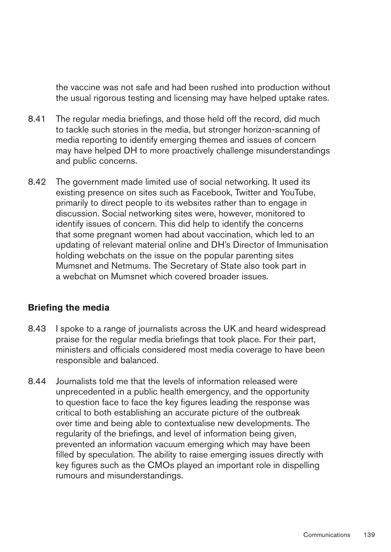the vaccine was not safe and had been rushed into production without the usual rigorous testing and licensing may have helped uptake rates.

- 8.41 The regular media briefings, and those held off the record, did much to tackle such stories in the media, but stronger horizon-scanning of media reporting to identify emerging themes and issues of concern may have helped DH to more proactively challenge misunderstandings and public concerns.
- 8.42 The government made limited use of social networking. It used its existing presence on sites such as Facebook, Twitter and YouTube, primarily to direct people to its websites rather than to engage in discussion. Social networking sites were, however, monitored to identify issues of concern. This did help to identify the concerns that some pregnant women had about vaccination, which led to an updating of relevant material online and DH's Director of Immunisation holding webchats on the issue on the popular parenting sites Mumsnet and Netmums. The Secretary of State also took part in a webchat on Mumsnet which covered broader issues.

### **Briefing the media**

- 8.43 I spoke to a range of journalists across the UK and heard widespread praise for the regular media briefings that took place. For their part, ministers and officials considered most media coverage to have been responsible and balanced.
- 8.44 Journalists told me that the levels of information released were unprecedented in a public health emergency, and the opportunity to question face to face the key figures leading the response was critical to both establishing an accurate picture of the outbreak over time and being able to contextualise new developments. The regularity of the briefings, and level of information being given, prevented an information vacuum emerging which may have been filled by speculation. The ability to raise emerging issues directly with key figures such as the CMOs played an important role in dispelling rumours and misunderstandings.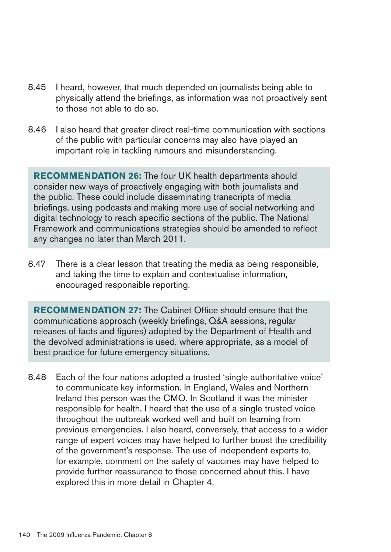- 8.45 I heard, however, that much depended on journalists being able to physically attend the briefings, as information was not proactively sent to those not able to do so.
- 8.46 I also heard that greater direct real-time communication with sections of the public with particular concerns may also have played an important role in tackling rumours and misunderstanding.

**RECOMMENDATION 26:** The four UK health departments should consider new ways of proactively engaging with both journalists and the public. These could include disseminating transcripts of media briefings, using podcasts and making more use of social networking and digital technology to reach specific sections of the public. The National Framework and communications strategies should be amended to reflect any changes no later than March 2011.

8.47 There is a clear lesson that treating the media as being responsible, and taking the time to explain and contextualise information, encouraged responsible reporting.

**RECOMMENDATION27:** The Cabinet Office should ensure that the communications approach (weekly briefings, Q&A sessions, regular releases of facts and figures) adopted by the Department of Health and the devolved administrations is used, where appropriate, as a model of best practice for future emergency situations.

8.48 � Each of the four nations adopted a trusted 'single authoritative voice' to communicate key information. In England, Wales and Northern Ireland this person was the CMO. In Scotland it was the minister responsible for health. I heard that the use of a single trusted voice throughout the outbreak worked well and built on learning from previous emergencies. I also heard, conversely, that access to a wider range of expert voices may have helped to further boost the credibility of the government's response. The use of independent experts to, for example, comment on the safety of vaccines may have helped to provide further reassurance to those concerned about this. I have explored this in more detail in Chapter 4.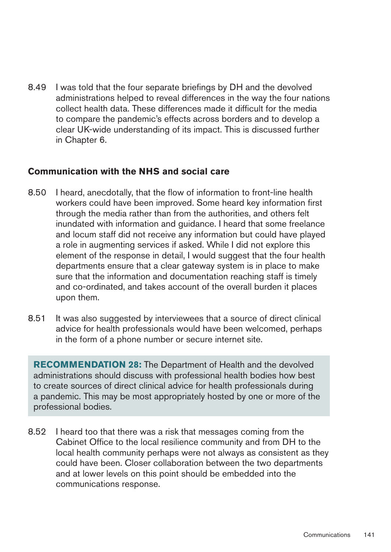8.49 I was told that the four separate briefings by DH and the devolved administrations helped to reveal differences in the way the four nations collect health data. These differences made it difficult for the media to compare the pandemic's effects across borders and to develop a clear UK-wide understanding of its impact. This is discussed further in Chapter 6.

### **Communication with the NHS and social care**

- 8.50 � I heard, anecdotally, that the flow of information to front-line health workers could have been improved. Some heard key information first through the media rather than from the authorities, and others felt inundated with information and guidance. I heard that some freelance and locum staff did not receive any information but could have played a role in augmenting services if asked. While I did not explore this element of the response in detail, I would suggest that the four health departments ensure that a clear gateway system is in place to make sure that the information and documentation reaching staff is timely and co-ordinated, and takes account of the overall burden it places upon them.
- 8.51 It was also suggested by interviewees that a source of direct clinical advice for health professionals would have been welcomed, perhaps in the form of a phone number or secure internet site.

**RECOMMENDATION28:** The Department of Health and the devolved administrations should discuss with professional health bodies how best to create sources of direct clinical advice for health professionals during a pandemic. This may be most appropriately hosted by one or more of the professional bodies.

8.52 I heard too that there was a risk that messages coming from the Cabinet Office to the local resilience community and from DH to the local health community perhaps were not always as consistent as they could have been. Closer collaboration between the two departments and at lower levels on this point should be embedded into the communications response.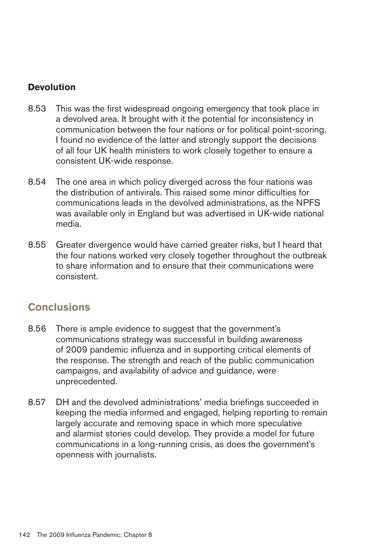### **Devolution**

- 8.53 This was the first widespread ongoing emergency that took place in a devolved area. It brought with it the potential for inconsistency in communication between the four nations or for political point-scoring. I found no evidence of the latter and strongly support the decisions of all four UK health ministers to work closely together to ensure a consistent UK-wide response.
- 8.54 The one area in which policy diverged across the four nations was the distribution of antivirals. This raised some minor difficulties for communications leads in the devolved administrations, as the NPFS was available only in England but was advertised in UK-wide national media.
- 8.55 Greater divergence would have carried greater risks, but I heard that the four nations worked very closely together throughout the outbreak to share information and to ensure that their communications were consistent.

# **Conclusions**

- 8.56 There is ample evidence to suggest that the government's communications strategy was successful in building awareness of 2009 pandemic influenza and in supporting critical elements of the response. The strength and reach of the public communication campaigns, and availability of advice and guidance, were unprecedented.
- 8.57 DH and the devolved administrations' media briefings succeeded in keeping the media informed and engaged, helping reporting to remain largely accurate and removing space in which more speculative and alarmist stories could develop. They provide a model for future communications in a long-running crisis, as does the government's openness with journalists.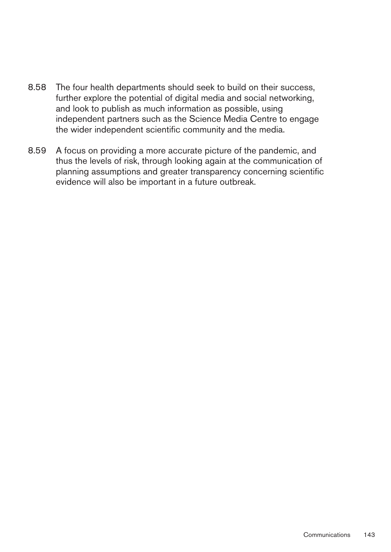- 8.58 The four health departments should seek to build on their success, further explore the potential of digital media and social networking, and look to publish as much information as possible, using independent partners such as the Science Media Centre to engage the wider independent scientific community and the media.
- 8.59 A focus on providing a more accurate picture of the pandemic, and thus the levels of risk, through looking again at the communication of planning assumptions and greater transparency concerning scientific evidence will also be important in a future outbreak.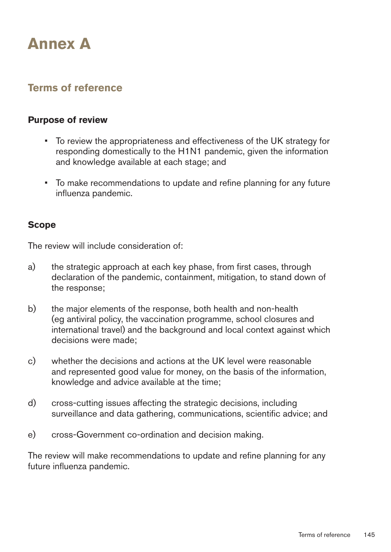# **AnnexA**

# **Terms of reference**

#### **Purpose of review**

- To review the appropriateness and effectiveness of the UK strategy for responding domestically to the H1N1 pandemic, given the information and knowledge available at each stage; and
- To make recommendations to update and refine planning for any future influenza pandemic.

### **Scope**

The review will include consideration of:

- a) the strategic approach at each key phase, from first cases, through declaration of the pandemic, containment, mitigation, to stand down of the response;
- b) the major elements of the response, both health and non-health (eg antiviral policy, the vaccination programme, school closures and international travel) and the background and local context against which decisions were made;
- c) whether the decisions and actions at the UK level were reasonable and represented good value for money, on the basis of the information, knowledge and advice available at the time;
- d) cross-cutting issues affecting the strategic decisions, including surveillance and data gathering, communications, scientific advice; and
- e) cross-Government co-ordination and decision making.

The review will make recommendations to update and refine planning for any future influenza pandemic.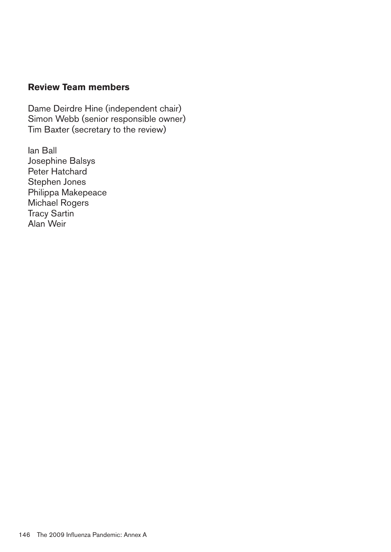## **Review Team members**

Dame Deirdre Hine (independent chair) Simon Webb (senior responsible owner) Tim Baxter (secretary to the review)

Ian Ball Josephine Balsys Peter Hatchard Stephen Jones Philippa Makepeace Michael Rogers Tracy Sartin Alan Weir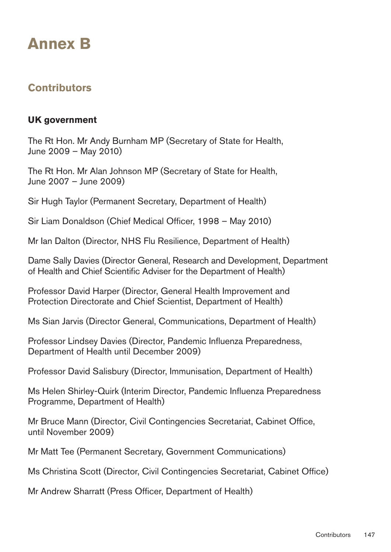# **Annex B**

# **Contributors**

## **UKgovernment**

The Rt Hon. Mr Andy Burnham MP (Secretary of State for Health, June 2009 – May 2010)

The Rt Hon. Mr Alan Johnson MP (Secretary of State for Health, June 2007 – June 2009)

Sir Hugh Taylor (Permanent Secretary, Department of Health)

Sir Liam Donaldson (Chief Medical Officer, 1998 – May 2010)

Mr Ian Dalton (Director, NHS Flu Resilience, Department of Health)

Dame Sally Davies (Director General, Research and Development, Department of Health and Chief Scientific Adviser for the Department of Health)

Professor David Harper (Director, General Health Improvement and Protection Directorate and Chief Scientist, Department of Health)

Ms Sian Jarvis (Director General, Communications, Department of Health)

Professor Lindsey Davies (Director, Pandemic Influenza Preparedness, Department of Health until December 2009)

Professor David Salisbury (Director, Immunisation, Department of Health)

Ms Helen Shirley-Quirk (Interim Director, Pandemic Influenza Preparedness Programme, Department of Health)

Mr Bruce Mann (Director, Civil Contingencies Secretariat, Cabinet Office, until November 2009)

Mr Matt Tee (Permanent Secretary, Government Communications)

Ms Christina Scott (Director, Civil Contingencies Secretariat, Cabinet Office)

Mr Andrew Sharratt (Press Officer, Department of Health)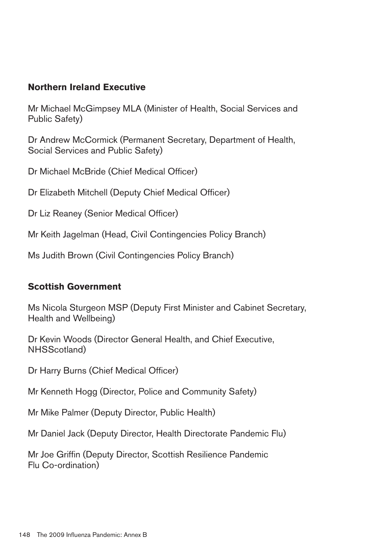## **Northern Ireland Executive**

Mr Michael McGimpsey MLA (Minister of Health, Social Services and Public Safety)

Dr Andrew McCormick (Permanent Secretary, Department of Health, Social Services and Public Safety)

Dr Michael McBride (Chief Medical Officer)

Dr Elizabeth Mitchell (Deputy Chief Medical Officer)

Dr Liz Reaney (Senior Medical Officer)

Mr Keith Jagelman (Head, Civil Contingencies Policy Branch)

Ms Judith Brown (Civil Contingencies Policy Branch)

### **Scottish Government**

Ms Nicola Sturgeon MSP (Deputy First Minister and Cabinet Secretary, Health and Wellbeing)

Dr Kevin Woods (Director General Health, and Chief Executive, NHSScotland)

Dr Harry Burns (Chief Medical Officer)

Mr Kenneth Hogg (Director, Police and Community Safety)

Mr Mike Palmer (Deputy Director, Public Health)

Mr Daniel Jack (Deputy Director, Health Directorate Pandemic Flu)

Mr Joe Griffin (Deputy Director, Scottish Resilience Pandemic Flu Co-ordination)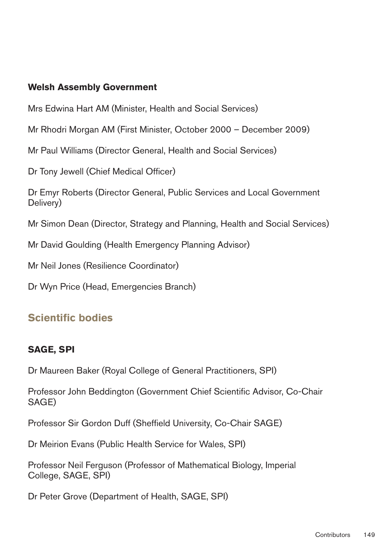## **Welsh Assembly Government**

Mrs Edwina Hart AM (Minister, Health and Social Services)

Mr Rhodri Morgan AM (First Minister, October 2000 – December 2009)

Mr Paul Williams (Director General, Health and Social Services)

Dr Tony Jewell (Chief Medical Officer)

Dr Emyr Roberts (Director General, Public Services and Local Government Delivery)

Mr Simon Dean (Director, Strategy and Planning, Health and Social Services)

Mr David Goulding (Health Emergency Planning Advisor)

Mr Neil Jones (Resilience Coordinator)

Dr Wyn Price (Head, Emergencies Branch)

# **Scientific bodies**

# **SAGE, SPI**

Dr Maureen Baker (Royal College of General Practitioners, SPI)

Professor John Beddington (Government Chief Scientific Advisor, Co-Chair SAGE)

Professor Sir Gordon Duff (Sheffield University, Co-Chair SAGE)

Dr Meirion Evans (Public Health Service for Wales, SPI)

Professor Neil Ferguson (Professor of Mathematical Biology, Imperial College, SAGE, SPI)

Dr Peter Grove (Department of Health, SAGE, SPI)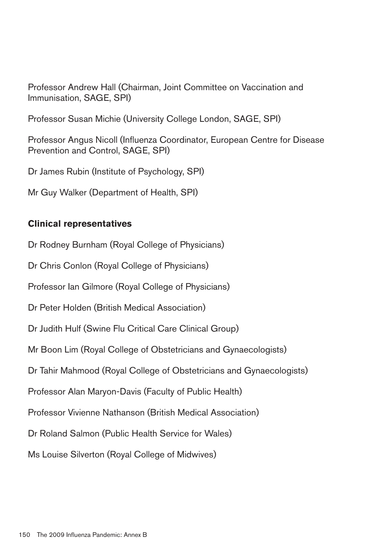Professor Andrew Hall (Chairman, Joint Committee on Vaccination and Immunisation, SAGE, SPI)

Professor Susan Michie (University College London, SAGE, SPI)

Professor Angus Nicoll (Influenza Coordinator, European Centre for Disease Prevention and Control, SAGE, SPI)

Dr James Rubin (Institute of Psychology, SPI)

Mr Guy Walker (Department of Health, SPI)

## **Clinical representatives**

Dr Rodney Burnham (Royal College of Physicians)

Dr Chris Conlon (Royal College of Physicians)

Professor Ian Gilmore (Royal College of Physicians)

Dr Peter Holden (British Medical Association)

Dr Judith Hulf (Swine Flu Critical Care Clinical Group)

Mr Boon Lim (Royal College of Obstetricians and Gynaecologists)

Dr Tahir Mahmood (Royal College of Obstetricians and Gynaecologists)

Professor Alan Maryon-Davis (Faculty of Public Health)

Professor Vivienne Nathanson (British Medical Association)

Dr Roland Salmon (Public Health Service for Wales)

Ms Louise Silverton (Royal College of Midwives)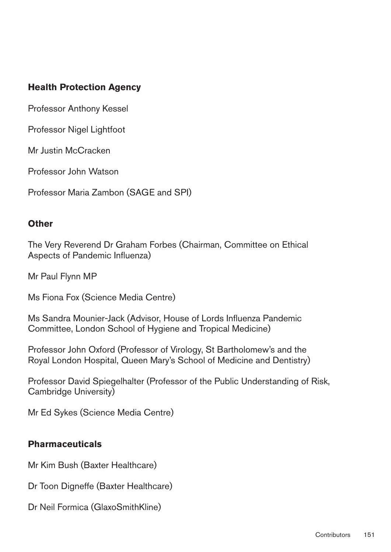# **Health Protection Agency**

Professor Anthony Kessel

Professor Nigel Lightfoot

Mr Justin McCracken

Professor John Watson

Professor Maria Zambon (SAGE and SPI)

#### **Other**

The Very Reverend Dr Graham Forbes (Chairman, Committee on Ethical Aspects of Pandemic Influenza)

Mr Paul Flynn MP

Ms Fiona Fox (Science Media Centre)

Ms Sandra Mounier-Jack (Advisor, House of Lords Influenza Pandemic Committee, London School of Hygiene and Tropical Medicine)

Professor John Oxford (Professor of Virology, St Bartholomew's and the Royal London Hospital, Queen Mary's School of Medicine and Dentistry)

Professor David Spiegelhalter (Professor of the Public Understanding of Risk, Cambridge University)

Mr Ed Sykes (Science Media Centre)

### **Pharmaceuticals**

Mr Kim Bush (Baxter Healthcare)

Dr Toon Digneffe (Baxter Healthcare)

Dr Neil Formica (GlaxoSmithKline)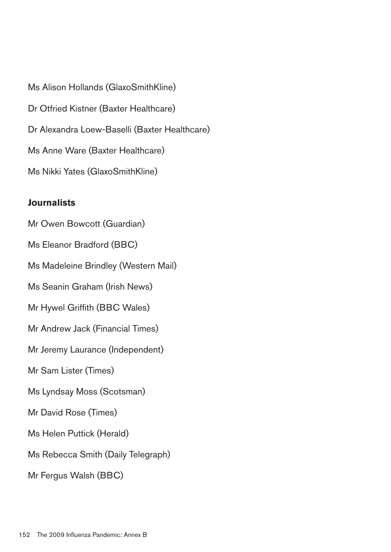Ms Alison Hollands (GlaxoSmithKline) Dr Otfried Kistner (Baxter Healthcare) Dr Alexandra Loew-Baselli (Baxter Healthcare) Ms Anne Ware (Baxter Healthcare) Ms Nikki Yates (GlaxoSmithKline)

#### **Journalists**

Mr Owen Bowcott (Guardian) Ms Eleanor Bradford (BBC) Ms Madeleine Brindley (Western Mail) Ms Seanin Graham (Irish News) Mr Hywel Griffith (BBC Wales) Mr Andrew Jack (Financial Times) Mr Jeremy Laurance (Independent) Mr Sam Lister (Times) Ms Lyndsay Moss (Scotsman) Mr David Rose (Times) Ms Helen Puttick (Herald) Ms Rebecca Smith (Daily Telegraph) Mr Fergus Walsh (BBC)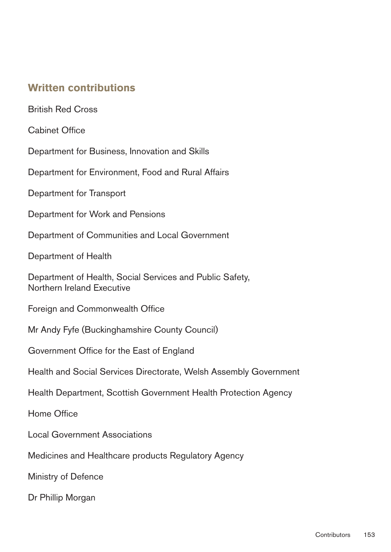# **Written contributions**

British Red Cross

Cabinet Office

Department for Business, Innovation and Skills

Department for Environment, Food and Rural Affairs

Department for Transport

Department for Work and Pensions

Department of Communities and Local Government

Department of Health

Department of Health, Social Services and Public Safety, Northern Ireland Executive

Foreign and Commonwealth Office

Mr Andy Fyfe (Buckinghamshire County Council)

Government Office for the East of England

Health and Social Services Directorate, Welsh Assembly Government

Health Department, Scottish Government Health Protection Agency

Home Office

Local Government Associations

Medicines and Healthcare products Regulatory Agency

Ministry of Defence

Dr Phillip Morgan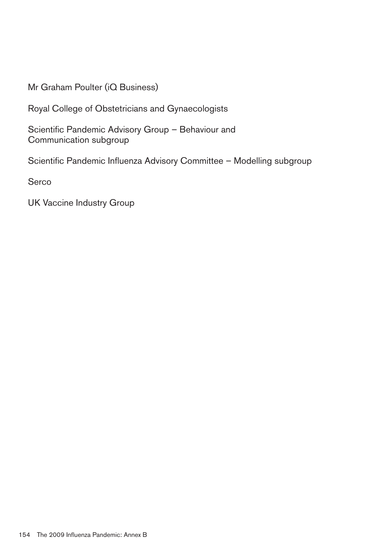Mr Graham Poulter (iQ Business)

Royal College of Obstetricians and Gynaecologists

Scientific Pandemic Advisory Group – Behaviour and Communication subgroup

Scientific Pandemic Influenza Advisory Committee – Modelling subgroup

Serco

UK Vaccine Industry Group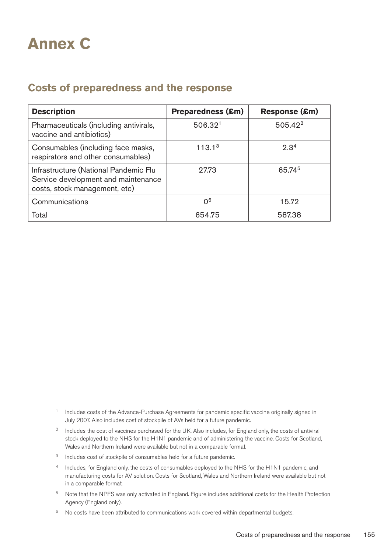# **Annex C**

# **Costs of preparedness and the response**

| <b>Description</b>                                                                                            | <b>Preparedness (£m)</b> | Response (£m)    |
|---------------------------------------------------------------------------------------------------------------|--------------------------|------------------|
| Pharmaceuticals (including antivirals,<br>vaccine and antibiotics)                                            | 506.32 <sup>1</sup>      | $505.42^2$       |
| Consumables (including face masks,<br>respirators and other consumables)                                      | 113.1 <sup>3</sup>       | 2.3 <sup>4</sup> |
| Infrastructure (National Pandemic Flu<br>Service development and maintenance<br>costs, stock management, etc) | 27.73                    | 65.745           |
| Communications                                                                                                | 0 <sup>6</sup>           | 15.72            |
| Total                                                                                                         | 654.75                   | 587.38           |

<sup>1</sup> Includes costs of the Advance-Purchase Agreements for pandemic specific vaccine originally signed in July 2007. Also includes cost of stockpile of AVs held for a future pandemic.

- <sup>2</sup> Includes the cost of vaccines purchased for the UK. Also includes, for England only, the costs of antiviral stock deployed to the NHS for the H1N1 pandemic and of administering the vaccine. Costs for Scotland, Wales and Northern Ireland were available but not in a comparable format.
- <sup>3</sup> Includes cost of stockpile of consumables held for a future pandemic.
- 4 Includes, for England only, the costs of consumables deployed to the NHS for the H1N1 pandemic, and manufacturing costs for AV solution. Costs for Scotland, Wales and Northern Ireland were available but not in a comparable format.
- 5 Note that the NPFS was only activated in England. Figure includes additional costs for the Health Protection Agency (England only).
- $6$  No costs have been attributed to communications work covered within departmental budgets.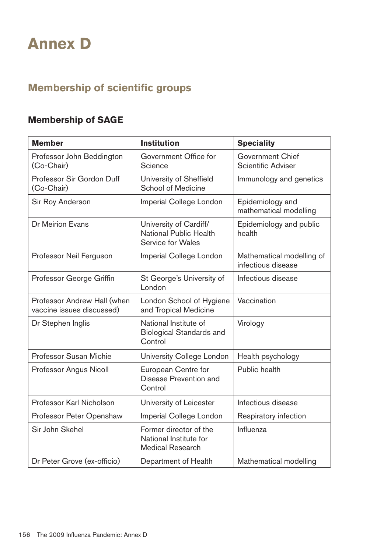# **Annex D**

# **Membership of scientific groups**

# **Membership of SAGE**

| <b>Member</b>                                            | <b>Institution</b>                                                           | <b>Speciality</b>                                    |
|----------------------------------------------------------|------------------------------------------------------------------------------|------------------------------------------------------|
| Professor John Beddington<br>(Co-Chair)                  | Government Office for<br>Science                                             | <b>Government Chief</b><br><b>Scientific Adviser</b> |
| Professor Sir Gordon Duff<br>(Co-Chair)                  | <b>University of Sheffield</b><br><b>School of Medicine</b>                  | Immunology and genetics                              |
| Sir Roy Anderson                                         | Imperial College London                                                      | Epidemiology and<br>mathematical modelling           |
| <b>Dr Meirion Evans</b>                                  | University of Cardiff/<br><b>National Public Health</b><br>Service for Wales | Epidemiology and public<br>health                    |
| Professor Neil Ferguson                                  | Imperial College London                                                      | Mathematical modelling of<br>infectious disease      |
| Professor George Griffin                                 | St George's University of<br>London                                          | Infectious disease                                   |
| Professor Andrew Hall (when<br>vaccine issues discussed) | London School of Hygiene<br>and Tropical Medicine                            | Vaccination                                          |
| Dr Stephen Inglis                                        | National Institute of<br><b>Biological Standards and</b><br>Control          | Virology                                             |
| <b>Professor Susan Michie</b>                            | University College London                                                    | Health psychology                                    |
| Professor Angus Nicoll                                   | European Centre for<br>Disease Prevention and<br>Control                     | Public health                                        |
| Professor Karl Nicholson                                 | University of Leicester                                                      | Infectious disease                                   |
| Professor Peter Openshaw                                 | Imperial College London                                                      | Respiratory infection                                |
| Sir John Skehel                                          | Former director of the<br>National Institute for<br><b>Medical Research</b>  | Influenza                                            |
| Dr Peter Grove (ex-officio)                              | Department of Health                                                         | Mathematical modelling                               |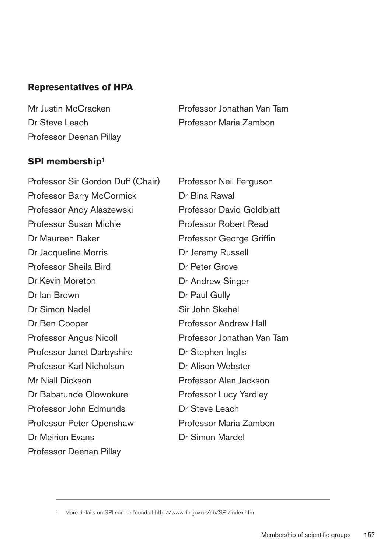## **Representatives of HPA**

Mr Justin McCracken Dr Steve Leach Professor Deenan Pillay Professor Jonathan Van Tam Professor Maria Zambon

## **SPI** membership<sup>1</sup>

Professor Sir Gordon Duff (Chair) Professor Barry McCormick Professor Andy Alaszewski Professor Susan Michie Dr Maureen Baker Dr Jacqueline Morris Professor Sheila Bird Dr Kevin Moreton Dr Ian Brown Dr Simon Nadel Dr Ben Cooper Professor Angus Nicoll Professor Janet Darbyshire Professor Karl Nicholson Mr Niall Dickson Dr Babatunde Olowokure Professor John Edmunds Professor Peter Openshaw Dr Meirion Evans Professor Deenan Pillay

Professor Neil Ferguson Dr Bina Rawal Professor David Goldblatt Professor Robert Read Professor George Griffin Dr Jeremy Russell Dr Peter Grove Dr Andrew Singer Dr Paul Gully Sir John Skehel Professor Andrew Hall Professor Jonathan Van Tam Dr Stephen Inglis Dr Alison Webster Professor Alan Jackson Professor Lucy Yardley Dr Steve Leach Professor Maria Zambon Dr Simon Mardel

More details on SPI can be found at http://www.dh.gov.uk/ab/SPI/index.htm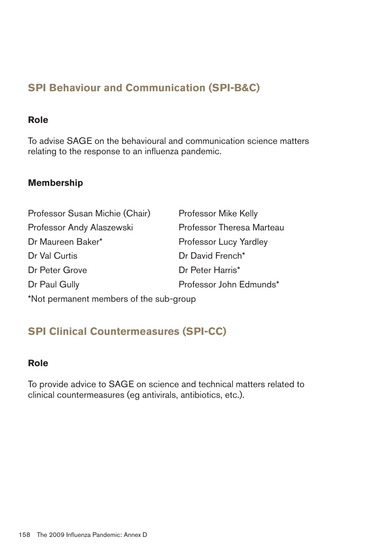# **SPI Behaviour and Communication (SPI-B&C)**

#### **Role**

To advise SAGE on the behavioural and communication science matters relating to the response to an influenza pandemic.

# **Membership**

| Professor Susan Michie (Chair) | <b>Professor Mike Kelly</b> |
|--------------------------------|-----------------------------|
| Professor Andy Alaszewski      | Professor Theresa Marteau   |
| Dr Maureen Baker*              | Professor Lucy Yardley      |
| Dr Val Curtis                  | Dr David French*            |
| Dr Peter Grove                 | Dr Peter Harris*            |
| Dr Paul Gully                  | Professor John Edmunds*     |
|                                |                             |

\*Not permanent members of the sub-group

# **SPI Clinical Countermeasures (SPI-CC)**

### **Role**

To provide advice to SAGE on science and technical matters related to clinical countermeasures (eg antivirals, antibiotics, etc.).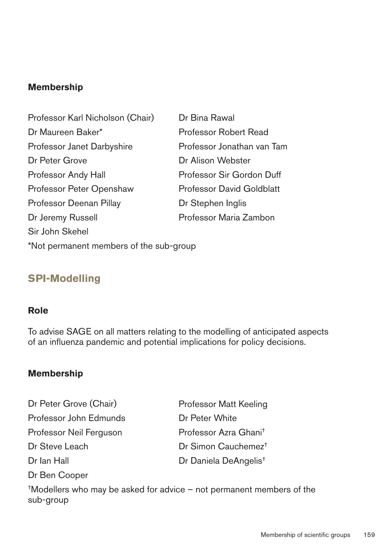## **Membership**

Professor Karl Nicholson (Chair) Dr Bina Rawal Dr Maureen Baker\* Professor Robert Read Professor Janet Darbyshire Professor Jonathan van Tam Dr Peter Grove Dr Alison Webster Professor Andy Hall Professor Sir Gordon Duff Professor Peter Openshaw Professor David Goldblatt Professor Deenan Pillay Dr Stephen Inglis Dr Jeremy Russell **Professor Maria Zambon** Sir John Skehel \*Not permanent members of the sub-group

# **SPI-Modelling**

#### **Role**

To advise SAGE on all matters relating to the modelling of anticipated aspects of an influenza pandemic and potential implications for policy decisions.

### **Membership**

Dr Peter Grove (Chair) Professor John Edmunds Professor Neil Ferguson Dr Steve Leach Dr Ian Hall Dr Ben Cooper

Professor Matt Keeling Dr Peter White Professor Azra Ghani† Dr Simon Cauchemez† Dr Daniela DeAngelis†

†Modellers who may be asked for advice – not permanent members of the sub-group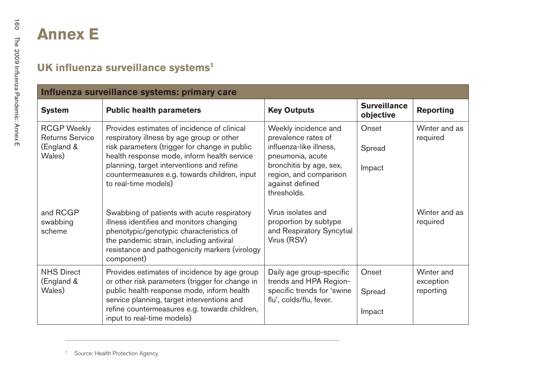|                                                                      | Influenza surveillance systems: primary care                                                                                                                                                                                                                                                                  |                                                                                                                                                                                   |                                  |                                      |
|----------------------------------------------------------------------|---------------------------------------------------------------------------------------------------------------------------------------------------------------------------------------------------------------------------------------------------------------------------------------------------------------|-----------------------------------------------------------------------------------------------------------------------------------------------------------------------------------|----------------------------------|--------------------------------------|
| <b>System</b>                                                        | <b>Public health parameters</b>                                                                                                                                                                                                                                                                               | <b>Key Outputs</b>                                                                                                                                                                | <b>Surveillance</b><br>objective | <b>Reporting</b>                     |
| <b>RCGP Weekly</b><br><b>Returns Service</b><br>(England &<br>Wales) | Provides estimates of incidence of clinical<br>respiratory illness by age group or other<br>risk parameters (trigger for change in public<br>health response mode, inform health service<br>planning, target interventions and refine<br>countermeasures e.g. towards children, input<br>to real-time models) | Weekly incidence and<br>prevalence rates of<br>influenza-like illness,<br>pneumonia, acute<br>bronchitis by age, sex,<br>region, and comparison<br>against defined<br>thresholds. | Onset<br>Spread<br>Impact        | Winter and as<br>required            |
| and RCGP<br>swabbing<br>scheme                                       | Swabbing of patients with acute respiratory<br>illness identifies and monitors changing<br>phenotypic/genotypic characteristics of<br>the pandemic strain, including antiviral<br>resistance and pathogenicity markers (virology<br>component)                                                                | Virus isolates and<br>proportion by subtype<br>and Respiratory Syncytial<br>Virus (RSV)                                                                                           |                                  | Winter and as<br>required            |
| <b>NHS Direct</b><br>(England &<br>Wales)                            | Provides estimates of incidence by age group<br>or other risk parameters (trigger for change in<br>public health response mode, inform health<br>service planning, target interventions and<br>refine countermeasures e.g. towards children,<br>input to real-time models)                                    | Daily age group-specific<br>trends and HPA Region-<br>specific trends for 'swine<br>flu', colds/flu, fever.                                                                       | Onset<br>Spread<br>Impact        | Winter and<br>exception<br>reporting |

<sup>1</sup> Source: Health Protection Agency.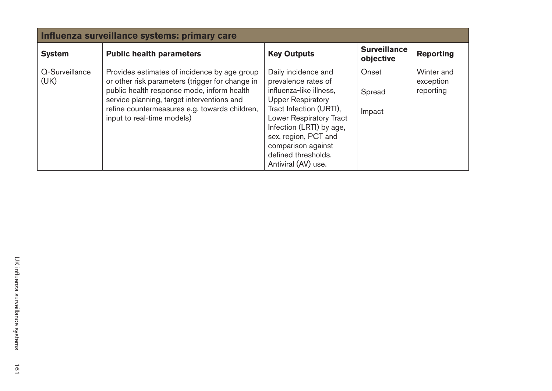| Influenza surveillance systems: primary care |                                                                                                                                                                                                                                                                            |                                                                                                                                                                                                                                                                                        |                                  |                                      |  |
|----------------------------------------------|----------------------------------------------------------------------------------------------------------------------------------------------------------------------------------------------------------------------------------------------------------------------------|----------------------------------------------------------------------------------------------------------------------------------------------------------------------------------------------------------------------------------------------------------------------------------------|----------------------------------|--------------------------------------|--|
| <b>System</b>                                | <b>Public health parameters</b>                                                                                                                                                                                                                                            | <b>Key Outputs</b>                                                                                                                                                                                                                                                                     | <b>Surveillance</b><br>objective | <b>Reporting</b>                     |  |
| Q-Surveillance<br>(UK)                       | Provides estimates of incidence by age group<br>or other risk parameters (trigger for change in<br>public health response mode, inform health<br>service planning, target interventions and<br>refine countermeasures e.g. towards children,<br>input to real-time models) | Daily incidence and<br>prevalence rates of<br>influenza-like illness,<br><b>Upper Respiratory</b><br>Tract Infection (URTI),<br><b>Lower Respiratory Tract</b><br>Infection (LRTI) by age,<br>sex, region, PCT and<br>comparison against<br>defined thresholds.<br>Antiviral (AV) use. | Onset<br>Spread<br>Impact        | Winter and<br>exception<br>reporting |  |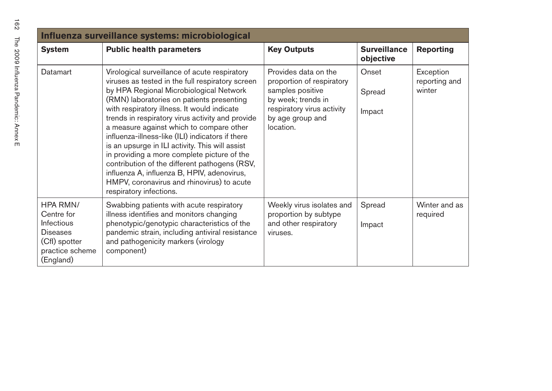| Influenza surveillance systems: microbiological                                                                 |                                                                                                                                                                                                                                                                                                                                                                                                                                                                                                                                                                                                                                                                         |                                                                                                                                                            |                                  |                                      |  |
|-----------------------------------------------------------------------------------------------------------------|-------------------------------------------------------------------------------------------------------------------------------------------------------------------------------------------------------------------------------------------------------------------------------------------------------------------------------------------------------------------------------------------------------------------------------------------------------------------------------------------------------------------------------------------------------------------------------------------------------------------------------------------------------------------------|------------------------------------------------------------------------------------------------------------------------------------------------------------|----------------------------------|--------------------------------------|--|
| <b>System</b>                                                                                                   | <b>Public health parameters</b>                                                                                                                                                                                                                                                                                                                                                                                                                                                                                                                                                                                                                                         | <b>Key Outputs</b>                                                                                                                                         | <b>Surveillance</b><br>objective | <b>Reporting</b>                     |  |
| Datamart                                                                                                        | Virological surveillance of acute respiratory<br>viruses as tested in the full respiratory screen<br>by HPA Regional Microbiological Network<br>(RMN) laboratories on patients presenting<br>with respiratory illness. It would indicate<br>trends in respiratory virus activity and provide<br>a measure against which to compare other<br>influenza-illness-like (ILI) indicators if there<br>is an upsurge in ILI activity. This will assist<br>in providing a more complete picture of the<br>contribution of the different pathogens (RSV,<br>influenza A, influenza B, HPIV, adenovirus,<br>HMPV, coronavirus and rhinovirus) to acute<br>respiratory infections. | Provides data on the<br>proportion of respiratory<br>samples positive<br>by week; trends in<br>respiratory virus activity<br>by age group and<br>location. | Onset<br>Spread<br>Impact        | Exception<br>reporting and<br>winter |  |
| HPA RMN/<br>Centre for<br><b>Infectious</b><br><b>Diseases</b><br>(Cfl) spotter<br>practice scheme<br>(England) | Swabbing patients with acute respiratory<br>illness identifies and monitors changing<br>phenotypic/genotypic characteristics of the<br>pandemic strain, including antiviral resistance<br>and pathogenicity markers (virology<br>component)                                                                                                                                                                                                                                                                                                                                                                                                                             | Weekly virus isolates and<br>proportion by subtype<br>and other respiratory<br>viruses.                                                                    | Spread<br>Impact                 | Winter and as<br>required            |  |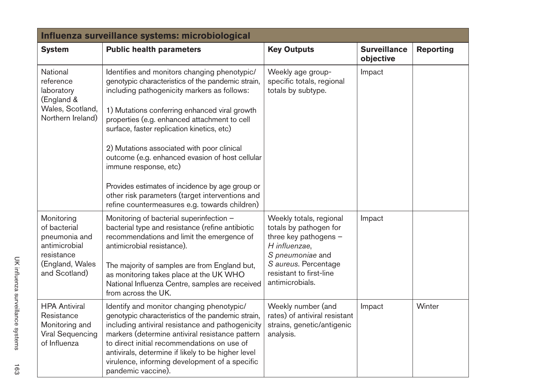| Influenza surveillance systems: microbiological                                                                |                                                                                                                                                                                                                                                                                                                                                                                                                                                                                                                                                                                  |                                                                                                                                                                                       |                                  |                  |  |
|----------------------------------------------------------------------------------------------------------------|----------------------------------------------------------------------------------------------------------------------------------------------------------------------------------------------------------------------------------------------------------------------------------------------------------------------------------------------------------------------------------------------------------------------------------------------------------------------------------------------------------------------------------------------------------------------------------|---------------------------------------------------------------------------------------------------------------------------------------------------------------------------------------|----------------------------------|------------------|--|
| <b>System</b>                                                                                                  | <b>Public health parameters</b>                                                                                                                                                                                                                                                                                                                                                                                                                                                                                                                                                  | <b>Key Outputs</b>                                                                                                                                                                    | <b>Surveillance</b><br>objective | <b>Reporting</b> |  |
| National<br>reference<br>laboratory<br>(England &<br>Wales, Scotland,<br>Northern Ireland)                     | Identifies and monitors changing phenotypic/<br>genotypic characteristics of the pandemic strain,<br>including pathogenicity markers as follows:<br>1) Mutations conferring enhanced viral growth<br>properties (e.g. enhanced attachment to cell<br>surface, faster replication kinetics, etc)<br>2) Mutations associated with poor clinical<br>outcome (e.g. enhanced evasion of host cellular<br>immune response, etc)<br>Provides estimates of incidence by age group or<br>other risk parameters (target interventions and<br>refine countermeasures e.g. towards children) | Weekly age group-<br>specific totals, regional<br>totals by subtype.                                                                                                                  | Impact                           |                  |  |
| Monitoring<br>of bacterial<br>pneumonia and<br>antimicrobial<br>resistance<br>(England, Wales<br>and Scotland) | Monitoring of bacterial superinfection -<br>bacterial type and resistance (refine antibiotic<br>recommendations and limit the emergence of<br>antimicrobial resistance).<br>The majority of samples are from England but,<br>as monitoring takes place at the UK WHO<br>National Influenza Centre, samples are received<br>from across the UK.                                                                                                                                                                                                                                   | Weekly totals, regional<br>totals by pathogen for<br>three key pathogens -<br>H influenzae,<br>S pneumoniae and<br>S aureus. Percentage<br>resistant to first-line<br>antimicrobials. | Impact                           |                  |  |
| <b>HPA Antiviral</b><br>Resistance<br>Monitoring and<br>Viral Sequencing<br>of Influenza                       | Identify and monitor changing phenotypic/<br>genotypic characteristics of the pandemic strain,<br>including antiviral resistance and pathogenicity<br>markers (determine antiviral resistance pattern<br>to direct initial recommendations on use of<br>antivirals, determine if likely to be higher level<br>virulence, informing development of a specific<br>pandemic vaccine).                                                                                                                                                                                               | Weekly number (and<br>rates) of antiviral resistant<br>strains, genetic/antigenic<br>analysis.                                                                                        | Impact                           | Winter           |  |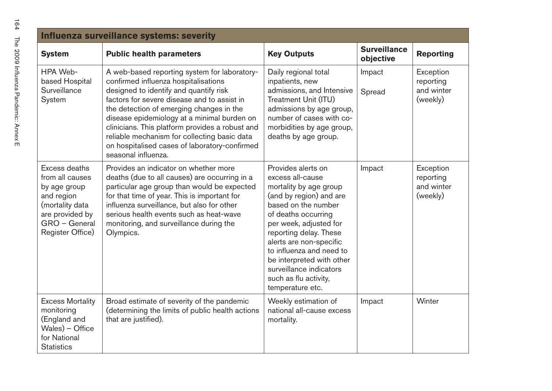| 164                                  | <b>Influenza surveil</b>                                       |                                                                     |
|--------------------------------------|----------------------------------------------------------------|---------------------------------------------------------------------|
|                                      | <b>System</b>                                                  | Pι                                                                  |
| The 2009 Influenta Pandemic: Annex E | HPA Web-<br>based Hospital<br>Surveillance<br>System           | A<br>$_{\rm CO}$<br>de<br>fa<br>th<br>dis<br>cli<br>rel<br>on<br>se |
|                                      | Excess deaths<br>from all causes<br>by age group<br>and region | Pr<br>$d\epsilon$<br>рa<br>for                                      |

| Influenza surveillance systems: severity                                                                                                  |                                                                                                                                                                                                                                                                                                                                                                                                                                                     |                                                                                                                                                                                                                                                                                                                                                           |                                  |                                                  |  |
|-------------------------------------------------------------------------------------------------------------------------------------------|-----------------------------------------------------------------------------------------------------------------------------------------------------------------------------------------------------------------------------------------------------------------------------------------------------------------------------------------------------------------------------------------------------------------------------------------------------|-----------------------------------------------------------------------------------------------------------------------------------------------------------------------------------------------------------------------------------------------------------------------------------------------------------------------------------------------------------|----------------------------------|--------------------------------------------------|--|
| <b>System</b>                                                                                                                             | <b>Public health parameters</b>                                                                                                                                                                                                                                                                                                                                                                                                                     | <b>Key Outputs</b>                                                                                                                                                                                                                                                                                                                                        | <b>Surveillance</b><br>objective | <b>Reporting</b>                                 |  |
| HPA Web-<br>based Hospital<br>Surveillance<br>System                                                                                      | A web-based reporting system for laboratory-<br>confirmed influenza hospitalisations<br>designed to identify and quantify risk<br>factors for severe disease and to assist in<br>the detection of emerging changes in the<br>disease epidemiology at a minimal burden on<br>clinicians. This platform provides a robust and<br>reliable mechanism for collecting basic data<br>on hospitalised cases of laboratory-confirmed<br>seasonal influenza. | Daily regional total<br>inpatients, new<br>admissions, and Intensive<br>Treatment Unit (ITU)<br>admissions by age group,<br>number of cases with co-<br>morbidities by age group,<br>deaths by age group.                                                                                                                                                 | Impact<br>Spread                 | Exception<br>reporting<br>and winter<br>(weekly) |  |
| Excess deaths<br>from all causes<br>by age group<br>and region<br>(mortality data<br>are provided by<br>GRO - General<br>Register Office) | Provides an indicator on whether more<br>deaths (due to all causes) are occurring in a<br>particular age group than would be expected<br>for that time of year. This is important for<br>influenza surveillance, but also for other<br>serious health events such as heat-wave<br>monitoring, and surveillance during the<br>Olympics.                                                                                                              | Provides alerts on<br>excess all-cause<br>mortality by age group<br>(and by region) and are<br>based on the number<br>of deaths occurring<br>per week, adjusted for<br>reporting delay. These<br>alerts are non-specific<br>to influenza and need to<br>be interpreted with other<br>surveillance indicators<br>such as flu activity,<br>temperature etc. | Impact                           | Exception<br>reporting<br>and winter<br>(weekly) |  |
| <b>Excess Mortality</b><br>monitoring<br>(England and<br>Wales) - Office<br>for National<br><b>Statistics</b>                             | Broad estimate of severity of the pandemic<br>(determining the limits of public health actions<br>that are justified).                                                                                                                                                                                                                                                                                                                              | Weekly estimation of<br>national all-cause excess<br>mortality.                                                                                                                                                                                                                                                                                           | Impact                           | Winter                                           |  |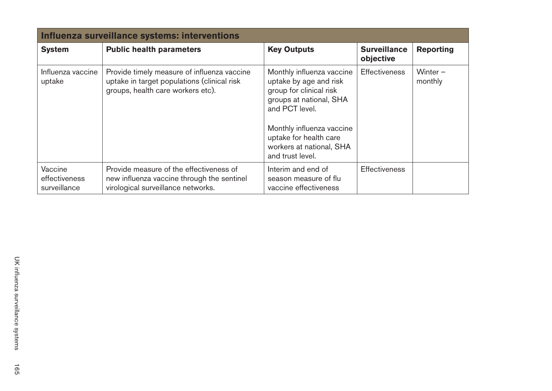| Influenza surveillance systems: interventions |                                                                                                                                 |                                                                                                                                                                                                                                    |                                  |                       |  |
|-----------------------------------------------|---------------------------------------------------------------------------------------------------------------------------------|------------------------------------------------------------------------------------------------------------------------------------------------------------------------------------------------------------------------------------|----------------------------------|-----------------------|--|
| <b>System</b>                                 | <b>Public health parameters</b>                                                                                                 | <b>Key Outputs</b>                                                                                                                                                                                                                 | <b>Surveillance</b><br>objective | <b>Reporting</b>      |  |
| Influenza vaccine<br>uptake                   | Provide timely measure of influenza vaccine<br>uptake in target populations (clinical risk<br>groups, health care workers etc). | Monthly influenza vaccine<br>uptake by age and risk<br>group for clinical risk<br>groups at national, SHA<br>and PCT level.<br>Monthly influenza vaccine<br>uptake for health care<br>workers at national, SHA<br>and trust level. | <b>Effectiveness</b>             | Winter $-$<br>monthly |  |
| Vaccine<br>effectiveness<br>surveillance      | Provide measure of the effectiveness of<br>new influenza vaccine through the sentinel<br>virological surveillance networks.     | Interim and end of<br>season measure of flu<br>vaccine effectiveness                                                                                                                                                               | <b>Effectiveness</b>             |                       |  |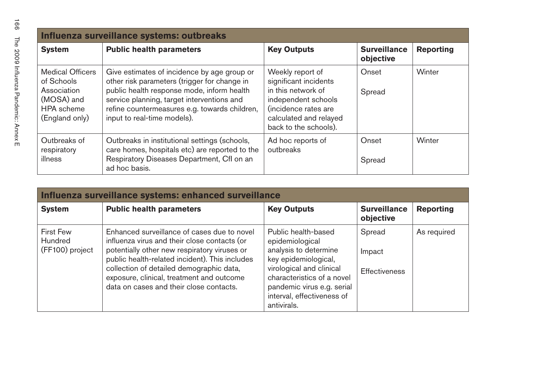| Influenza surveillance systems: outbreaks                                                                 |                                                                                                                                                                                                                                                                         |                                                                                                                                                                   |                                  |                  |  |
|-----------------------------------------------------------------------------------------------------------|-------------------------------------------------------------------------------------------------------------------------------------------------------------------------------------------------------------------------------------------------------------------------|-------------------------------------------------------------------------------------------------------------------------------------------------------------------|----------------------------------|------------------|--|
| <b>System</b>                                                                                             | <b>Public health parameters</b>                                                                                                                                                                                                                                         | <b>Key Outputs</b>                                                                                                                                                | <b>Surveillance</b><br>objective | <b>Reporting</b> |  |
| <b>Medical Officers</b><br>of Schools<br>Association<br>(MOSA) and<br><b>HPA</b> scheme<br>(England only) | Give estimates of incidence by age group or<br>other risk parameters (trigger for change in<br>public health response mode, inform health<br>service planning, target interventions and<br>refine countermeasures e.g. towards children,<br>input to real-time models). | Weekly report of<br>significant incidents<br>in this network of<br>independent schools<br>(incidence rates are<br>calculated and relayed<br>back to the schools). | Onset<br>Spread                  | Winter           |  |
| Outbreaks of<br>respiratory<br>illness                                                                    | Outbreaks in institutional settings (schools,<br>care homes, hospitals etc) are reported to the<br>Respiratory Diseases Department, Cfl on an<br>ad hoc basis.                                                                                                          | Ad hoc reports of<br>outbreaks                                                                                                                                    | Onset<br>Spread                  | Winter           |  |

| Influenza surveillance systems: enhanced surveillance |                                                                                                                                                                                                                                                                                                                                   |                                                                                                                                                                                                                              |                                          |                  |  |  |
|-------------------------------------------------------|-----------------------------------------------------------------------------------------------------------------------------------------------------------------------------------------------------------------------------------------------------------------------------------------------------------------------------------|------------------------------------------------------------------------------------------------------------------------------------------------------------------------------------------------------------------------------|------------------------------------------|------------------|--|--|
| <b>System</b>                                         | <b>Public health parameters</b>                                                                                                                                                                                                                                                                                                   | <b>Key Outputs</b>                                                                                                                                                                                                           | <b>Surveillance</b><br>objective         | <b>Reporting</b> |  |  |
| <b>First Few</b><br>Hundred<br>(FF100) project        | Enhanced surveillance of cases due to novel<br>influenza virus and their close contacts (or<br>potentially other new respiratory viruses or<br>public health-related incident). This includes<br>collection of detailed demographic data,<br>exposure, clinical, treatment and outcome<br>data on cases and their close contacts. | Public health-based<br>epidemiological<br>analysis to determine<br>key epidemiological,<br>virological and clinical<br>characteristics of a novel<br>pandemic virus e.g. serial<br>interval, effectiveness of<br>antivirals. | Spread<br>Impact<br><b>Effectiveness</b> | As required      |  |  |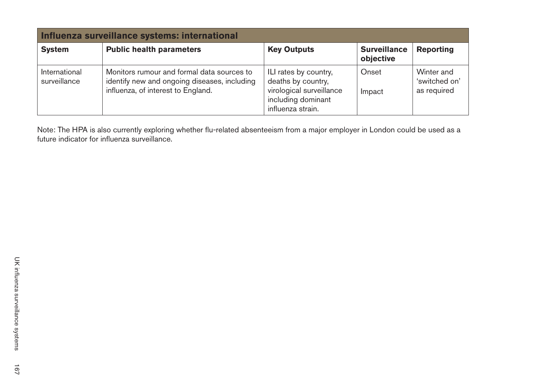| Influenza surveillance systems: international |                                                                                                                                  |                                                                                                                    |                                  |                                            |
|-----------------------------------------------|----------------------------------------------------------------------------------------------------------------------------------|--------------------------------------------------------------------------------------------------------------------|----------------------------------|--------------------------------------------|
| <b>System</b>                                 | <b>Public health parameters</b>                                                                                                  | <b>Key Outputs</b>                                                                                                 | <b>Surveillance</b><br>objective | <b>Reporting</b>                           |
| International<br>surveillance                 | Monitors rumour and formal data sources to<br>identify new and ongoing diseases, including<br>influenza, of interest to England. | ILI rates by country,<br>deaths by country,<br>virological surveillance<br>including dominant<br>influenza strain. | Onset<br>Impact                  | Winter and<br>'switched on'<br>as required |

Note: The HPA is also currently exploring whether flu-related absenteeism from a major employer in London could be used as a future indicator for influenza surveillance.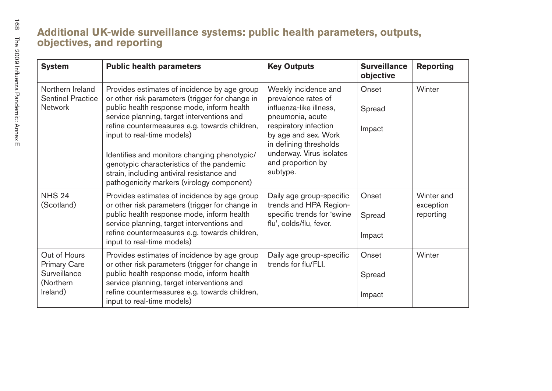| <b>System</b>                                                                | <b>Public health parameters</b>                                                                                                                                                                                                                                                                                                                                                                                                                                     | <b>Key Outputs</b>                                                                                                                                                                                                                 | <b>Surveillance</b><br>objective | <b>Reporting</b>                     |
|------------------------------------------------------------------------------|---------------------------------------------------------------------------------------------------------------------------------------------------------------------------------------------------------------------------------------------------------------------------------------------------------------------------------------------------------------------------------------------------------------------------------------------------------------------|------------------------------------------------------------------------------------------------------------------------------------------------------------------------------------------------------------------------------------|----------------------------------|--------------------------------------|
| Northern Ireland<br><b>Sentinel Practice</b><br><b>Network</b>               | Provides estimates of incidence by age group<br>or other risk parameters (trigger for change in<br>public health response mode, inform health<br>service planning, target interventions and<br>refine countermeasures e.g. towards children,<br>input to real-time models)<br>Identifies and monitors changing phenotypic/<br>genotypic characteristics of the pandemic<br>strain, including antiviral resistance and<br>pathogenicity markers (virology component) | Weekly incidence and<br>prevalence rates of<br>influenza-like illness,<br>pneumonia, acute<br>respiratory infection<br>by age and sex. Work<br>in defining thresholds<br>underway. Virus isolates<br>and proportion by<br>subtype. | Onset<br>Spread<br>Impact        | Winter                               |
| <b>NHS 24</b><br>(Scotland)                                                  | Provides estimates of incidence by age group<br>or other risk parameters (trigger for change in<br>public health response mode, inform health<br>service planning, target interventions and<br>refine countermeasures e.g. towards children,<br>input to real-time models)                                                                                                                                                                                          | Daily age group-specific<br>trends and HPA Region-<br>specific trends for 'swine<br>flu', colds/flu, fever.                                                                                                                        | Onset<br>Spread<br>Impact        | Winter and<br>exception<br>reporting |
| Out of Hours<br><b>Primary Care</b><br>Surveillance<br>(Northern<br>Ireland) | Provides estimates of incidence by age group<br>or other risk parameters (trigger for change in<br>public health response mode, inform health<br>service planning, target interventions and<br>refine countermeasures e.g. towards children,<br>input to real-time models)                                                                                                                                                                                          | Daily age group-specific<br>trends for flu/FLI.                                                                                                                                                                                    | Onset<br>Spread<br>Impact        | Winter                               |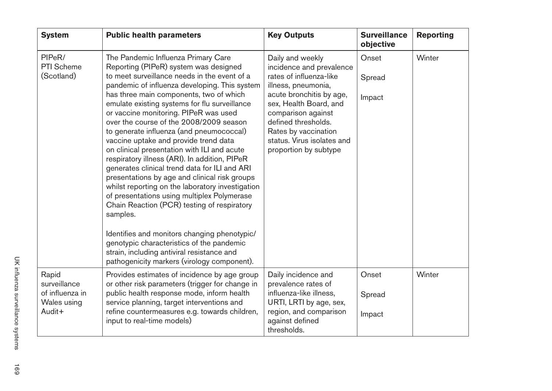| <b>System</b>                                                     | <b>Public health parameters</b>                                                                                                                                                                                                                                                                                                                                                                                                                                                                                                                                                                                                                                                                                                                                                                                                                                                                                                                                                                              | <b>Key Outputs</b>                                                                                                                                                                                                                                                               | <b>Surveillance</b><br>objective | <b>Reporting</b> |
|-------------------------------------------------------------------|--------------------------------------------------------------------------------------------------------------------------------------------------------------------------------------------------------------------------------------------------------------------------------------------------------------------------------------------------------------------------------------------------------------------------------------------------------------------------------------------------------------------------------------------------------------------------------------------------------------------------------------------------------------------------------------------------------------------------------------------------------------------------------------------------------------------------------------------------------------------------------------------------------------------------------------------------------------------------------------------------------------|----------------------------------------------------------------------------------------------------------------------------------------------------------------------------------------------------------------------------------------------------------------------------------|----------------------------------|------------------|
| PIPeR/<br><b>PTI Scheme</b><br>(Scotland)                         | The Pandemic Influenza Primary Care<br>Reporting (PIPeR) system was designed<br>to meet surveillance needs in the event of a<br>pandemic of influenza developing. This system<br>has three main components, two of which<br>emulate existing systems for flu surveillance<br>or vaccine monitoring. PIPeR was used<br>over the course of the 2008/2009 season<br>to generate influenza (and pneumococcal)<br>vaccine uptake and provide trend data<br>on clinical presentation with ILI and acute<br>respiratory illness (ARI). In addition, PIPeR<br>generates clinical trend data for ILI and ARI<br>presentations by age and clinical risk groups<br>whilst reporting on the laboratory investigation<br>of presentations using multiplex Polymerase<br>Chain Reaction (PCR) testing of respiratory<br>samples.<br>Identifies and monitors changing phenotypic/<br>genotypic characteristics of the pandemic<br>strain, including antiviral resistance and<br>pathogenicity markers (virology component). | Daily and weekly<br>incidence and prevalence<br>rates of influenza-like<br>illness, pneumonia,<br>acute bronchitis by age,<br>sex, Health Board, and<br>comparison against<br>defined thresholds.<br>Rates by vaccination<br>status. Virus isolates and<br>proportion by subtype | Onset<br>Spread<br>Impact        | Winter           |
| Rapid<br>surveillance<br>of influenza in<br>Wales using<br>Audit+ | Provides estimates of incidence by age group<br>or other risk parameters (trigger for change in<br>public health response mode, inform health<br>service planning, target interventions and<br>refine countermeasures e.g. towards children,<br>input to real-time models)                                                                                                                                                                                                                                                                                                                                                                                                                                                                                                                                                                                                                                                                                                                                   | Daily incidence and<br>prevalence rates of<br>influenza-like illness,<br>URTI, LRTI by age, sex,<br>region, and comparison<br>against defined<br>thresholds.                                                                                                                     | Onset<br>Spread<br>Impact        | Winter           |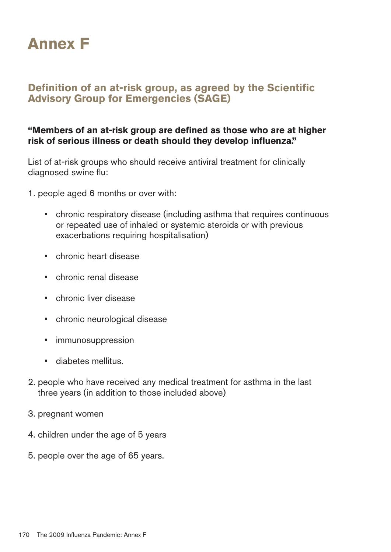

# **Definition of an at-risk group, as agreed by the Scientific Advisory Group for Emergencies (SAGE)**

#### **"Members of an at-risk group are defined as those who are at higher** risk of serious illness or death should they develop influenza."

List of at-risk groups who should receive antiviral treatment for clinically diagnosed swine flu:

1. people aged 6 months or over with:

- chronic respiratory disease (including asthma that requires continuous or repeated use of inhaled or systemic steroids or with previous exacerbations requiring hospitalisation)
- chronic heart disease
- • � chronic renal disease
- chronic liver disease
- chronic neurological disease
- immunosuppression
- diabetes mellitus.
- 2. people who have received any medical treatment for asthma in the last three years (in addition to those included above)
- 3. pregnant women
- 4. children under the age of 5 years
- 5. people over the age of 65 years.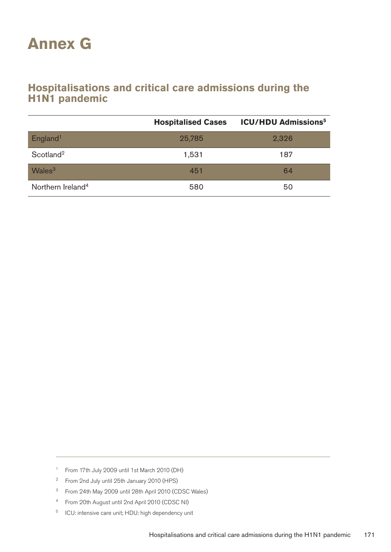# **Annex G**

# **Hospitalisations and critical care admissions during the H1N1** pandemic

|                               | <b>Hospitalised Cases</b> | <b>ICU/HDU Admissions<sup>5</sup></b> |
|-------------------------------|---------------------------|---------------------------------------|
| England <sup>1</sup>          | 25,785                    | 2,326                                 |
| Scotland <sup>2</sup>         | 1,531                     | 187                                   |
| Wales <sup>3</sup>            | 451                       | 64                                    |
| Northern Ireland <sup>4</sup> | 580                       | 50                                    |

- 1 From 17th July 2009 until 1st March 2010 (DH)
- 2 From 2nd July until 25th January 2010 (HPS)
- 3 From 24th May 2009 until 28th April 2010 (CDSC Wales)
- 4 From 20th August until 2nd April 2010 (CDSC NI)
- 5 ICU: intensive care unit; HDU: high dependency unit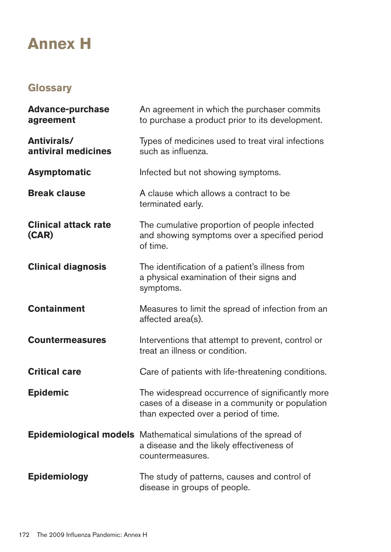# **Annex H**

# **Glossary**

| <b>Advance-purchase</b><br>agreement | An agreement in which the purchaser commits<br>to purchase a product prior to its development.                                             |
|--------------------------------------|--------------------------------------------------------------------------------------------------------------------------------------------|
| Antivirals/<br>antiviral medicines   | Types of medicines used to treat viral infections<br>such as influenza.                                                                    |
| <b>Asymptomatic</b>                  | Infected but not showing symptoms.                                                                                                         |
| <b>Break clause</b>                  | A clause which allows a contract to be<br>terminated early.                                                                                |
| <b>Clinical attack rate</b><br>(CAR) | The cumulative proportion of people infected<br>and showing symptoms over a specified period<br>of time.                                   |
| <b>Clinical diagnosis</b>            | The identification of a patient's illness from<br>a physical examination of their signs and<br>symptoms.                                   |
| <b>Containment</b>                   | Measures to limit the spread of infection from an<br>affected area(s).                                                                     |
| <b>Countermeasures</b>               | Interventions that attempt to prevent, control or<br>treat an illness or condition.                                                        |
| <b>Critical care</b>                 | Care of patients with life-threatening conditions.                                                                                         |
| <b>Epidemic</b>                      | The widespread occurrence of significantly more<br>cases of a disease in a community or population<br>than expected over a period of time. |
|                                      | <b>Epidemiological models</b> Mathematical simulations of the spread of<br>a disease and the likely effectiveness of<br>countermeasures.   |
| <b>Epidemiology</b>                  | The study of patterns, causes and control of<br>disease in groups of people.                                                               |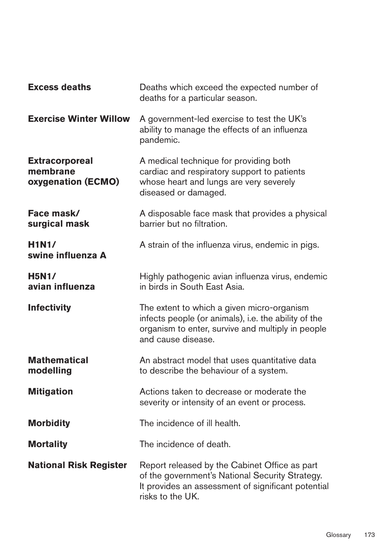| <b>Excess deaths</b>                                           | Deaths which exceed the expected number of<br>deaths for a particular season.                                                                                                 |
|----------------------------------------------------------------|-------------------------------------------------------------------------------------------------------------------------------------------------------------------------------|
| <b>Exercise Winter Willow</b>                                  | A government-led exercise to test the UK's<br>ability to manage the effects of an influenza<br>pandemic.                                                                      |
| <b>Extracorporeal</b><br>membrane<br><b>oxygenation (ECMO)</b> | A medical technique for providing both<br>cardiac and respiratory support to patients<br>whose heart and lungs are very severely<br>diseased or damaged.                      |
| Face mask/<br>surgical mask                                    | A disposable face mask that provides a physical<br>barrier but no filtration.                                                                                                 |
| <b>H1N1/</b><br>swine influenza A                              | A strain of the influenza virus, endemic in pigs.                                                                                                                             |
| <b>H5N1/</b><br>avian influenza                                | Highly pathogenic avian influenza virus, endemic<br>in birds in South East Asia.                                                                                              |
| <b>Infectivity</b>                                             | The extent to which a given micro-organism<br>infects people (or animals), i.e. the ability of the<br>organism to enter, survive and multiply in people<br>and cause disease. |
| <b>Mathematical</b><br>modelling                               | An abstract model that uses quantitative data<br>to describe the behaviour of a system.                                                                                       |
| <b>Mitigation</b>                                              | Actions taken to decrease or moderate the<br>severity or intensity of an event or process.                                                                                    |
| <b>Morbidity</b>                                               | The incidence of ill health.                                                                                                                                                  |
| <b>Mortality</b>                                               | The incidence of death.                                                                                                                                                       |
| <b>National Risk Register</b>                                  | Report released by the Cabinet Office as part<br>of the government's National Security Strategy.<br>It provides an assessment of significant potential<br>risks to the UK.    |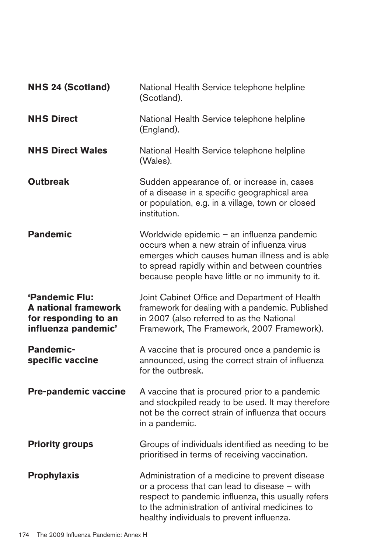| <b>NHS 24 (Scotland)</b>                                                                     | National Health Service telephone helpline<br>(Scotland).                                                                                                                                                                                             |
|----------------------------------------------------------------------------------------------|-------------------------------------------------------------------------------------------------------------------------------------------------------------------------------------------------------------------------------------------------------|
| <b>NHS Direct</b>                                                                            | National Health Service telephone helpline<br>(England).                                                                                                                                                                                              |
| <b>NHS Direct Wales</b>                                                                      | National Health Service telephone helpline<br>(Wales).                                                                                                                                                                                                |
| <b>Outbreak</b>                                                                              | Sudden appearance of, or increase in, cases<br>of a disease in a specific geographical area<br>or population, e.g. in a village, town or closed<br>institution.                                                                                       |
| <b>Pandemic</b>                                                                              | Worldwide epidemic – an influenza pandemic<br>occurs when a new strain of influenza virus<br>emerges which causes human illness and is able<br>to spread rapidly within and between countries<br>because people have little or no immunity to it.     |
| 'Pandemic Flu:<br><b>A</b> national framework<br>for responding to an<br>influenza pandemic' | Joint Cabinet Office and Department of Health<br>framework for dealing with a pandemic. Published<br>in 2007 (also referred to as the National<br>Framework, The Framework, 2007 Framework).                                                          |
| <b>Pandemic-</b><br>specific vaccine                                                         | A vaccine that is procured once a pandemic is<br>announced, using the correct strain of influenza<br>for the outbreak.                                                                                                                                |
| <b>Pre-pandemic vaccine</b>                                                                  | A vaccine that is procured prior to a pandemic<br>and stockpiled ready to be used. It may therefore<br>not be the correct strain of influenza that occurs<br>in a pandemic.                                                                           |
| <b>Priority groups</b>                                                                       | Groups of individuals identified as needing to be<br>prioritised in terms of receiving vaccination.                                                                                                                                                   |
| <b>Prophylaxis</b>                                                                           | Administration of a medicine to prevent disease<br>or a process that can lead to disease – with<br>respect to pandemic influenza, this usually refers<br>to the administration of antiviral medicines to<br>healthy individuals to prevent influenza. |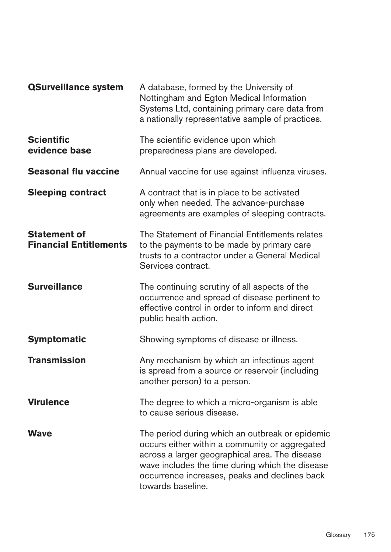| <b>QSurveillance system</b>                          | A database, formed by the University of<br>Nottingham and Egton Medical Information<br>Systems Ltd, containing primary care data from<br>a nationally representative sample of practices.                                                                                    |
|------------------------------------------------------|------------------------------------------------------------------------------------------------------------------------------------------------------------------------------------------------------------------------------------------------------------------------------|
| <b>Scientific</b><br>evidence base                   | The scientific evidence upon which<br>preparedness plans are developed.                                                                                                                                                                                                      |
| <b>Seasonal flu vaccine</b>                          | Annual vaccine for use against influenza viruses.                                                                                                                                                                                                                            |
| <b>Sleeping contract</b>                             | A contract that is in place to be activated<br>only when needed. The advance-purchase<br>agreements are examples of sleeping contracts.                                                                                                                                      |
| <b>Statement of</b><br><b>Financial Entitlements</b> | The Statement of Financial Entitlements relates<br>to the payments to be made by primary care<br>trusts to a contractor under a General Medical<br>Services contract.                                                                                                        |
| <b>Surveillance</b>                                  | The continuing scrutiny of all aspects of the<br>occurrence and spread of disease pertinent to<br>effective control in order to inform and direct<br>public health action.                                                                                                   |
| <b>Symptomatic</b>                                   | Showing symptoms of disease or illness.                                                                                                                                                                                                                                      |
| <b>Transmission</b>                                  | Any mechanism by which an infectious agent<br>is spread from a source or reservoir (including<br>another person) to a person.                                                                                                                                                |
| <b>Virulence</b>                                     | The degree to which a micro-organism is able<br>to cause serious disease.                                                                                                                                                                                                    |
| <b>Wave</b>                                          | The period during which an outbreak or epidemic<br>occurs either within a community or aggregated<br>across a larger geographical area. The disease<br>wave includes the time during which the disease<br>occurrence increases, peaks and declines back<br>towards baseline. |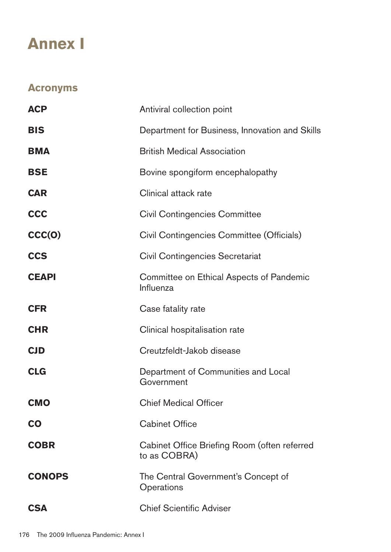# **Annex I**

# **Acronyms**

| <b>ACP</b>    | Antiviral collection point                                   |
|---------------|--------------------------------------------------------------|
| <b>BIS</b>    | Department for Business, Innovation and Skills               |
| <b>BMA</b>    | <b>British Medical Association</b>                           |
| <b>BSE</b>    | Bovine spongiform encephalopathy                             |
| <b>CAR</b>    | Clinical attack rate                                         |
| <b>CCC</b>    | <b>Civil Contingencies Committee</b>                         |
| CCC(O)        | Civil Contingencies Committee (Officials)                    |
| <b>CCS</b>    | <b>Civil Contingencies Secretariat</b>                       |
| <b>CEAPI</b>  | Committee on Ethical Aspects of Pandemic<br>Influenza        |
| <b>CFR</b>    | Case fatality rate                                           |
| <b>CHR</b>    | Clinical hospitalisation rate                                |
| <b>CJD</b>    | Creutzfeldt-Jakob disease                                    |
| <b>CLG</b>    | Department of Communities and Local<br>Government            |
| <b>CMO</b>    | <b>Chief Medical Officer</b>                                 |
| <b>CO</b>     | <b>Cabinet Office</b>                                        |
| <b>COBR</b>   | Cabinet Office Briefing Room (often referred<br>to as COBRA) |
| <b>CONOPS</b> | The Central Government's Concept of<br>Operations            |
| <b>CSA</b>    | <b>Chief Scientific Adviser</b>                              |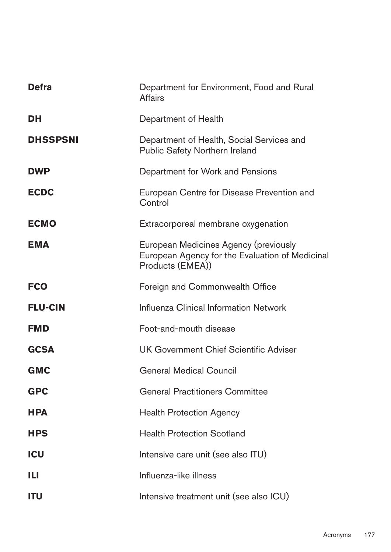| <b>Defra</b>    | Department for Environment, Food and Rural<br><b>Affairs</b>                                                 |
|-----------------|--------------------------------------------------------------------------------------------------------------|
| DH              | Department of Health                                                                                         |
| <b>DHSSPSNI</b> | Department of Health, Social Services and<br><b>Public Safety Northern Ireland</b>                           |
| <b>DWP</b>      | Department for Work and Pensions                                                                             |
| <b>ECDC</b>     | European Centre for Disease Prevention and<br>Control                                                        |
| <b>ECMO</b>     | Extracorporeal membrane oxygenation                                                                          |
| <b>EMA</b>      | European Medicines Agency (previously<br>European Agency for the Evaluation of Medicinal<br>Products (EMEA)) |
| <b>FCO</b>      | Foreign and Commonwealth Office                                                                              |
| <b>FLU-CIN</b>  | <b>Influenza Clinical Information Network</b>                                                                |
| <b>FMD</b>      | Foot-and-mouth disease                                                                                       |
| <b>GCSA</b>     | <b>UK Government Chief Scientific Adviser</b>                                                                |
| <b>GMC</b>      | <b>General Medical Council</b>                                                                               |
| <b>GPC</b>      | <b>General Practitioners Committee</b>                                                                       |
| <b>HPA</b>      | <b>Health Protection Agency</b>                                                                              |
| <b>HPS</b>      | <b>Health Protection Scotland</b>                                                                            |
| <b>ICU</b>      | Intensive care unit (see also ITU)                                                                           |
| Ш               | Influenza-like illness                                                                                       |
| <b>ITU</b>      | Intensive treatment unit (see also ICU)                                                                      |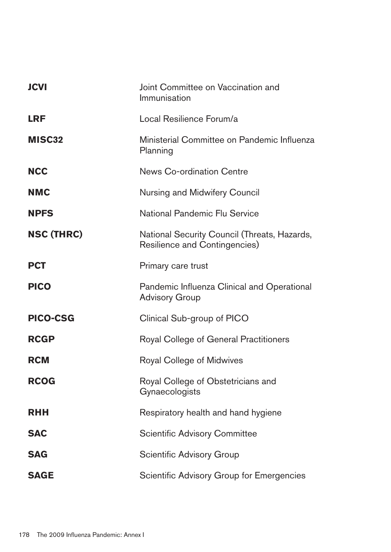| <b>JCVI</b>       | Joint Committee on Vaccination and<br>Immunisation                                   |
|-------------------|--------------------------------------------------------------------------------------|
| <b>LRF</b>        | Local Resilience Forum/a                                                             |
| MISC32            | Ministerial Committee on Pandemic Influenza<br>Planning                              |
| <b>NCC</b>        | <b>News Co-ordination Centre</b>                                                     |
| <b>NMC</b>        | <b>Nursing and Midwifery Council</b>                                                 |
| <b>NPFS</b>       | National Pandemic Flu Service                                                        |
| <b>NSC (THRC)</b> | National Security Council (Threats, Hazards,<br><b>Resilience and Contingencies)</b> |
| <b>PCT</b>        | Primary care trust                                                                   |
| <b>PICO</b>       | Pandemic Influenza Clinical and Operational<br><b>Advisory Group</b>                 |
| <b>PICO-CSG</b>   | Clinical Sub-group of PICO                                                           |
| <b>RCGP</b>       | <b>Royal College of General Practitioners</b>                                        |
| <b>RCM</b>        | Royal College of Midwives                                                            |
| <b>RCOG</b>       | Royal College of Obstetricians and<br>Gynaecologists                                 |
| <b>RHH</b>        | Respiratory health and hand hygiene                                                  |
| <b>SAC</b>        | <b>Scientific Advisory Committee</b>                                                 |
| <b>SAG</b>        | <b>Scientific Advisory Group</b>                                                     |
| <b>SAGE</b>       | Scientific Advisory Group for Emergencies                                            |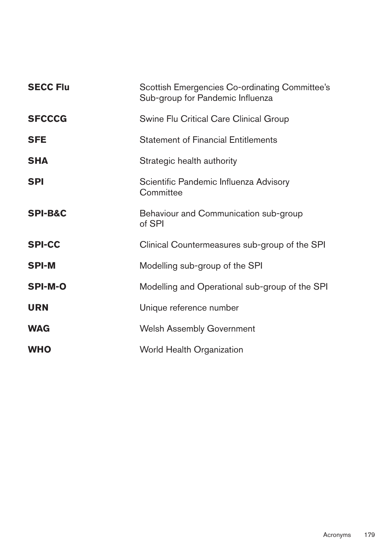| <b>SECC Flu</b>    | Scottish Emergencies Co-ordinating Committee's<br>Sub-group for Pandemic Influenza |
|--------------------|------------------------------------------------------------------------------------|
| <b>SFCCCG</b>      | Swine Flu Critical Care Clinical Group                                             |
| <b>SFE</b>         | <b>Statement of Financial Entitlements</b>                                         |
| <b>SHA</b>         | Strategic health authority                                                         |
| <b>SPI</b>         | Scientific Pandemic Influenza Advisory<br>Committee                                |
| <b>SPI-B&amp;C</b> | Behaviour and Communication sub-group<br>of SPI                                    |
| <b>SPI-CC</b>      | Clinical Countermeasures sub-group of the SPI                                      |
| <b>SPI-M</b>       | Modelling sub-group of the SPI                                                     |
| <b>SPI-M-O</b>     | Modelling and Operational sub-group of the SPI                                     |
| <b>URN</b>         | Unique reference number                                                            |
| <b>WAG</b>         | <b>Welsh Assembly Government</b>                                                   |
| <b>WHO</b>         | <b>World Health Organization</b>                                                   |